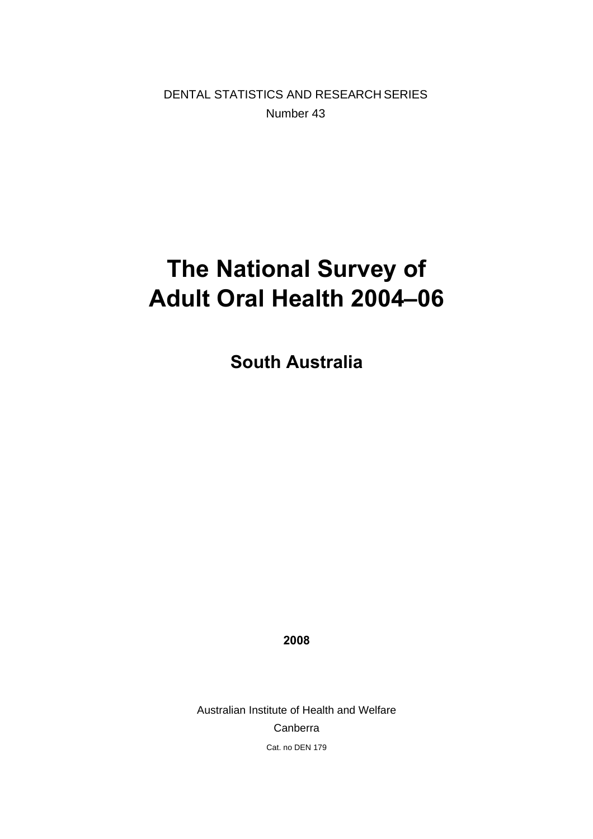DENTAL STATISTICS AND RESEARCH SERIES Number 43

# **The National Survey of Adult Oral Health 2004–06**

**South Australia** 

**2008** 

Australian Institute of Health and Welfare Canberra Cat. no DEN 179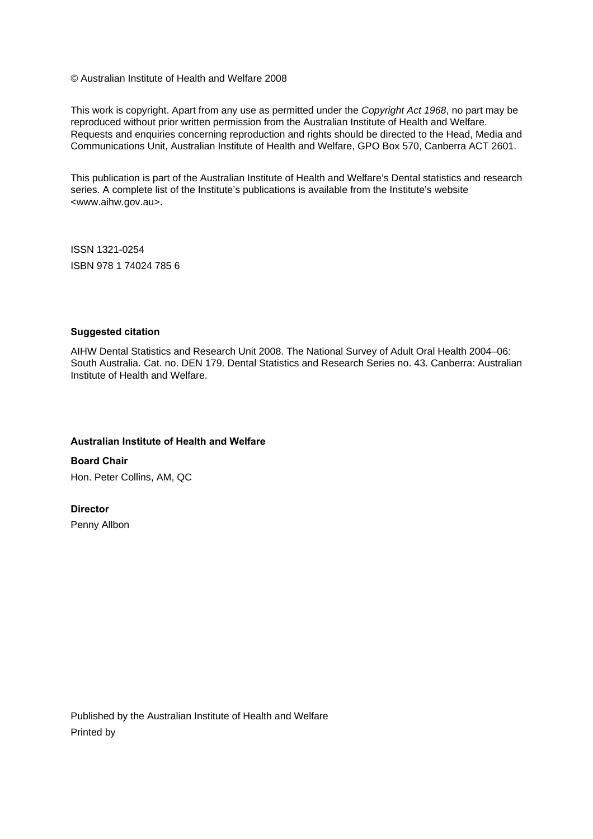© Australian Institute of Health and Welfare 2008

This work is copyright. Apart from any use as permitted under the *Copyright Act 1968*, no part may be reproduced without prior written permission from the Australian Institute of Health and Welfare. Requests and enquiries concerning reproduction and rights should be directed to the Head, Media and Communications Unit, Australian Institute of Health and Welfare, GPO Box 570, Canberra ACT 2601.

This publication is part of the Australian Institute of Health and Welfare's Dental statistics and research series. A complete list of the Institute's publications is available from the Institute's website <www.aihw.gov.au>.

ISSN 1321-0254 ISBN 978 1 74024 785 6

#### **Suggested citation**

AIHW Dental Statistics and Research Unit 2008. The National Survey of Adult Oral Health 2004–06: South Australia. Cat. no. DEN 179. Dental Statistics and Research Series no. 43. Canberra: Australian Institute of Health and Welfare.

#### **Australian Institute of Health and Welfare**

**Board Chair**  Hon. Peter Collins, AM, QC

#### **Director**

Penny Allbon

Published by the Australian Institute of Health and Welfare Printed by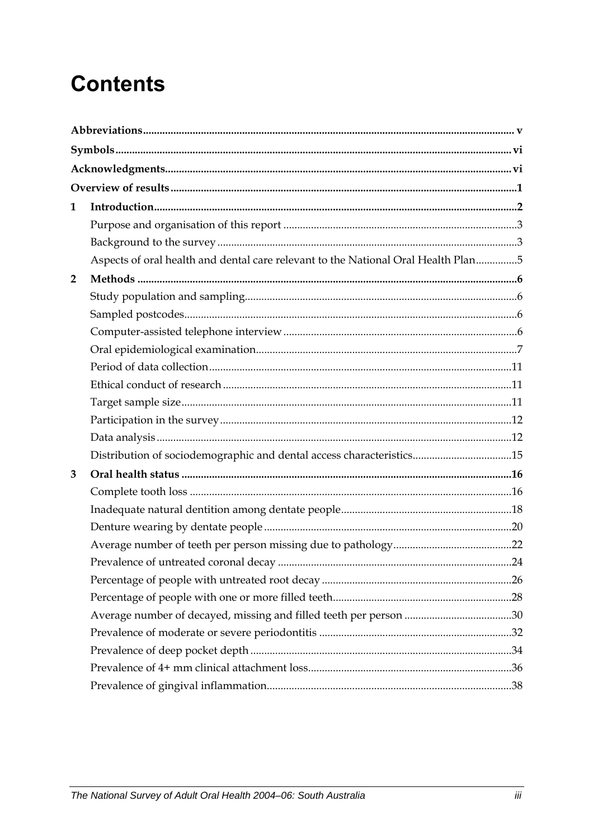# **Contents**

| 1              |                                                                                   |  |
|----------------|-----------------------------------------------------------------------------------|--|
|                |                                                                                   |  |
|                |                                                                                   |  |
|                | Aspects of oral health and dental care relevant to the National Oral Health Plan5 |  |
| $\overline{2}$ |                                                                                   |  |
|                |                                                                                   |  |
|                |                                                                                   |  |
|                |                                                                                   |  |
|                |                                                                                   |  |
|                |                                                                                   |  |
|                |                                                                                   |  |
|                |                                                                                   |  |
|                |                                                                                   |  |
|                |                                                                                   |  |
|                | Distribution of sociodemographic and dental access characteristics15              |  |
| 3              |                                                                                   |  |
|                |                                                                                   |  |
|                |                                                                                   |  |
|                |                                                                                   |  |
|                |                                                                                   |  |
|                |                                                                                   |  |
|                |                                                                                   |  |
|                |                                                                                   |  |
|                |                                                                                   |  |
|                |                                                                                   |  |
|                |                                                                                   |  |
|                |                                                                                   |  |
|                |                                                                                   |  |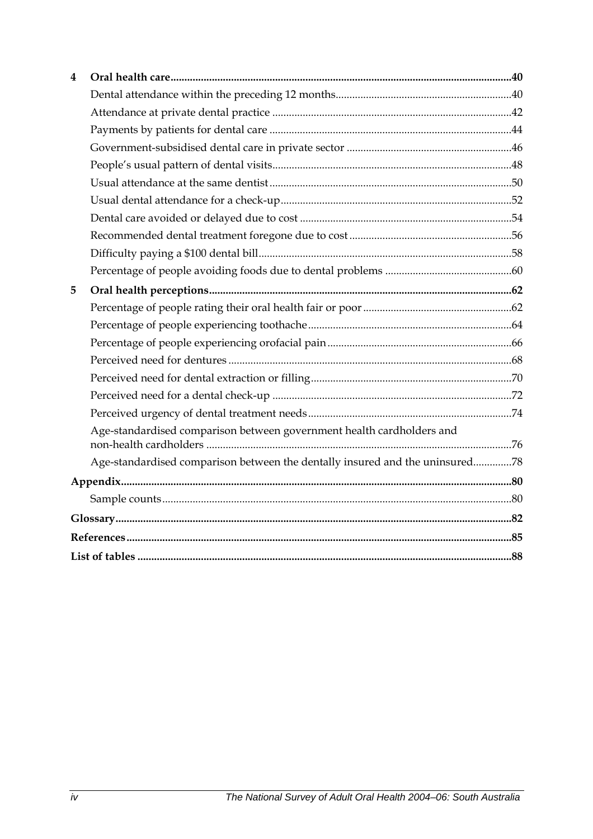| 4 |                                                                              |  |  |  |  |
|---|------------------------------------------------------------------------------|--|--|--|--|
|   |                                                                              |  |  |  |  |
|   |                                                                              |  |  |  |  |
|   |                                                                              |  |  |  |  |
|   |                                                                              |  |  |  |  |
|   |                                                                              |  |  |  |  |
|   |                                                                              |  |  |  |  |
|   |                                                                              |  |  |  |  |
|   |                                                                              |  |  |  |  |
|   |                                                                              |  |  |  |  |
|   |                                                                              |  |  |  |  |
|   |                                                                              |  |  |  |  |
| 5 |                                                                              |  |  |  |  |
|   |                                                                              |  |  |  |  |
|   |                                                                              |  |  |  |  |
|   |                                                                              |  |  |  |  |
|   |                                                                              |  |  |  |  |
|   |                                                                              |  |  |  |  |
|   |                                                                              |  |  |  |  |
|   |                                                                              |  |  |  |  |
|   | Age-standardised comparison between government health cardholders and        |  |  |  |  |
|   | Age-standardised comparison between the dentally insured and the uninsured78 |  |  |  |  |
|   |                                                                              |  |  |  |  |
|   |                                                                              |  |  |  |  |
|   |                                                                              |  |  |  |  |
|   |                                                                              |  |  |  |  |
|   |                                                                              |  |  |  |  |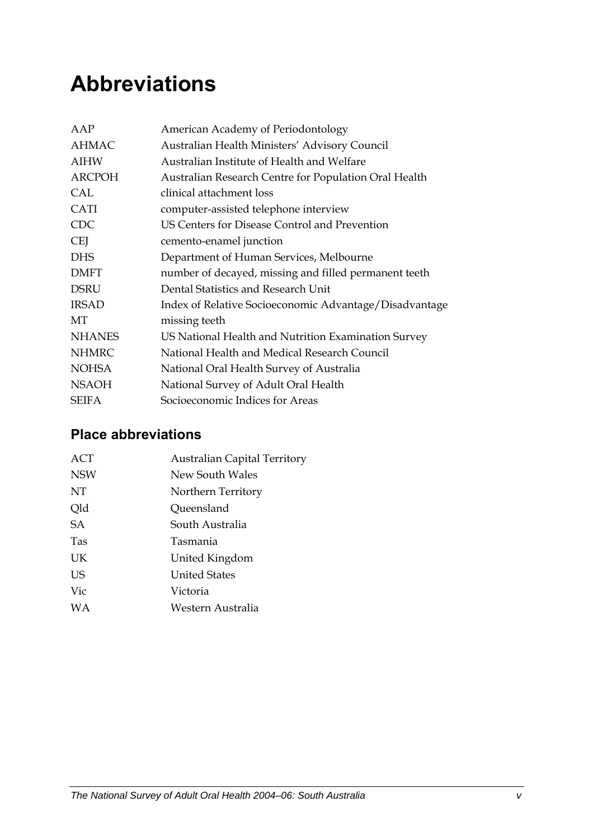# <span id="page-4-0"></span>**Abbreviations**

| AAP           | American Academy of Periodontology                     |
|---------------|--------------------------------------------------------|
| <b>AHMAC</b>  | Australian Health Ministers' Advisory Council          |
| <b>AIHW</b>   | Australian Institute of Health and Welfare             |
| <b>ARCPOH</b> | Australian Research Centre for Population Oral Health  |
| <b>CAL</b>    | clinical attachment loss                               |
| <b>CATI</b>   | computer-assisted telephone interview                  |
| <b>CDC</b>    | US Centers for Disease Control and Prevention          |
| <b>CEI</b>    | cemento-enamel junction                                |
| <b>DHS</b>    | Department of Human Services, Melbourne                |
| <b>DMFT</b>   | number of decayed, missing and filled permanent teeth  |
| <b>DSRU</b>   | Dental Statistics and Research Unit                    |
| <b>IRSAD</b>  | Index of Relative Socioeconomic Advantage/Disadvantage |
| МT            | missing teeth                                          |
| <b>NHANES</b> | US National Health and Nutrition Examination Survey    |
| <b>NHMRC</b>  | National Health and Medical Research Council           |
| <b>NOHSA</b>  | National Oral Health Survey of Australia               |
| <b>NSAOH</b>  | National Survey of Adult Oral Health                   |
| <b>SEIFA</b>  | Socioeconomic Indices for Areas                        |

### **Place abbreviations**

| <b>ACT</b> | <b>Australian Capital Territory</b> |
|------------|-------------------------------------|
| <b>NSW</b> | New South Wales                     |
| NT         | Northern Territory                  |
| Qld        | Queensland                          |
| <b>SA</b>  | South Australia                     |
| <b>Tas</b> | Tasmania                            |
| UK         | United Kingdom                      |
| <b>US</b>  | <b>United States</b>                |
| Vic        | Victoria                            |
| WA         | Western Australia                   |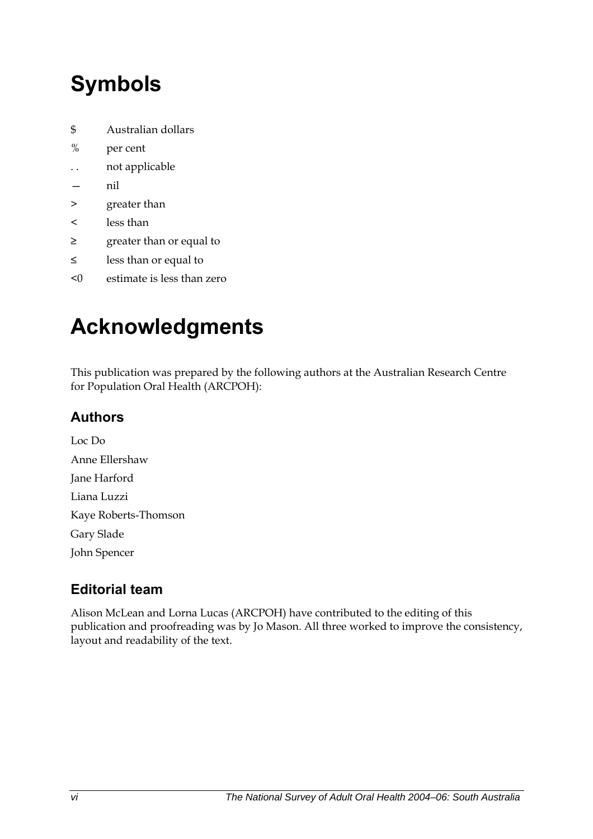# <span id="page-5-0"></span>**Symbols**

- \$ Australian dollars
- % per cent
- . . not applicable
- nil
- > greater than
- < less than
- ≥ greater than or equal to
- ≤ less than or equal to
- <0 estimate is less than zero

# **Acknowledgments**

This publication was prepared by the following authors at the Australian Research Centre for Population Oral Health (ARCPOH):

### **Authors**

Loc Do Anne Ellershaw Jane Harford Liana Luzzi Kaye Roberts-Thomson Gary Slade John Spencer

## **Editorial team**

Alison McLean and Lorna Lucas (ARCPOH) have contributed to the editing of this publication and proofreading was by Jo Mason. All three worked to improve the consistency, layout and readability of the text.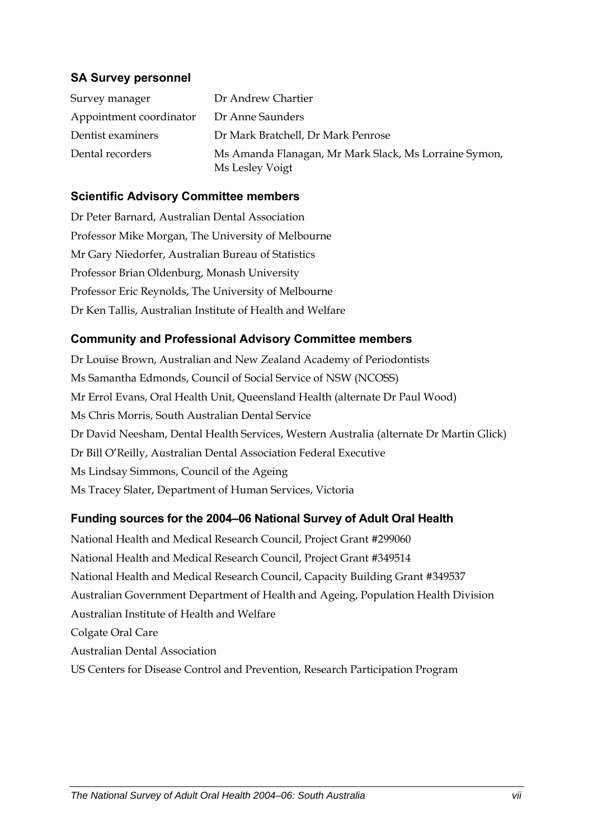#### **SA Survey personnel**

| Survey manager          | Dr Andrew Chartier                                                       |
|-------------------------|--------------------------------------------------------------------------|
| Appointment coordinator | Dr Anne Saunders                                                         |
| Dentist examiners       | Dr Mark Bratchell, Dr Mark Penrose                                       |
| Dental recorders        | Ms Amanda Flanagan, Mr Mark Slack, Ms Lorraine Symon,<br>Ms Lesley Voigt |

#### **Scientific Advisory Committee members**

Dr Peter Barnard, Australian Dental Association Professor Mike Morgan, The University of Melbourne Mr Gary Niedorfer, Australian Bureau of Statistics Professor Brian Oldenburg, Monash University Professor Eric Reynolds, The University of Melbourne Dr Ken Tallis, Australian Institute of Health and Welfare

#### **Community and Professional Advisory Committee members**

Dr Louise Brown, Australian and New Zealand Academy of Periodontists Ms Samantha Edmonds, Council of Social Service of NSW (NCOSS) Mr Errol Evans, Oral Health Unit, Queensland Health (alternate Dr Paul Wood) Ms Chris Morris, South Australian Dental Service Dr David Neesham, Dental Health Services, Western Australia (alternate Dr Martin Glick) Dr Bill O'Reilly, Australian Dental Association Federal Executive Ms Lindsay Simmons, Council of the Ageing Ms Tracey Slater, Department of Human Services, Victoria

#### **Funding sources for the 2004–06 National Survey of Adult Oral Health**

National Health and Medical Research Council, Project Grant #299060 National Health and Medical Research Council, Project Grant #349514 National Health and Medical Research Council, Capacity Building Grant #349537 Australian Government Department of Health and Ageing, Population Health Division Australian Institute of Health and Welfare Colgate Oral Care Australian Dental Association US Centers for Disease Control and Prevention, Research Participation Program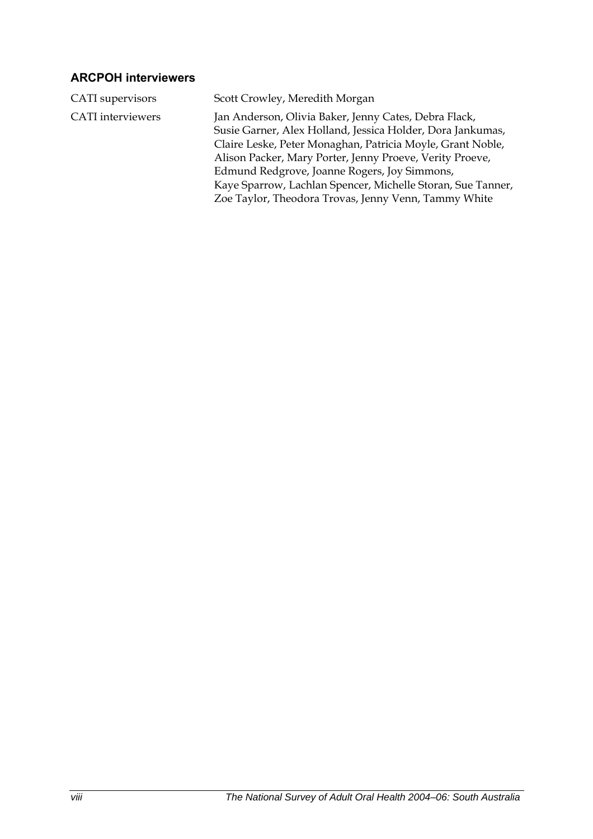### **ARCPOH interviewers**

| CATI supervisors         | Scott Crowley, Meredith Morgan                                                                                                                                                                                                                                                                                                                                                                                       |
|--------------------------|----------------------------------------------------------------------------------------------------------------------------------------------------------------------------------------------------------------------------------------------------------------------------------------------------------------------------------------------------------------------------------------------------------------------|
| <b>CATI</b> interviewers | Jan Anderson, Olivia Baker, Jenny Cates, Debra Flack,<br>Susie Garner, Alex Holland, Jessica Holder, Dora Jankumas,<br>Claire Leske, Peter Monaghan, Patricia Moyle, Grant Noble,<br>Alison Packer, Mary Porter, Jenny Proeve, Verity Proeve,<br>Edmund Redgrove, Joanne Rogers, Joy Simmons,<br>Kaye Sparrow, Lachlan Spencer, Michelle Storan, Sue Tanner,<br>Zoe Taylor, Theodora Trovas, Jenny Venn, Tammy White |
|                          |                                                                                                                                                                                                                                                                                                                                                                                                                      |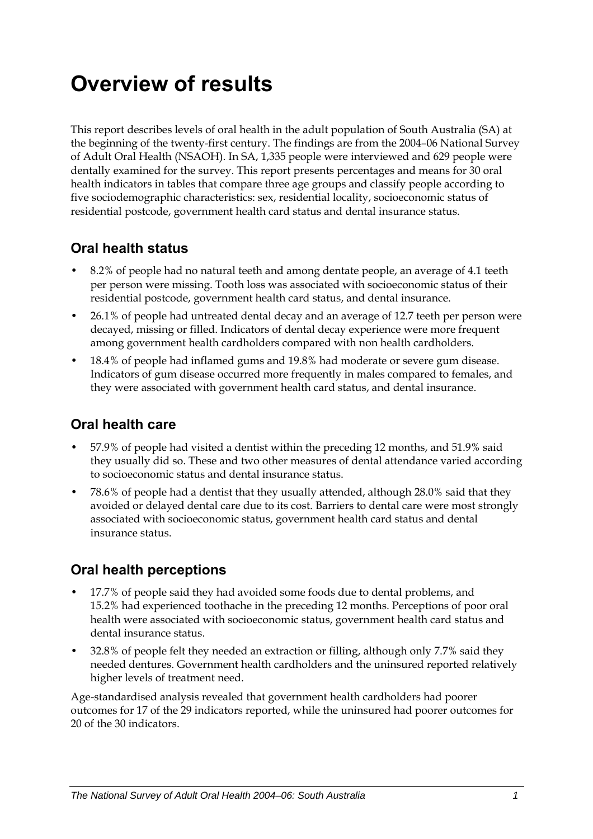# <span id="page-8-0"></span>**Overview of results**

This report describes levels of oral health in the adult population of South Australia (SA) at the beginning of the twenty-first century. The findings are from the 2004–06 National Survey of Adult Oral Health (NSAOH). In SA, 1,335 people were interviewed and 629 people were dentally examined for the survey. This report presents percentages and means for 30 oral health indicators in tables that compare three age groups and classify people according to five sociodemographic characteristics: sex, residential locality, socioeconomic status of residential postcode, government health card status and dental insurance status.

### **Oral health status**

- 8.2% of people had no natural teeth and among dentate people, an average of 4.1 teeth per person were missing. Tooth loss was associated with socioeconomic status of their residential postcode, government health card status, and dental insurance.
- 26.1% of people had untreated dental decay and an average of 12.7 teeth per person were decayed, missing or filled. Indicators of dental decay experience were more frequent among government health cardholders compared with non health cardholders.
- 18.4% of people had inflamed gums and 19.8% had moderate or severe gum disease. Indicators of gum disease occurred more frequently in males compared to females, and they were associated with government health card status, and dental insurance.

### **Oral health care**

- 57.9% of people had visited a dentist within the preceding 12 months, and 51.9% said they usually did so. These and two other measures of dental attendance varied according to socioeconomic status and dental insurance status.
- 78.6% of people had a dentist that they usually attended, although 28.0% said that they avoided or delayed dental care due to its cost. Barriers to dental care were most strongly associated with socioeconomic status, government health card status and dental insurance status.

### **Oral health perceptions**

- 17.7% of people said they had avoided some foods due to dental problems, and 15.2% had experienced toothache in the preceding 12 months. Perceptions of poor oral health were associated with socioeconomic status, government health card status and dental insurance status.
- 32.8% of people felt they needed an extraction or filling, although only 7.7% said they needed dentures. Government health cardholders and the uninsured reported relatively higher levels of treatment need.

Age-standardised analysis revealed that government health cardholders had poorer outcomes for 17 of the 29 indicators reported, while the uninsured had poorer outcomes for 20 of the 30 indicators.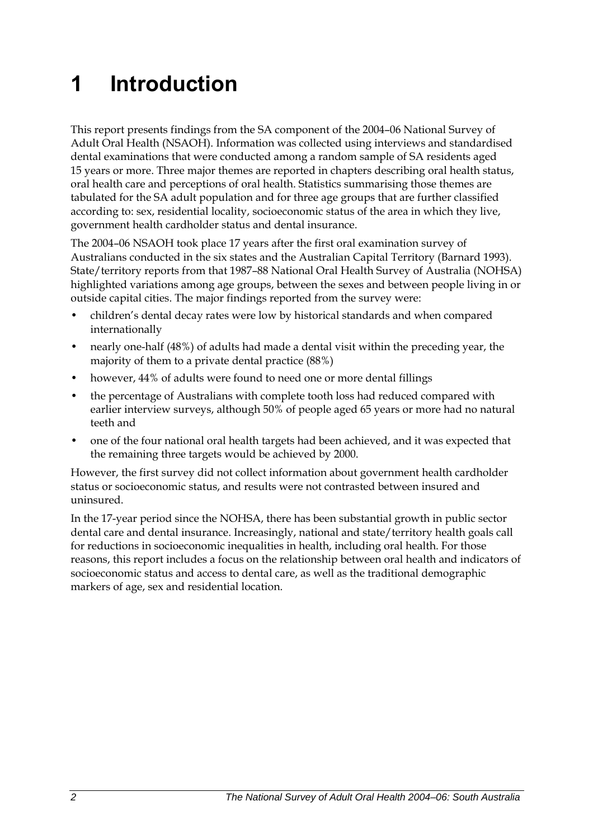# <span id="page-9-0"></span>**1 Introduction**

<span id="page-9-1"></span>This report presents findings from the SA component of the 2004–06 National Survey of Adult Oral Health (NSAOH). Information was collected using interviews and standardised dental examinations that were conducted among a random sample of SA residents aged 15 years or more. Three major themes are reported in chapters describing oral health status, oral health care and perceptions of oral health. Statistics summarising those themes are tabulated for the [SA](#page-9-1) adult population and for three age groups that are further classified according to: sex, residential locality, socioeconomic status of the area in which they live, government health cardholder status and dental insurance.

The 2004–06 NSAOH took place 17 years after the first oral examination survey of Australians conducted in the six states and the Australian Capital Territory (Barnard 1993). State/territory reports from that 1987–88 National Oral Health Survey of Australia (NOHSA) highlighted variations among age groups, between the sexes and between people living in or outside capital cities. The major findings reported from the survey were:

- children's dental decay rates were low by historical standards and when compared internationally
- nearly one-half (48%) of adults had made a dental visit within the preceding year, the majority of them to a private dental practice (88%)
- however, 44% of adults were found to need one or more dental fillings
- the percentage of Australians with complete tooth loss had reduced compared with earlier interview surveys, although 50% of people aged 65 years or more had no natural teeth and
- one of the four national oral health targets had been achieved, and it was expected that the remaining three targets would be achieved by 2000.

However, the first survey did not collect information about government health cardholder status or socioeconomic status, and results were not contrasted between insured and uninsured.

In the 17-year period since the NOHSA, there has been substantial growth in public sector dental care and dental insurance. Increasingly, national and state/territory health goals call for reductions in socioeconomic inequalities in health, including oral health. For those reasons, this report includes a focus on the relationship between oral health and indicators of socioeconomic status and access to dental care, as well as the traditional demographic markers of age, sex and residential location.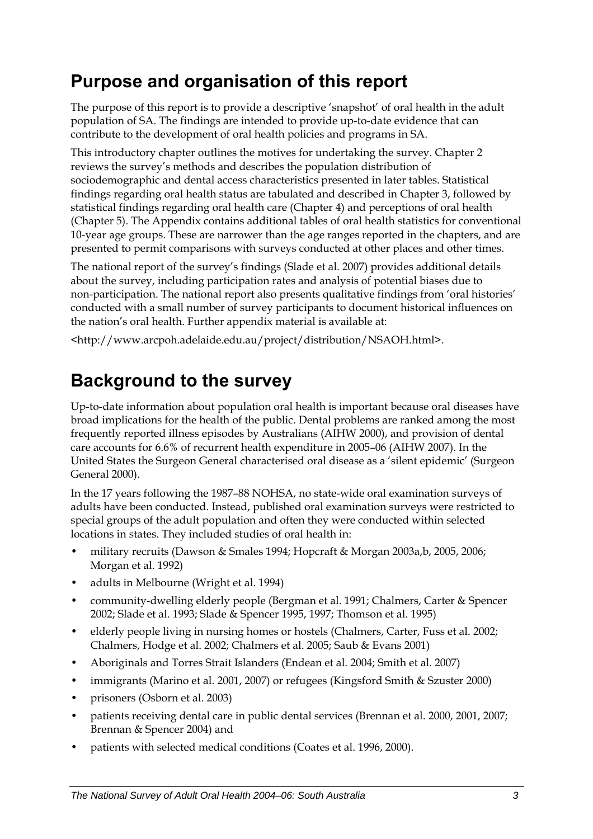# <span id="page-10-0"></span>**Purpose and organisation of this report**

The purpose of this report is to provide a descriptive 'snapshot' of oral health in the adult population of [SA](#page-9-1). The findings are intended to provide up-to-date evidence that can contribute to the development of oral health policies and programs in [SA](#page-9-1).

This introductory chapter outlines the motives for undertaking the survey. Chapter 2 reviews the survey's methods and describes the population distribution of sociodemographic and dental access characteristics presented in later tables. Statistical findings regarding oral health status are tabulated and described in Chapter 3, followed by statistical findings regarding oral health care (Chapter 4) and perceptions of oral health (Chapter 5). The Appendix contains additional tables of oral health statistics for conventional 10-year age groups. These are narrower than the age ranges reported in the chapters, and are presented to permit comparisons with surveys conducted at other places and other times.

The national report of the survey's findings (Slade et al. 2007) provides additional details about the survey, including participation rates and analysis of potential biases due to non-participation. The national report also presents qualitative findings from 'oral histories' conducted with a small number of survey participants to document historical influences on the nation's oral health. Further appendix material is available at:

<http://www.arcpoh.adelaide.edu.au/project/distribution/NSAOH.html>.

# **Background to the survey**

Up-to-date information about population oral health is important because oral diseases have broad implications for the health of the public. Dental problems are ranked among the most frequently reported illness episodes by Australians (AIHW 2000), and provision of dental care accounts for 6.6% of recurrent health expenditure in 2005–06 (AIHW 2007). In the United States the Surgeon General characterised oral disease as a 'silent epidemic' (Surgeon General 2000).

In the 17 years following the 1987–88 NOHSA, no state-wide oral examination surveys of adults have been conducted. Instead, published oral examination surveys were restricted to special groups of the adult population and often they were conducted within selected locations in states. They included studies of oral health in:

- military recruits (Dawson & Smales 1994; Hopcraft & Morgan 2003a,b, 2005, 2006; Morgan et al. 1992)
- adults in Melbourne (Wright et al. 1994)
- community-dwelling elderly people (Bergman et al. 1991; Chalmers, Carter & Spencer 2002; Slade et al. 1993; Slade & Spencer 1995, 1997; Thomson et al. 1995)
- elderly people living in nursing homes or hostels (Chalmers, Carter, Fuss et al. 2002; Chalmers, Hodge et al. 2002; Chalmers et al. 2005; Saub & Evans 2001)
- Aboriginals and Torres Strait Islanders (Endean et al. 2004; Smith et al. 2007)
- immigrants (Marino et al. 2001, 2007) or refugees (Kingsford Smith & Szuster 2000)
- prisoners (Osborn et al. 2003)
- patients receiving dental care in public dental services (Brennan et al. 2000, 2001, 2007; Brennan & Spencer 2004) and
- patients with selected medical conditions (Coates et al. 1996, 2000).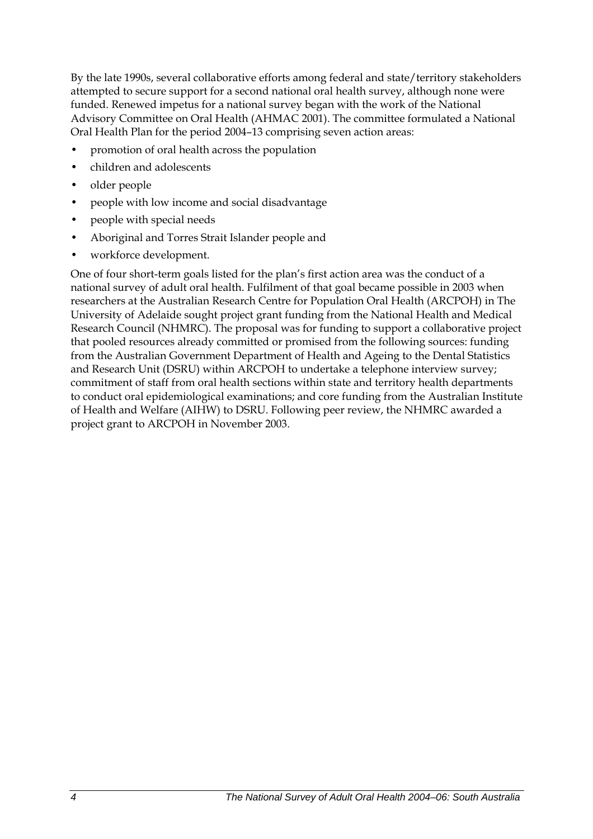By the late 1990s, several collaborative efforts among federal and state/territory stakeholders attempted to secure support for a second national oral health survey, although none were funded. Renewed impetus for a national survey began with the work of the National Advisory Committee on Oral Health (AHMAC 2001). The committee formulated a National Oral Health Plan for the period 2004–13 comprising seven action areas:

- promotion of oral health across the population
- children and adolescents
- older people
- people with low income and social disadvantage
- people with special needs
- Aboriginal and Torres Strait Islander people and
- workforce development.

One of four short-term goals listed for the plan's first action area was the conduct of a national survey of adult oral health. Fulfilment of that goal became possible in 2003 when researchers at the Australian Research Centre for Population Oral Health (ARCPOH) in The University of Adelaide sought project grant funding from the National Health and Medical Research Council (NHMRC). The proposal was for funding to support a collaborative project that pooled resources already committed or promised from the following sources: funding from the Australian Government Department of Health and Ageing to the Dental Statistics and Research Unit (DSRU) within ARCPOH to undertake a telephone interview survey; commitment of staff from oral health sections within state and territory health departments to conduct oral epidemiological examinations; and core funding from the Australian Institute of Health and Welfare (AIHW) to DSRU. Following peer review, the NHMRC awarded a project grant to ARCPOH in November 2003.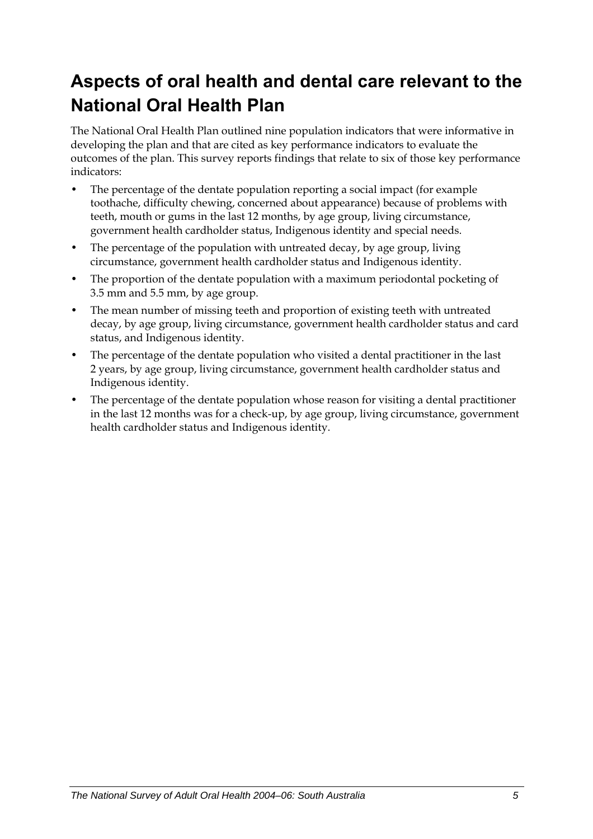# <span id="page-12-0"></span>**Aspects of oral health and dental care relevant to the National Oral Health Plan**

The National Oral Health Plan outlined nine population indicators that were informative in developing the plan and that are cited as key performance indicators to evaluate the outcomes of the plan. This survey reports findings that relate to six of those key performance indicators:

- The percentage of the dentate population reporting a social impact (for example toothache, difficulty chewing, concerned about appearance) because of problems with teeth, mouth or gums in the last 12 months, by age group, living circumstance, government health cardholder status, Indigenous identity and special needs.
- The percentage of the population with untreated decay, by age group, living circumstance, government health cardholder status and Indigenous identity.
- The proportion of the dentate population with a maximum periodontal pocketing of 3.5 mm and 5.5 mm, by age group.
- The mean number of missing teeth and proportion of existing teeth with untreated decay, by age group, living circumstance, government health cardholder status and card status, and Indigenous identity.
- The percentage of the dentate population who visited a dental practitioner in the last 2 years, by age group, living circumstance, government health cardholder status and Indigenous identity.
- The percentage of the dentate population whose reason for visiting a dental practitioner in the last 12 months was for a check-up, by age group, living circumstance, government health cardholder status and Indigenous identity.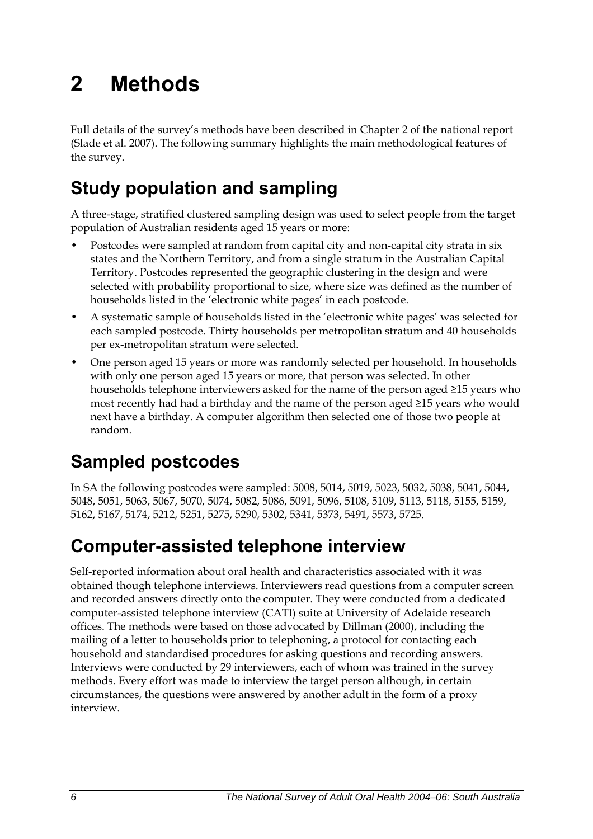# <span id="page-13-0"></span>**2 Methods**

Full details of the survey's methods have been described in Chapter 2 of the national report (Slade et al. 2007). The following summary highlights the main methodological features of the survey.

# **Study population and sampling**

A three-stage, stratified clustered sampling design was used to select people from the target population of Australian residents aged 15 years or more:

- Postcodes were sampled at random from capital city and non-capital city strata in six states and the Northern Territory, and from a single stratum in the Australian Capital Territory. Postcodes represented the geographic clustering in the design and were selected with probability proportional to size, where size was defined as the number of households listed in the 'electronic white pages' in each postcode.
- A systematic sample of households listed in the 'electronic white pages' was selected for each sampled postcode. Thirty households per metropolitan stratum and 40 households per ex-metropolitan stratum were selected.
- One person aged 15 years or more was randomly selected per household. In households with only one person aged 15 years or more, that person was selected. In other households telephone interviewers asked for the name of the person aged ≥15 years who most recently had had a birthday and the name of the person aged ≥15 years who would next have a birthday. A computer algorithm then selected one of those two people at random.

# **Sampled postcodes**

In SA the following postcodes were sampled: 5008, 5014, 5019, 5023, 5032, 5038, 5041, 5044, 5048, 5051, 5063, 5067, 5070, 5074, 5082, 5086, 5091, 5096, 5108, 5109, 5113, 5118, 5155, 5159, 5162, 5167, 5174, 5212, 5251, 5275, 5290, 5302, 5341, 5373, 5491, 5573, 5725.

# **Computer-assisted telephone interview**

Self-reported information about oral health and characteristics associated with it was obtained though telephone interviews. Interviewers read questions from a computer screen and recorded answers directly onto the computer. They were conducted from a dedicated computer-assisted telephone interview (CATI) suite at University of Adelaide research offices. The methods were based on those advocated by Dillman (2000), including the mailing of a letter to households prior to telephoning, a protocol for contacting each household and standardised procedures for asking questions and recording answers. Interviews were conducted by 29 interviewers, each of whom was trained in the survey methods. Every effort was made to interview the target person although, in certain circumstances, the questions were answered by another adult in the form of a proxy interview.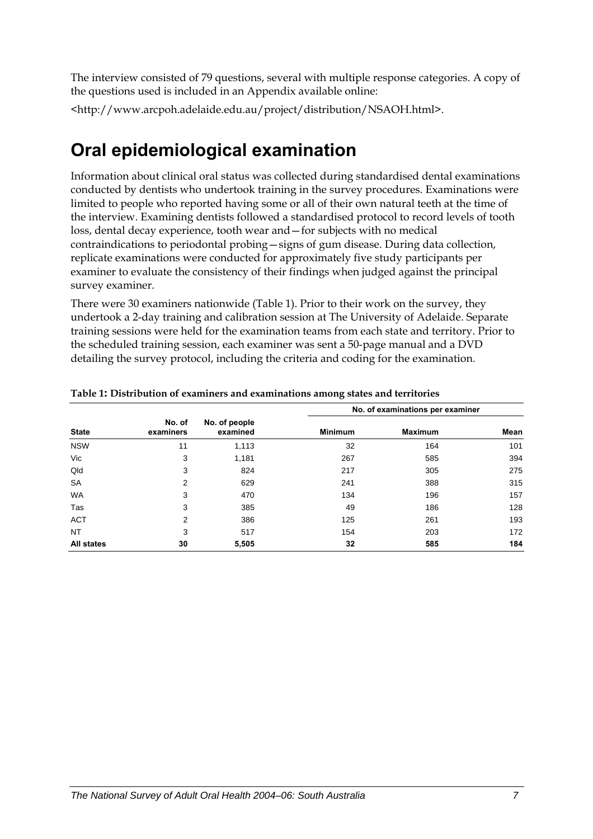<span id="page-14-0"></span>The interview consisted of 79 questions, several with multiple response categories. A copy of the questions used is included in an Appendix available online:

<http://www.arcpoh.adelaide.edu.au/project/distribution/NSAOH.html>.

## **Oral epidemiological examination**

Information about clinical oral status was collected during standardised dental examinations conducted by dentists who undertook training in the survey procedures. Examinations were limited to people who reported having some or all of their own natural teeth at the time of the interview. Examining dentists followed a standardised protocol to record levels of tooth loss, dental decay experience, tooth wear and—for subjects with no medical contraindications to periodontal probing—signs of gum disease. During data collection, replicate examinations were conducted for approximately five study participants per examiner to evaluate the consistency of their findings when judged against the principal survey examiner.

There were 30 examiners nationwide ([Table 1\)](#page-14-1). Prior to their work on the survey, they undertook a 2-day training and calibration session at The University of Adelaide. Separate training sessions were held for the examination teams from each state and territory. Prior to the scheduled training session, each examiner was sent a 50-page manual and a DVD detailing the survey protocol, including the criteria and coding for the examination.

|                   |                     |                           |                | No. of examinations per examiner |      |  |  |  |
|-------------------|---------------------|---------------------------|----------------|----------------------------------|------|--|--|--|
| <b>State</b>      | No. of<br>examiners | No. of people<br>examined | <b>Minimum</b> | <b>Maximum</b>                   | Mean |  |  |  |
| <b>NSW</b>        | 11                  | 1,113                     | 32             | 164                              | 101  |  |  |  |
| Vic               | 3                   | 1,181                     | 267            | 585                              | 394  |  |  |  |
| Qld               | 3                   | 824                       | 217            | 305                              | 275  |  |  |  |
| <b>SA</b>         | 2                   | 629                       | 241            | 388                              | 315  |  |  |  |
| WA                | 3                   | 470                       | 134            | 196                              | 157  |  |  |  |
| Tas               | 3                   | 385                       | 49             | 186                              | 128  |  |  |  |
| <b>ACT</b>        | 2                   | 386                       | 125            | 261                              | 193  |  |  |  |
| NT                | 3                   | 517                       | 154            | 203                              | 172  |  |  |  |
| <b>All states</b> | 30                  | 5,505                     | 32             | 585                              | 184  |  |  |  |

<span id="page-14-1"></span>

|  | Table 1: Distribution of examiners and examinations among states and territories |
|--|----------------------------------------------------------------------------------|
|--|----------------------------------------------------------------------------------|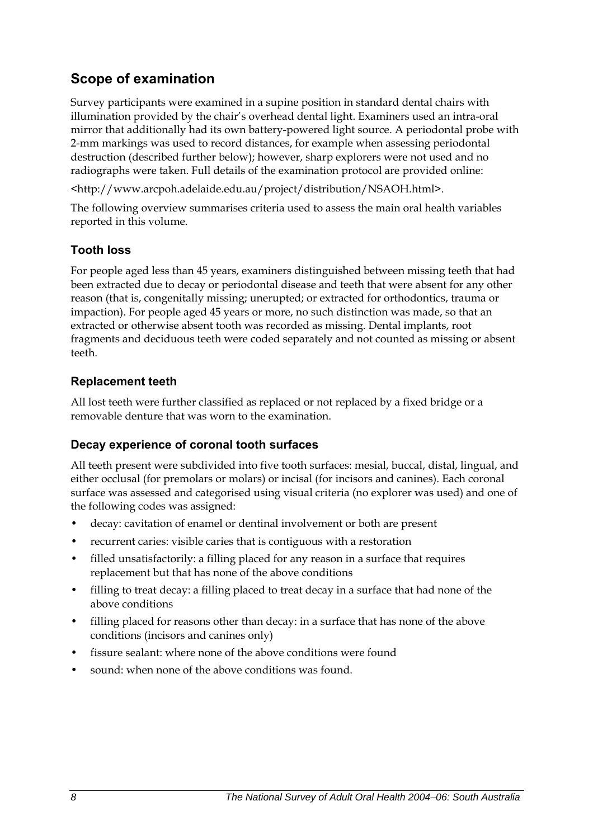### **Scope of examination**

Survey participants were examined in a supine position in standard dental chairs with illumination provided by the chair's overhead dental light. Examiners used an intra-oral mirror that additionally had its own battery-powered light source. A periodontal probe with 2-mm markings was used to record distances, for example when assessing periodontal destruction (described further below); however, sharp explorers were not used and no radiographs were taken. Full details of the examination protocol are provided online:

<http://www.arcpoh.adelaide.edu.au/project/distribution/NSAOH.html>.

The following overview summarises criteria used to assess the main oral health variables reported in this volume.

#### **Tooth loss**

For people aged less than 45 years, examiners distinguished between missing teeth that had been extracted due to decay or periodontal disease and teeth that were absent for any other reason (that is, congenitally missing; unerupted; or extracted for orthodontics, trauma or impaction). For people aged 45 years or more, no such distinction was made, so that an extracted or otherwise absent tooth was recorded as missing. Dental implants, root fragments and deciduous teeth were coded separately and not counted as missing or absent teeth.

#### **Replacement teeth**

All lost teeth were further classified as replaced or not replaced by a fixed bridge or a removable denture that was worn to the examination.

#### **Decay experience of coronal tooth surfaces**

All teeth present were subdivided into five tooth surfaces: mesial, buccal, distal, lingual, and either occlusal (for premolars or molars) or incisal (for incisors and canines). Each coronal surface was assessed and categorised using visual criteria (no explorer was used) and one of the following codes was assigned:

- decay: cavitation of enamel or dentinal involvement or both are present
- recurrent caries: visible caries that is contiguous with a restoration
- filled unsatisfactorily: a filling placed for any reason in a surface that requires replacement but that has none of the above conditions
- filling to treat decay: a filling placed to treat decay in a surface that had none of the above conditions
- filling placed for reasons other than decay: in a surface that has none of the above conditions (incisors and canines only)
- fissure sealant: where none of the above conditions were found
- sound: when none of the above conditions was found.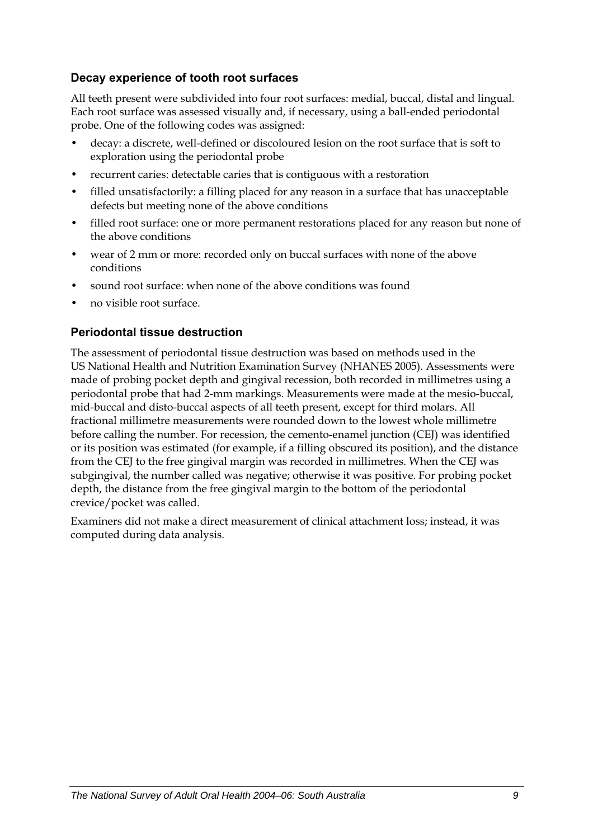#### **Decay experience of tooth root surfaces**

All teeth present were subdivided into four root surfaces: medial, buccal, distal and lingual. Each root surface was assessed visually and, if necessary, using a ball-ended periodontal probe. One of the following codes was assigned:

- decay: a discrete, well-defined or discoloured lesion on the root surface that is soft to exploration using the periodontal probe
- recurrent caries: detectable caries that is contiguous with a restoration
- filled unsatisfactorily: a filling placed for any reason in a surface that has unacceptable defects but meeting none of the above conditions
- filled root surface: one or more permanent restorations placed for any reason but none of the above conditions
- wear of 2 mm or more: recorded only on buccal surfaces with none of the above conditions
- sound root surface: when none of the above conditions was found
- no visible root surface.

#### **Periodontal tissue destruction**

The assessment of periodontal tissue destruction was based on methods used in the US National Health and Nutrition Examination Survey (NHANES 2005). Assessments were made of probing pocket depth and gingival recession, both recorded in millimetres using a periodontal probe that had 2-mm markings. Measurements were made at the mesio-buccal, mid-buccal and disto-buccal aspects of all teeth present, except for third molars. All fractional millimetre measurements were rounded down to the lowest whole millimetre before calling the number. For recession, the cemento-enamel junction (CEJ) was identified or its position was estimated (for example, if a filling obscured its position), and the distance from the CEJ to the free gingival margin was recorded in millimetres. When the CEJ was subgingival, the number called was negative; otherwise it was positive. For probing pocket depth, the distance from the free gingival margin to the bottom of the periodontal crevice/pocket was called.

Examiners did not make a direct measurement of clinical attachment loss; instead, it was computed during data analysis.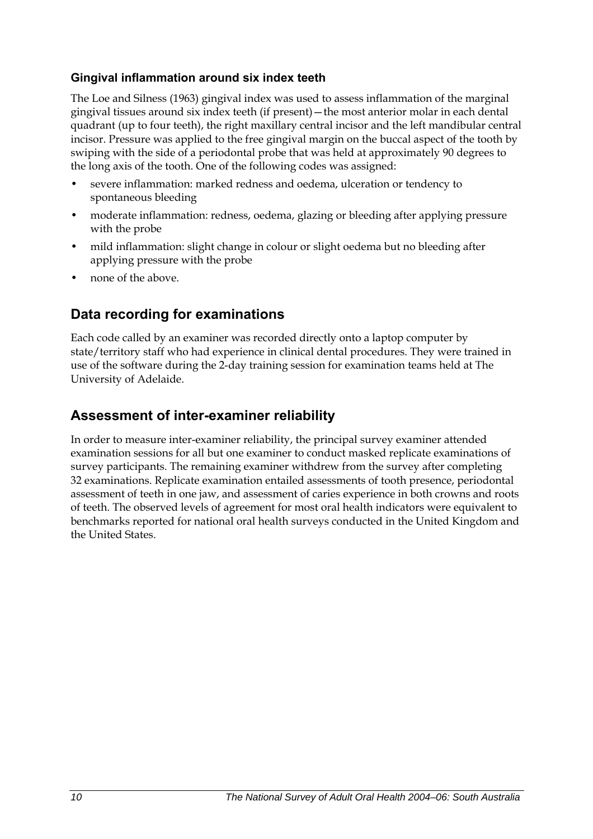#### **Gingival inflammation around six index teeth**

The Loe and Silness (1963) gingival index was used to assess inflammation of the marginal gingival tissues around six index teeth (if present)—the most anterior molar in each dental quadrant (up to four teeth), the right maxillary central incisor and the left mandibular central incisor. Pressure was applied to the free gingival margin on the buccal aspect of the tooth by swiping with the side of a periodontal probe that was held at approximately 90 degrees to the long axis of the tooth. One of the following codes was assigned:

- severe inflammation: marked redness and oedema, ulceration or tendency to spontaneous bleeding
- moderate inflammation: redness, oedema, glazing or bleeding after applying pressure with the probe
- mild inflammation: slight change in colour or slight oedema but no bleeding after applying pressure with the probe
- none of the above.

### **Data recording for examinations**

Each code called by an examiner was recorded directly onto a laptop computer by state/territory staff who had experience in clinical dental procedures. They were trained in use of the software during the 2-day training session for examination teams held at The University of Adelaide.

### **Assessment of inter-examiner reliability**

In order to measure inter-examiner reliability, the principal survey examiner attended examination sessions for all but one examiner to conduct masked replicate examinations of survey participants. The remaining examiner withdrew from the survey after completing 32 examinations. Replicate examination entailed assessments of tooth presence, periodontal assessment of teeth in one jaw, and assessment of caries experience in both crowns and roots of teeth. The observed levels of agreement for most oral health indicators were equivalent to benchmarks reported for national oral health surveys conducted in the United Kingdom and the United States.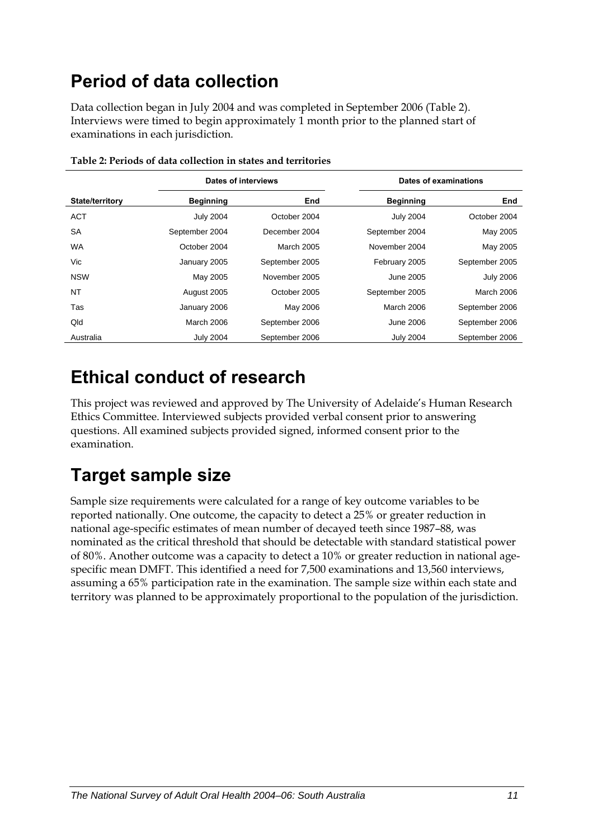# <span id="page-18-0"></span>**Period of data collection**

Data collection began in July 2004 and was completed in September 2006 ([Table 2\)](#page-18-1). Interviews were timed to begin approximately 1 month prior to the planned start of examinations in each jurisdiction.

<span id="page-18-1"></span>

|                        | Dates of interviews |                | Dates of examinations |                  |
|------------------------|---------------------|----------------|-----------------------|------------------|
| <b>State/territory</b> | <b>Beginning</b>    | End            | <b>Beginning</b>      | End              |
| <b>ACT</b>             | <b>July 2004</b>    | October 2004   | <b>July 2004</b>      | October 2004     |
| <b>SA</b>              | September 2004      | December 2004  | September 2004        | May 2005         |
| <b>WA</b>              | October 2004        | March 2005     | November 2004         | May 2005         |
| Vic                    | January 2005        | September 2005 | February 2005         | September 2005   |
| <b>NSW</b>             | May 2005            | November 2005  | June 2005             | <b>July 2006</b> |
| NT                     | August 2005         | October 2005   | September 2005        | March 2006       |
| Tas                    | January 2006        | May 2006       | March 2006            | September 2006   |
| Qld                    | <b>March 2006</b>   | September 2006 | June 2006             | September 2006   |
| Australia              | <b>July 2004</b>    | September 2006 | <b>July 2004</b>      | September 2006   |

**Table 2: Periods of data collection in states and territories** 

## **Ethical conduct of research**

This project was reviewed and approved by The University of Adelaide's Human Research Ethics Committee. Interviewed subjects provided verbal consent prior to answering questions. All examined subjects provided signed, informed consent prior to the examination.

# **Target sample size**

Sample size requirements were calculated for a range of key outcome variables to be reported nationally. One outcome, the capacity to detect a 25% or greater reduction in national age-specific estimates of mean number of decayed teeth since 1987–88, was nominated as the critical threshold that should be detectable with standard statistical power of 80%. Another outcome was a capacity to detect a 10% or greater reduction in national agespecific mean DMFT. This identified a need for 7,500 examinations and 13,560 interviews, assuming a 65% participation rate in the examination. The sample size within each state and territory was planned to be approximately proportional to the population of the jurisdiction.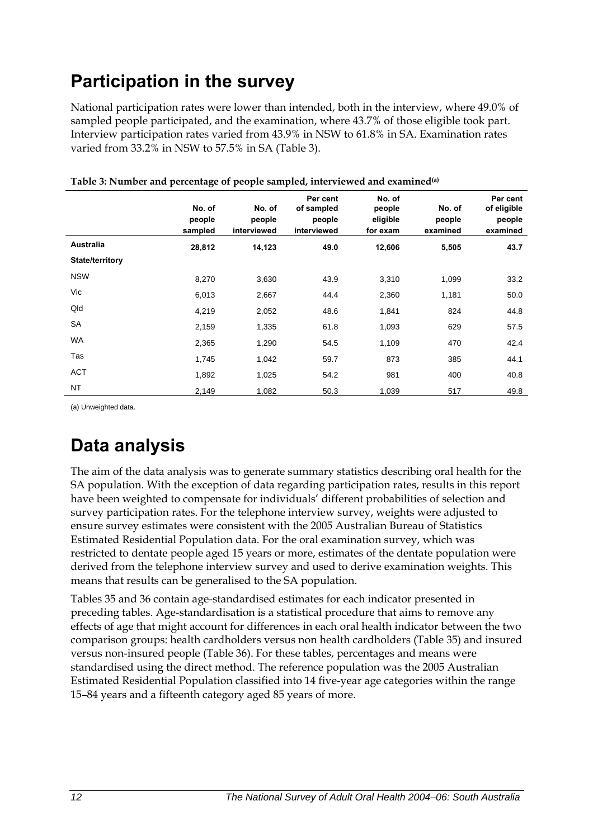# <span id="page-19-0"></span>**Participation in the survey**

National participation rates were lower than intended, both in the interview, where 49.0% of sampled people participated, and the examination, where 43.7% of those eligible took part. Interview participation rates varied from 43.9% in NSW to 61.8% in SA. Examination rates varied from 33.2% in NSW to 57.5% in SA [\(Table 3](#page-19-1)).

<span id="page-19-1"></span>

|                        | No. of<br>people<br>sampled | No. of<br>people<br>interviewed | Per cent<br>of sampled<br>people<br>interviewed | No. of<br>people<br>eligible<br>for exam | No. of<br>people<br>examined | Per cent<br>of eligible<br>people<br>examined |
|------------------------|-----------------------------|---------------------------------|-------------------------------------------------|------------------------------------------|------------------------------|-----------------------------------------------|
| Australia              | 28,812                      | 14,123                          | 49.0                                            | 12,606                                   | 5,505                        | 43.7                                          |
| <b>State/territory</b> |                             |                                 |                                                 |                                          |                              |                                               |
| <b>NSW</b>             | 8,270                       | 3,630                           | 43.9                                            | 3,310                                    | 1,099                        | 33.2                                          |
| Vic                    | 6,013                       | 2,667                           | 44.4                                            | 2,360                                    | 1,181                        | 50.0                                          |
| Qld                    | 4,219                       | 2,052                           | 48.6                                            | 1,841                                    | 824                          | 44.8                                          |
| <b>SA</b>              | 2,159                       | 1,335                           | 61.8                                            | 1,093                                    | 629                          | 57.5                                          |
| WA                     | 2,365                       | 1,290                           | 54.5                                            | 1,109                                    | 470                          | 42.4                                          |
| Tas                    | 1,745                       | 1,042                           | 59.7                                            | 873                                      | 385                          | 44.1                                          |
| <b>ACT</b>             | 1,892                       | 1,025                           | 54.2                                            | 981                                      | 400                          | 40.8                                          |
| <b>NT</b>              | 2,149                       | 1,082                           | 50.3                                            | 1,039                                    | 517                          | 49.8                                          |

#### **Table 3: Number and percentage of people sampled, interviewed and examined(a)**

(a) Unweighted data.

## **Data analysis**

The aim of the data analysis was to generate summary statistics describing oral health for the [SA](#page-9-1) population. With the exception of data regarding participation rates, results in this report have been weighted to compensate for individuals' different probabilities of selection and survey participation rates. For the telephone interview survey, weights were adjusted to ensure survey estimates were consistent with the 2005 Australian Bureau of Statistics Estimated Residential Population data. For the oral examination survey, which was restricted to dentate people aged 15 years or more, estimates of the dentate population were derived from the telephone interview survey and used to derive examination weights. This means that results can be generalised to the [SA](#page-9-1) population.

Tables 35 and 36 contain age-standardised estimates for each indicator presented in preceding tables. Age-standardisation is a statistical procedure that aims to remove any effects of age that might account for differences in each oral health indicator between the two comparison groups: health cardholders versus non health cardholders (Table 35) and insured versus non-insured people (Table 36). For these tables, percentages and means were standardised using the direct method. The reference population was the 2005 Australian Estimated Residential Population classified into 14 five-year age categories within the range 15–84 years and a fifteenth category aged 85 years of more.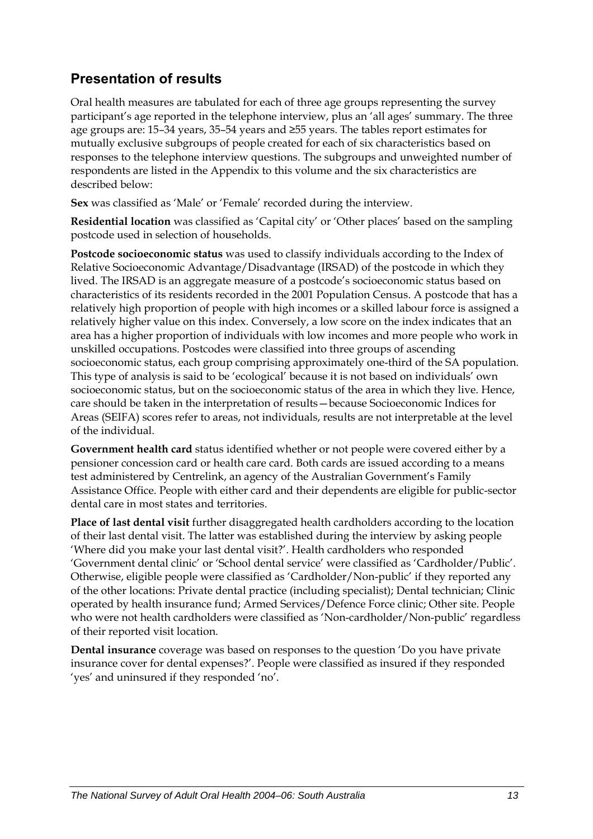### **Presentation of results**

Oral health measures are tabulated for each of three age groups representing the survey participant's age reported in the telephone interview, plus an 'all ages' summary. The three age groups are: 15–34 years, 35–54 years and ≥55 years. The tables report estimates for mutually exclusive subgroups of people created for each of six characteristics based on responses to the telephone interview questions. The subgroups and unweighted number of respondents are listed in the Appendix to this volume and the six characteristics are described below:

**Sex** was classified as 'Male' or 'Female' recorded during the interview.

**Residential location** was classified as 'Capital city' or 'Other places' based on the sampling postcode used in selection of households.

**Postcode socioeconomic status** was used to classify individuals according to the Index of Relative Socioeconomic Advantage/Disadvantage (IRSAD) of the postcode in which they lived. The IRSAD is an aggregate measure of a postcode's socioeconomic status based on characteristics of its residents recorded in the 2001 Population Census. A postcode that has a relatively high proportion of people with high incomes or a skilled labour force is assigned a relatively higher value on this index. Conversely, a low score on the index indicates that an area has a higher proportion of individuals with low incomes and more people who work in unskilled occupations. Postcodes were classified into three groups of ascending socioeconomic status, each group comprising approximately one-third of the SA population. This type of analysis is said to be 'ecological' because it is not based on individuals' own socioeconomic status, but on the socioeconomic status of the area in which they live. Hence, care should be taken in the interpretation of results—because Socioeconomic Indices for Areas (SEIFA) scores refer to areas, not individuals, results are not interpretable at the level of the individual.

**Government health card** status identified whether or not people were covered either by a pensioner concession card or health care card. Both cards are issued according to a means test administered by Centrelink, an agency of the Australian Government's Family Assistance Office. People with either card and their dependents are eligible for public-sector dental care in most states and territories.

**Place of last dental visit** further disaggregated health cardholders according to the location of their last dental visit. The latter was established during the interview by asking people 'Where did you make your last dental visit?'. Health cardholders who responded 'Government dental clinic' or 'School dental service' were classified as 'Cardholder/Public'. Otherwise, eligible people were classified as 'Cardholder/Non-public' if they reported any of the other locations: Private dental practice (including specialist); Dental technician; Clinic operated by health insurance fund; Armed Services/Defence Force clinic; Other site. People who were not health cardholders were classified as 'Non-cardholder/Non-public' regardless of their reported visit location.

**Dental insurance** coverage was based on responses to the question 'Do you have private insurance cover for dental expenses?'. People were classified as insured if they responded 'yes' and uninsured if they responded 'no'.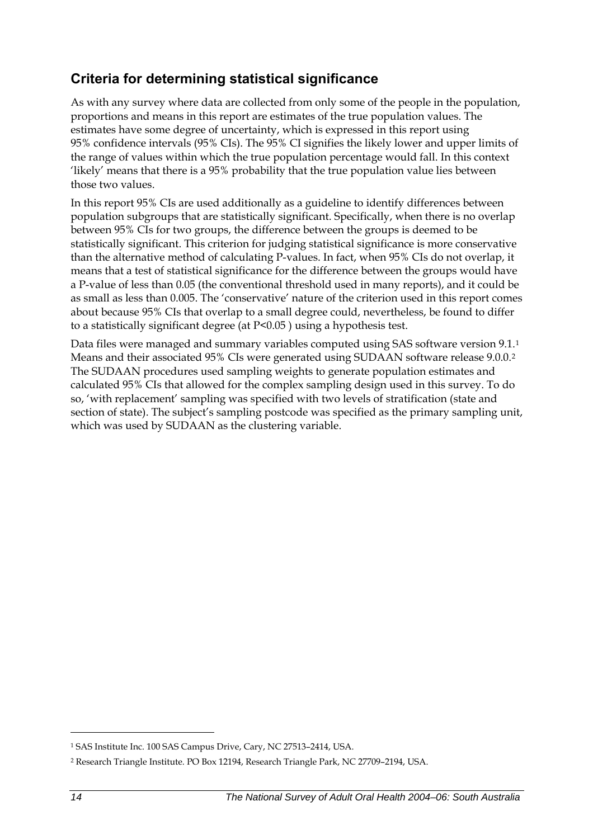### <span id="page-21-0"></span>**Criteria for determining statistical significance**

As with any survey where data are collected from only some of the people in the population, proportions and means in this report are estimates of the true population values. The estimates have some degree of uncertainty, which is expressed in this report using 95% confidence intervals (95% CIs). The 95% CI signifies the likely lower and upper limits of the range of values within which the true population percentage would fall. In this context 'likely' means that there is a 95% probability that the true population value lies between those two values.

In this report 95% CIs are used additionally as a guideline to identify differences between population subgroups that are statistically significant. Specifically, when there is no overlap between 95% CIs for two groups, the difference between the groups is deemed to be statistically significant. This criterion for judging statistical significance is more conservative than the alternative method of calculating P-values. In fact, when 95% CIs do not overlap, it means that a test of statistical significance for the difference between the groups would have a P-value of less than 0.05 (the conventional threshold used in many reports), and it could be as small as less than 0.005. The 'conservative' nature of the criterion used in this report comes about because 95% CIs that overlap to a small degree could, nevertheless, be found to differ to a statistically significant degree (at P<0.05 ) using a hypothesis test.

Data files were managed and summary variables computed using SAS software version 9[.1](#page-21-0).<sup>1</sup> Means and their associated 95% CIs were generated using SUDAAN software release 9.0.0.[2](#page-21-0) The SUDAAN procedures used sampling weights to generate population estimates and calculated 95% CIs that allowed for the complex sampling design used in this survey. To do so, 'with replacement' sampling was specified with two levels of stratification (state and section of state). The subject's sampling postcode was specified as the primary sampling unit, which was used by SUDAAN as the clustering variable.

 $\overline{a}$ 

<sup>1</sup> SAS Institute Inc. 100 SAS Campus Drive, Cary, NC 27513–2414, USA.

<sup>2</sup> Research Triangle Institute. PO Box 12194, Research Triangle Park, NC 27709–2194, USA.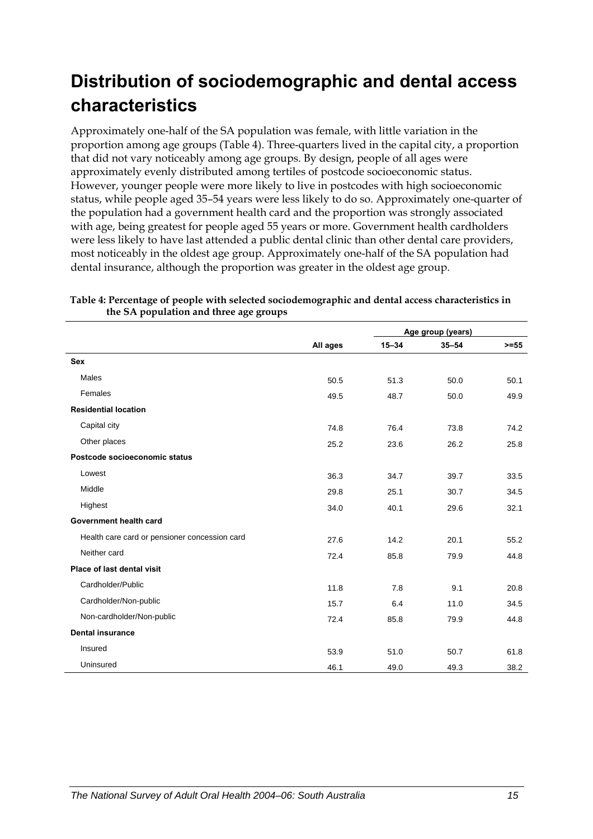# <span id="page-22-0"></span>**Distribution of sociodemographic and dental access characteristics**

Approximately one-half of the [SA](#page-9-1) population was female, with little variation in the proportion among age groups ([Table 4\)](#page-22-1). Three-quarters lived in the capital city, a proportion that did not vary noticeably among age groups. By design, people of all ages were approximately evenly distributed among tertiles of postcode socioeconomic status. However, younger people were more likely to live in postcodes with high socioeconomic status, while people aged 35–54 years were less likely to do so. Approximately one-quarter of the population had a government health card and the proportion was strongly associated with age, being greatest for people aged 55 years or more. Government health cardholders were less likely to have last attended a public dental clinic than other dental care providers, most noticeably in the oldest age group. Approximately one-half of the [SA](#page-9-1) population had dental insurance, although the proportion was greater in the oldest age group.

|                                               |          |           | Age group (years) |         |
|-----------------------------------------------|----------|-----------|-------------------|---------|
|                                               | All ages | $15 - 34$ | $35 - 54$         | $>= 55$ |
| <b>Sex</b>                                    |          |           |                   |         |
| <b>Males</b>                                  | 50.5     | 51.3      | 50.0              | 50.1    |
| Females                                       | 49.5     | 48.7      | 50.0              | 49.9    |
| <b>Residential location</b>                   |          |           |                   |         |
| Capital city                                  | 74.8     | 76.4      | 73.8              | 74.2    |
| Other places                                  | 25.2     | 23.6      | 26.2              | 25.8    |
| Postcode socioeconomic status                 |          |           |                   |         |
| Lowest                                        | 36.3     | 34.7      | 39.7              | 33.5    |
| Middle                                        | 29.8     | 25.1      | 30.7              | 34.5    |
| Highest                                       | 34.0     | 40.1      | 29.6              | 32.1    |
| Government health card                        |          |           |                   |         |
| Health care card or pensioner concession card | 27.6     | 14.2      | 20.1              | 55.2    |
| Neither card                                  | 72.4     | 85.8      | 79.9              | 44.8    |
| <b>Place of last dental visit</b>             |          |           |                   |         |
| Cardholder/Public                             | 11.8     | 7.8       | 9.1               | 20.8    |
| Cardholder/Non-public                         | 15.7     | 6.4       | 11.0              | 34.5    |
| Non-cardholder/Non-public                     | 72.4     | 85.8      | 79.9              | 44.8    |
| <b>Dental insurance</b>                       |          |           |                   |         |
| Insured                                       | 53.9     | 51.0      | 50.7              | 61.8    |
| Uninsured                                     | 46.1     | 49.0      | 49.3              | 38.2    |

<span id="page-22-1"></span>**Table 4: Percentage of people with selected sociodemographic and dental access characteristics in the [SA](#page-9-1) population and three age groups**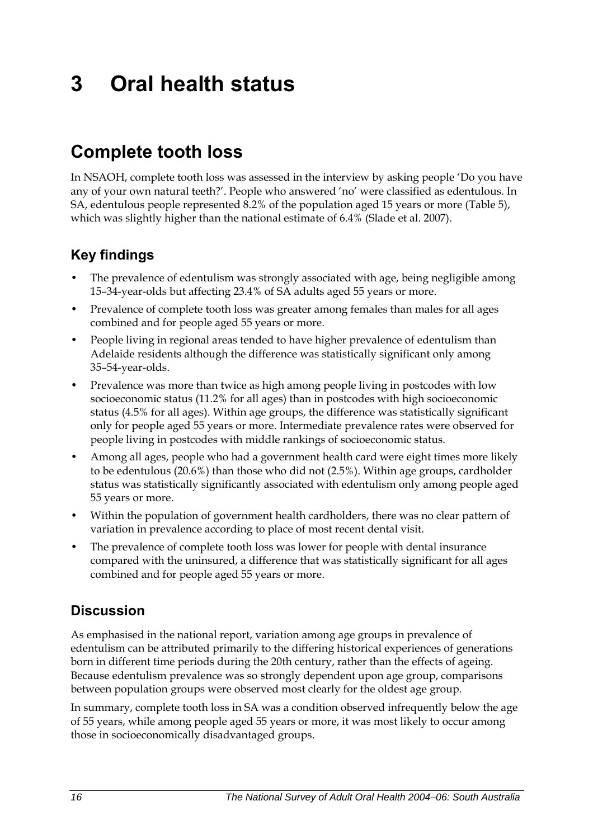# <span id="page-23-0"></span>**3 Oral health status**

# **Complete tooth loss**

In NSAOH, complete tooth loss was assessed in the interview by asking people 'Do you have any of your own natural teeth?'. People who answered 'no' were classified as edentulous. In SA, edentulous people represented 8.2% of the population aged 15 years or more (Table 5), which was slightly higher than the national estimate of 6.4% (Slade et al. 2007).

### **Key findings**

- The prevalence of edentulism was strongly associated with age, being negligible among 15–34-year-olds but affecting 23.4% of SA adults aged 55 years or more.
- Prevalence of complete tooth loss was greater among females than males for all ages combined and for people aged 55 years or more.
- People living in regional areas tended to have higher prevalence of edentulism than Adelaide residents although the difference was statistically significant only among 35–54-year-olds.
- Prevalence was more than twice as high among people living in postcodes with low socioeconomic status (11.2% for all ages) than in postcodes with high socioeconomic status (4.5% for all ages). Within age groups, the difference was statistically significant only for people aged 55 years or more. Intermediate prevalence rates were observed for people living in postcodes with middle rankings of socioeconomic status.
- Among all ages, people who had a government health card were eight times more likely to be edentulous (20.6%) than those who did not (2.5%). Within age groups, cardholder status was statistically significantly associated with edentulism only among people aged 55 years or more.
- Within the population of government health cardholders, there was no clear pattern of variation in prevalence according to place of most recent dental visit.
- The prevalence of complete tooth loss was lower for people with dental insurance compared with the uninsured, a difference that was statistically significant for all ages combined and for people aged 55 years or more.

### **Discussion**

As emphasised in the national report, variation among age groups in prevalence of edentulism can be attributed primarily to the differing historical experiences of generations born in different time periods during the 20th century, rather than the effects of ageing. Because edentulism prevalence was so strongly dependent upon age group, comparisons between population groups were observed most clearly for the oldest age group.

In summary, complete tooth loss in SA was a condition observed infrequently below the age of 55 years, while among people aged 55 years or more, it was most likely to occur among those in socioeconomically disadvantaged groups.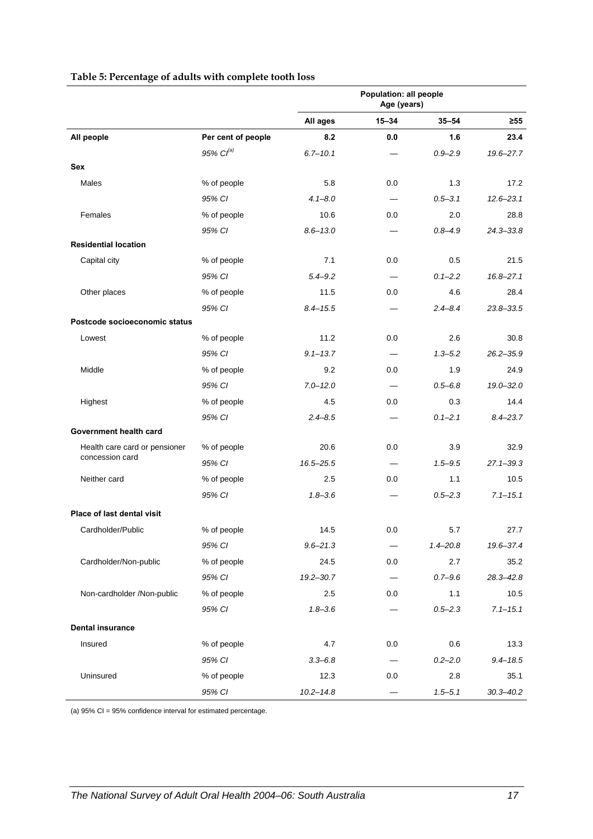|                               |                       | Population: all people<br>Age (years) |           |              |               |
|-------------------------------|-----------------------|---------------------------------------|-----------|--------------|---------------|
|                               |                       | All ages                              | $15 - 34$ | $35 - 54$    | ≥55           |
| All people                    | Per cent of people    | 8.2                                   | 0.0       | 1.6          | 23.4          |
|                               | 95% Cl <sup>(a)</sup> | $6.7 - 10.1$                          |           | $0.9 - 2.9$  | 19.6-27.7     |
| Sex                           |                       |                                       |           |              |               |
| <b>Males</b>                  | % of people           | 5.8                                   | 0.0       | 1.3          | 17.2          |
|                               | 95% CI                | $4.1 - 8.0$                           |           | $0.5 - 3.1$  | $12.6 - 23.1$ |
| Females                       | % of people           | 10.6                                  | 0.0       | 2.0          | 28.8          |
|                               | 95% CI                | $8.6 - 13.0$                          |           | $0.8 - 4.9$  | $24.3 - 33.8$ |
| <b>Residential location</b>   |                       |                                       |           |              |               |
| Capital city                  | % of people           | 7.1                                   | 0.0       | 0.5          | 21.5          |
|                               | 95% CI                | $5.4 - 9.2$                           |           | $0.1 - 2.2$  | $16.8 - 27.1$ |
| Other places                  | % of people           | 11.5                                  | 0.0       | 4.6          | 28.4          |
|                               | 95% CI                | $8.4 - 15.5$                          |           | $2.4 - 8.4$  | 23.8-33.5     |
| Postcode socioeconomic status |                       |                                       |           |              |               |
| Lowest                        | % of people           | 11.2                                  | 0.0       | 2.6          | 30.8          |
|                               | 95% CI                | $9.1 - 13.7$                          |           | $1.3 - 5.2$  | $26.2 - 35.9$ |
| Middle                        | % of people           | 9.2                                   | 0.0       | 1.9          | 24.9          |
|                               | 95% CI                | $7.0 - 12.0$                          |           | $0.5 - 6.8$  | $19.0 - 32.0$ |
| Highest                       | % of people           | 4.5                                   | 0.0       | 0.3          | 14.4          |
|                               | 95% CI                | $2.4 - 8.5$                           |           | $0.1 - 2.1$  | $8.4 - 23.7$  |
| Government health card        |                       |                                       |           |              |               |
| Health care card or pensioner | % of people           | 20.6                                  | 0.0       | 3.9          | 32.9          |
| concession card               | 95% CI                | 16.5-25.5                             |           | $1.5 - 9.5$  | 27.1-39.3     |
| Neither card                  | % of people           | 2.5                                   | 0.0       | 1.1          | 10.5          |
|                               | 95% CI                | $1.8 - 3.6$                           |           | $0.5 - 2.3$  | $7.1 - 15.1$  |
| Place of last dental visit    |                       |                                       |           |              |               |
| Cardholder/Public             | % of people           | 14.5                                  | 0.0       | 5.7          | 27.7          |
|                               | 95% CI                | $9.6 - 21.3$                          |           | $1.4 - 20.8$ | 19.6-37.4     |
| Cardholder/Non-public         | % of people           | 24.5                                  | 0.0       | 2.7          | 35.2          |
|                               | 95% CI                | $19.2 - 30.7$                         |           | $0.7 - 9.6$  | $28.3 - 42.8$ |
| Non-cardholder /Non-public    | % of people           | 2.5                                   | 0.0       | 1.1          | 10.5          |
|                               | 95% CI                | $1.8 - 3.6$                           |           | $0.5 - 2.3$  | $7.1 - 15.1$  |
| <b>Dental insurance</b>       |                       |                                       |           |              |               |
| Insured                       | % of people           | 4.7                                   | 0.0       | 0.6          | 13.3          |
|                               | 95% CI                | $3.3 - 6.8$                           |           | $0.2 - 2.0$  | $9.4 - 18.5$  |
| Uninsured                     | % of people           | 12.3                                  | 0.0       | 2.8          | 35.1          |
|                               | 95% CI                | $10.2 - 14.8$                         |           | $1.5 - 5.1$  | $30.3 - 40.2$ |

#### **Table 5: Percentage of adults with complete tooth loss**

(a) 95% CI = 95% confidence interval for estimated percentage.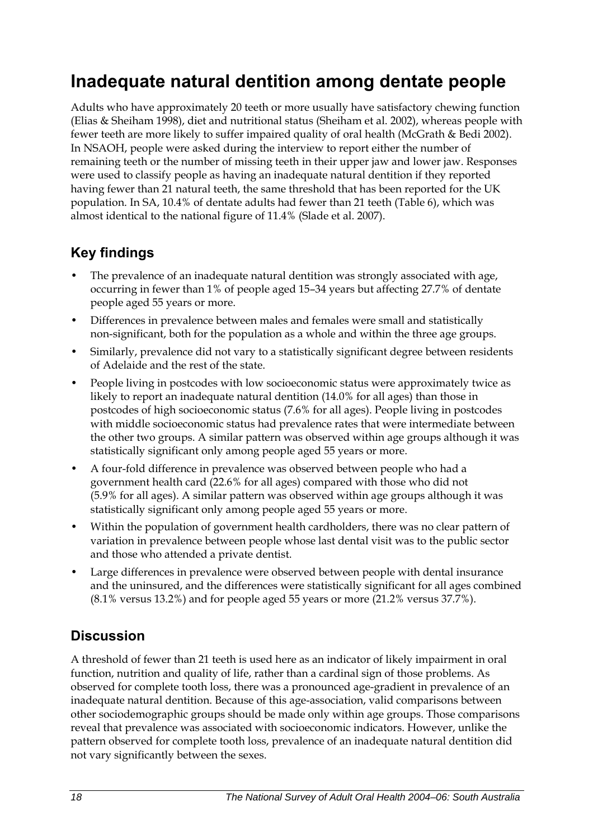## <span id="page-25-0"></span>**Inadequate natural dentition among dentate people**

Adults who have approximately 20 teeth or more usually have satisfactory chewing function (Elias & Sheiham 1998), diet and nutritional status (Sheiham et al. 2002), whereas people with fewer teeth are more likely to suffer impaired quality of oral health (McGrath & Bedi 2002). In NSAOH, people were asked during the interview to report either the number of remaining teeth or the number of missing teeth in their upper jaw and lower jaw. Responses were used to classify people as having an inadequate natural dentition if they reported having fewer than 21 natural teeth, the same threshold that has been reported for the UK population. In SA, 10.4% of dentate adults had fewer than 21 teeth (Table 6), which was almost identical to the national figure of 11.4% (Slade et al. 2007).

### **Key findings**

- The prevalence of an inadequate natural dentition was strongly associated with age, occurring in fewer than 1% of people aged 15–34 years but affecting 27.7% of dentate people aged 55 years or more.
- Differences in prevalence between males and females were small and statistically non-significant, both for the population as a whole and within the three age groups.
- Similarly, prevalence did not vary to a statistically significant degree between residents of Adelaide and the rest of the state.
- People living in postcodes with low socioeconomic status were approximately twice as likely to report an inadequate natural dentition (14.0% for all ages) than those in postcodes of high socioeconomic status (7.6% for all ages). People living in postcodes with middle socioeconomic status had prevalence rates that were intermediate between the other two groups. A similar pattern was observed within age groups although it was statistically significant only among people aged 55 years or more.
- A four-fold difference in prevalence was observed between people who had a government health card (22.6% for all ages) compared with those who did not (5.9% for all ages). A similar pattern was observed within age groups although it was statistically significant only among people aged 55 years or more.
- Within the population of government health cardholders, there was no clear pattern of variation in prevalence between people whose last dental visit was to the public sector and those who attended a private dentist.
- Large differences in prevalence were observed between people with dental insurance and the uninsured, and the differences were statistically significant for all ages combined (8.1% versus 13.2%) and for people aged 55 years or more (21.2% versus 37.7%).

### **Discussion**

A threshold of fewer than 21 teeth is used here as an indicator of likely impairment in oral function, nutrition and quality of life, rather than a cardinal sign of those problems. As observed for complete tooth loss, there was a pronounced age-gradient in prevalence of an inadequate natural dentition. Because of this age-association, valid comparisons between other sociodemographic groups should be made only within age groups. Those comparisons reveal that prevalence was associated with socioeconomic indicators. However, unlike the pattern observed for complete tooth loss, prevalence of an inadequate natural dentition did not vary significantly between the sexes.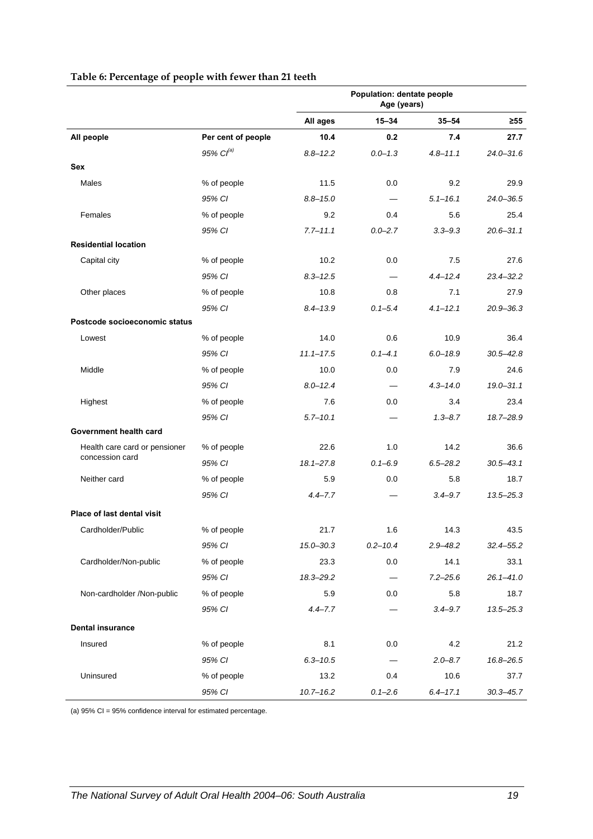|                                                  |                       | Population: dentate people<br>Age (years) |              |              |               |
|--------------------------------------------------|-----------------------|-------------------------------------------|--------------|--------------|---------------|
|                                                  |                       | All ages                                  | $15 - 34$    | $35 - 54$    | $\geq 55$     |
| All people                                       | Per cent of people    | 10.4                                      | 0.2          | 7.4          | 27.7          |
|                                                  | 95% Cl <sup>(a)</sup> | $8.8 - 12.2$                              | $0.0 - 1.3$  | $4.8 - 11.1$ | $24.0 - 31.6$ |
| Sex                                              |                       |                                           |              |              |               |
| <b>Males</b>                                     | % of people           | 11.5                                      | 0.0          | 9.2          | 29.9          |
|                                                  | 95% CI                | $8.8 - 15.0$                              |              | $5.1 - 16.1$ | $24.0 - 36.5$ |
| Females                                          | % of people           | 9.2                                       | 0.4          | 5.6          | 25.4          |
|                                                  | 95% CI                | $7.7 - 11.1$                              | $0.0 - 2.7$  | $3.3 - 9.3$  | $20.6 - 31.1$ |
| <b>Residential location</b>                      |                       |                                           |              |              |               |
| Capital city                                     | % of people           | 10.2                                      | 0.0          | 7.5          | 27.6          |
|                                                  | 95% CI                | $8.3 - 12.5$                              |              | $4.4 - 12.4$ | $23.4 - 32.2$ |
| Other places                                     | % of people           | 10.8                                      | 0.8          | 7.1          | 27.9          |
|                                                  | 95% CI                | $8.4 - 13.9$                              | $0.1 - 5.4$  | $4.1 - 12.1$ | $20.9 - 36.3$ |
| Postcode socioeconomic status                    |                       |                                           |              |              |               |
| Lowest                                           | % of people           | 14.0                                      | 0.6          | 10.9         | 36.4          |
|                                                  | 95% CI                | $11.1 - 17.5$                             | $0.1 - 4.1$  | $6.0 - 18.9$ | $30.5 - 42.8$ |
| Middle                                           | % of people           | 10.0                                      | 0.0          | 7.9          | 24.6          |
|                                                  | 95% CI                | $8.0 - 12.4$                              |              | $4.3 - 14.0$ | $19.0 - 31.1$ |
| Highest                                          | % of people           | 7.6                                       | 0.0          | 3.4          | 23.4          |
|                                                  | 95% CI                | $5.7 - 10.1$                              |              | $1.3 - 8.7$  | 18.7-28.9     |
| Government health card                           |                       |                                           |              |              |               |
| Health care card or pensioner<br>concession card | % of people           | 22.6                                      | 1.0          | 14.2         | 36.6          |
|                                                  | 95% CI                | $18.1 - 27.8$                             | $0.1 - 6.9$  | $6.5 - 28.2$ | $30.5 - 43.1$ |
| Neither card                                     | % of people           | 5.9                                       | 0.0          | 5.8          | 18.7          |
|                                                  | 95% CI                | $4.4 - 7.7$                               |              | $3.4 - 9.7$  | $13.5 - 25.3$ |
| Place of last dental visit                       |                       |                                           |              |              |               |
| Cardholder/Public                                | % of people           | 21.7                                      | 1.6          | 14.3         | 43.5          |
|                                                  | 95% CI                | $15.0 - 30.3$                             | $0.2 - 10.4$ | $2.9 - 48.2$ | $32.4 - 55.2$ |
| Cardholder/Non-public                            | % of people           | 23.3                                      | 0.0          | 14.1         | 33.1          |
|                                                  | 95% CI                | 18.3-29.2                                 |              | $7.2 - 25.6$ | $26.1 - 41.0$ |
| Non-cardholder /Non-public                       | % of people           | 5.9                                       | 0.0          | 5.8          | 18.7          |
|                                                  | 95% CI                | $4.4 - 7.7$                               |              | $3.4 - 9.7$  | $13.5 - 25.3$ |
| <b>Dental insurance</b>                          |                       |                                           |              |              |               |
| Insured                                          | % of people           | 8.1                                       | 0.0          | 4.2          | 21.2          |
|                                                  | 95% CI                | $6.3 - 10.5$                              |              | $2.0 - 8.7$  | 16.8-26.5     |
| Uninsured                                        | % of people           | 13.2                                      | 0.4          | 10.6         | 37.7          |
|                                                  | 95% CI                | $10.7 - 16.2$                             | $0.1 - 2.6$  | $6.4 - 17.1$ | $30.3 - 45.7$ |

#### **Table 6: Percentage of people with fewer than 21 teeth**

(a) 95% CI = 95% confidence interval for estimated percentage.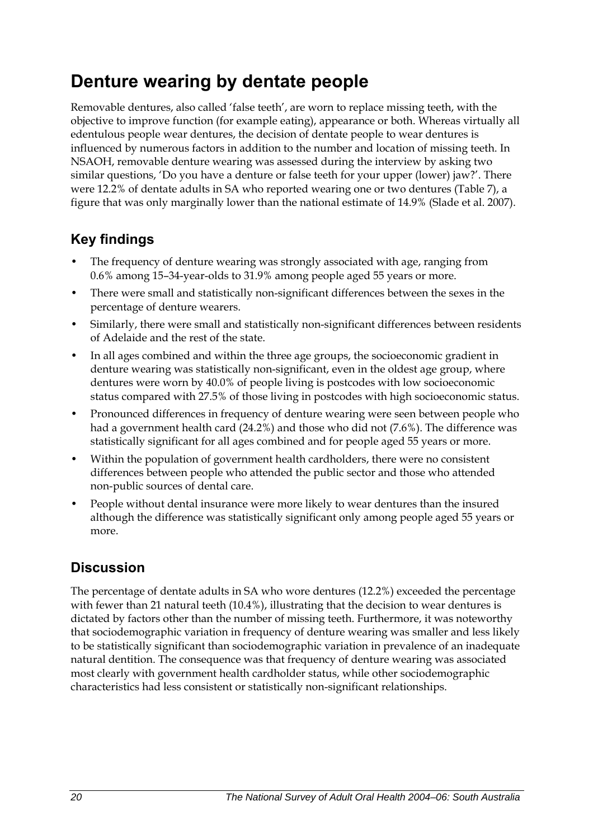# <span id="page-27-0"></span>**Denture wearing by dentate people**

Removable dentures, also called 'false teeth', are worn to replace missing teeth, with the objective to improve function (for example eating), appearance or both. Whereas virtually all edentulous people wear dentures, the decision of dentate people to wear dentures is influenced by numerous factors in addition to the number and location of missing teeth. In NSAOH, removable denture wearing was assessed during the interview by asking two similar questions, 'Do you have a denture or false teeth for your upper (lower) jaw?'. There were 12.2% of dentate adults in SA who reported wearing one or two dentures [\(Table 7](#page-28-0)), a figure that was only marginally lower than the national estimate of 14.9% (Slade et al. 2007).

### **Key findings**

- The frequency of denture wearing was strongly associated with age, ranging from 0.6% among 15–34-year-olds to 31.9% among people aged 55 years or more.
- There were small and statistically non-significant differences between the sexes in the percentage of denture wearers.
- Similarly, there were small and statistically non-significant differences between residents of Adelaide and the rest of the state.
- In all ages combined and within the three age groups, the socioeconomic gradient in denture wearing was statistically non-significant, even in the oldest age group, where dentures were worn by 40.0% of people living is postcodes with low socioeconomic status compared with 27.5% of those living in postcodes with high socioeconomic status.
- Pronounced differences in frequency of denture wearing were seen between people who had a government health card (24.2%) and those who did not (7.6%). The difference was statistically significant for all ages combined and for people aged 55 years or more.
- Within the population of government health cardholders, there were no consistent differences between people who attended the public sector and those who attended non-public sources of dental care.
- People without dental insurance were more likely to wear dentures than the insured although the difference was statistically significant only among people aged 55 years or more.

### **Discussion**

The percentage of dentate adults in SA who wore dentures (12.2%) exceeded the percentage with fewer than 21 natural teeth (10.4%), illustrating that the decision to wear dentures is dictated by factors other than the number of missing teeth. Furthermore, it was noteworthy that sociodemographic variation in frequency of denture wearing was smaller and less likely to be statistically significant than sociodemographic variation in prevalence of an inadequate natural dentition. The consequence was that frequency of denture wearing was associated most clearly with government health cardholder status, while other sociodemographic characteristics had less consistent or statistically non-significant relationships.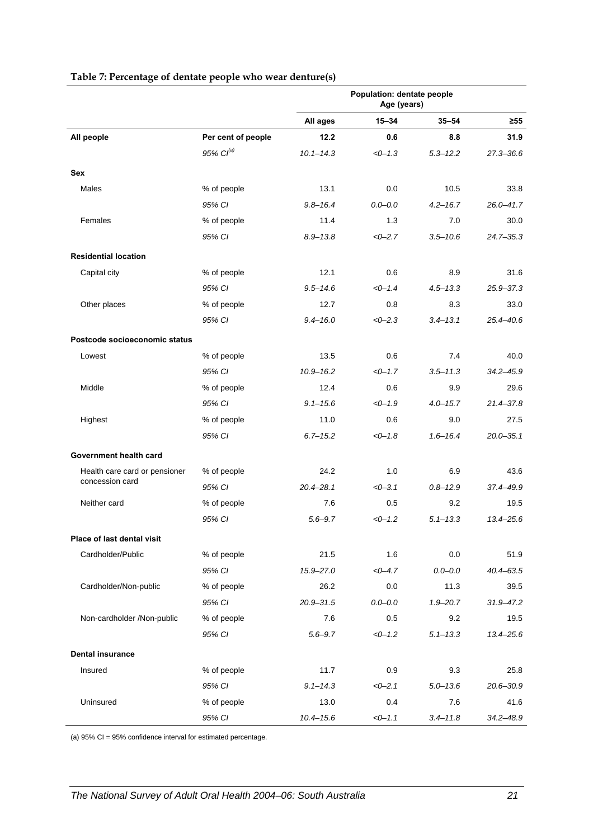<span id="page-28-0"></span>

|                               |                       | Population: dentate people<br>Age (years) |             |              |               |
|-------------------------------|-----------------------|-------------------------------------------|-------------|--------------|---------------|
|                               |                       | All ages                                  | $15 - 34$   | $35 - 54$    | $\geq 55$     |
| All people                    | Per cent of people    | 12.2                                      | 0.6         | 8.8          | 31.9          |
|                               | 95% Cl <sup>(a)</sup> | $10.1 - 14.3$                             | $< 0 - 1.3$ | $5.3 - 12.2$ | $27.3 - 36.6$ |
| Sex                           |                       |                                           |             |              |               |
| Males                         | % of people           | 13.1                                      | 0.0         | 10.5         | 33.8          |
|                               | 95% CI                | $9.8 - 16.4$                              | $0.0 - 0.0$ | $4.2 - 16.7$ | $26.0 - 41.7$ |
| Females                       | % of people           | 11.4                                      | 1.3         | 7.0          | 30.0          |
|                               | 95% CI                | $8.9 - 13.8$                              | $<0-2.7$    | $3.5 - 10.6$ | $24.7 - 35.3$ |
| <b>Residential location</b>   |                       |                                           |             |              |               |
| Capital city                  | % of people           | 12.1                                      | 0.6         | 8.9          | 31.6          |
|                               | 95% CI                | $9.5 - 14.6$                              | $<0-1.4$    | $4.5 - 13.3$ | $25.9 - 37.3$ |
| Other places                  | % of people           | 12.7                                      | 0.8         | 8.3          | 33.0          |
|                               | 95% CI                | $9.4 - 16.0$                              | $<0-2.3$    | $3.4 - 13.1$ | $25.4 - 40.6$ |
| Postcode socioeconomic status |                       |                                           |             |              |               |
| Lowest                        | % of people           | 13.5                                      | 0.6         | 7.4          | 40.0          |
|                               | 95% CI                | $10.9 - 16.2$                             | $<0-1.7$    | $3.5 - 11.3$ | $34.2 - 45.9$ |
| Middle                        | % of people           | 12.4                                      | 0.6         | 9.9          | 29.6          |
|                               | 95% CI                | $9.1 - 15.6$                              | $<0-1.9$    | $4.0 - 15.7$ | $21.4 - 37.8$ |
| Highest                       | % of people           | 11.0                                      | 0.6         | 9.0          | 27.5          |
|                               | 95% CI                | $6.7 - 15.2$                              | $<0-1.8$    | $1.6 - 16.4$ | $20.0 - 35.1$ |
| Government health card        |                       |                                           |             |              |               |
| Health care card or pensioner | % of people           | 24.2                                      | 1.0         | 6.9          | 43.6          |
| concession card               | 95% CI                | $20.4 - 28.1$                             | $<0-3.1$    | $0.8 - 12.9$ | 37.4-49.9     |
| Neither card                  | % of people           | 7.6                                       | 0.5         | 9.2          | 19.5          |
|                               | 95% CI                | $5.6 - 9.7$                               | $<0-1.2$    | $5.1 - 13.3$ | $13.4 - 25.6$ |
| Place of last dental visit    |                       |                                           |             |              |               |
| Cardholder/Public             | % of people           | 21.5                                      | 1.6         | 0.0          | 51.9          |
|                               | 95% CI                | $15.9 - 27.0$                             | $< 0 - 4.7$ | $0.0 - 0.0$  | $40.4 - 63.5$ |
| Cardholder/Non-public         | % of people           | 26.2                                      | 0.0         | 11.3         | 39.5          |
|                               | 95% CI                | $20.9 - 31.5$                             | $0.0 - 0.0$ | $1.9 - 20.7$ | $31.9 - 47.2$ |
| Non-cardholder /Non-public    | % of people           | 7.6                                       | 0.5         | 9.2          | 19.5          |
|                               | 95% CI                | $5.6 - 9.7$                               | $<0-1.2$    | $5.1 - 13.3$ | $13.4 - 25.6$ |
| <b>Dental insurance</b>       |                       |                                           |             |              |               |
| Insured                       | % of people           | 11.7                                      | 0.9         | 9.3          | 25.8          |
|                               | 95% CI                | $9.1 - 14.3$                              | $<0-2.1$    | $5.0 - 13.6$ | $20.6 - 30.9$ |
| Uninsured                     | % of people           | 13.0                                      | 0.4         | 7.6          | 41.6          |
|                               | 95% CI                | $10.4 - 15.6$                             | $<-1.1$     | $3.4 - 11.8$ | 34.2-48.9     |

#### **Table 7: Percentage of dentate people who wear denture(s)**

(a) 95% CI = 95% confidence interval for estimated percentage.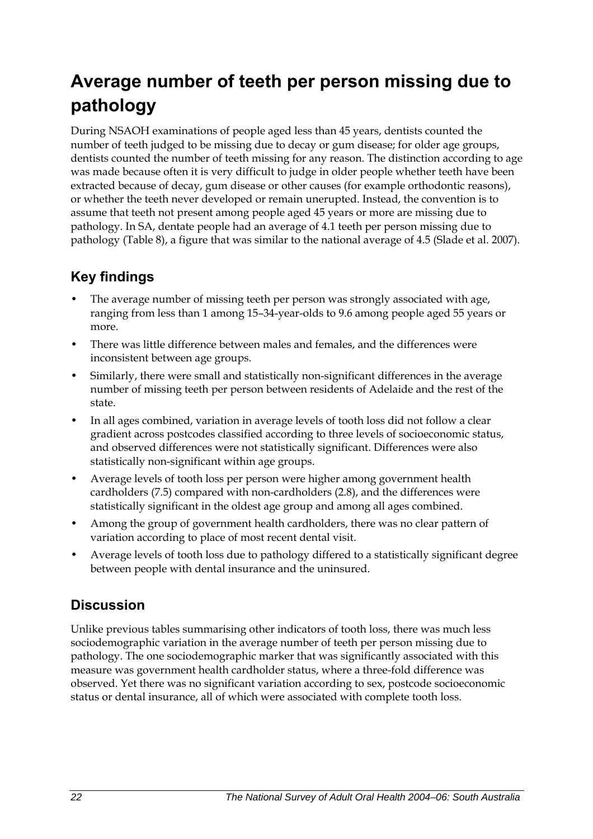# <span id="page-29-0"></span>**Average number of teeth per person missing due to pathology**

During NSAOH examinations of people aged less than 45 years, dentists counted the number of teeth judged to be missing due to decay or gum disease; for older age groups, dentists counted the number of teeth missing for any reason. The distinction according to age was made because often it is very difficult to judge in older people whether teeth have been extracted because of decay, gum disease or other causes (for example orthodontic reasons), or whether the teeth never developed or remain unerupted. Instead, the convention is to assume that teeth not present among people aged 45 years or more are missing due to pathology. In SA, dentate people had an average of 4.1 teeth per person missing due to pathology ([Table 8\)](#page-30-0), a figure that was similar to the national average of 4.5 (Slade et al. 2007).

### **Key findings**

- The average number of missing teeth per person was strongly associated with age, ranging from less than 1 among 15–34-year-olds to 9.6 among people aged 55 years or more.
- There was little difference between males and females, and the differences were inconsistent between age groups.
- Similarly, there were small and statistically non-significant differences in the average number of missing teeth per person between residents of Adelaide and the rest of the state.
- In all ages combined, variation in average levels of tooth loss did not follow a clear gradient across postcodes classified according to three levels of socioeconomic status, and observed differences were not statistically significant. Differences were also statistically non-significant within age groups.
- Average levels of tooth loss per person were higher among government health cardholders (7.5) compared with non-cardholders (2.8), and the differences were statistically significant in the oldest age group and among all ages combined.
- Among the group of government health cardholders, there was no clear pattern of variation according to place of most recent dental visit.
- Average levels of tooth loss due to pathology differed to a statistically significant degree between people with dental insurance and the uninsured.

### **Discussion**

Unlike previous tables summarising other indicators of tooth loss, there was much less sociodemographic variation in the average number of teeth per person missing due to pathology. The one sociodemographic marker that was significantly associated with this measure was government health cardholder status, where a three-fold difference was observed. Yet there was no significant variation according to sex, postcode socioeconomic status or dental insurance, all of which were associated with complete tooth loss.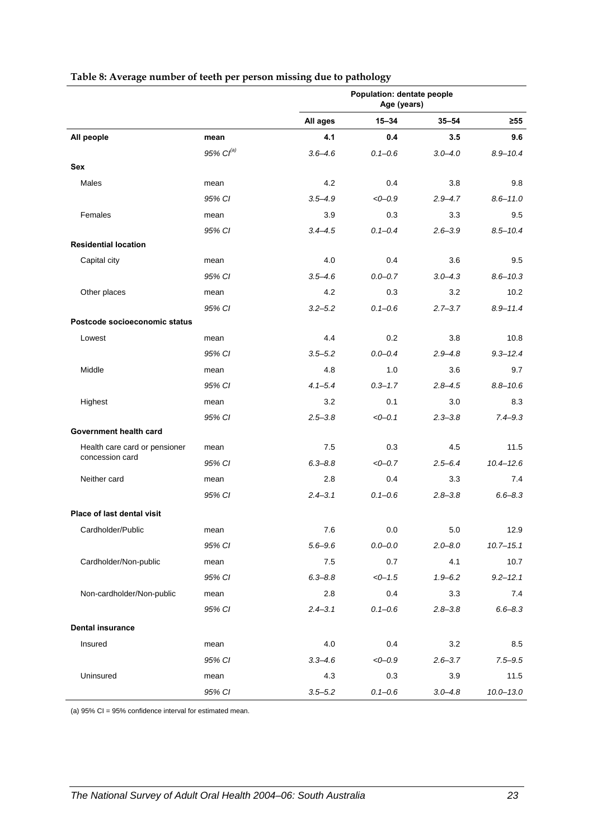<span id="page-30-0"></span>

|                                   |                | Population: dentate people<br>Age (years) |             |             |               |
|-----------------------------------|----------------|-------------------------------------------|-------------|-------------|---------------|
|                                   |                | All ages                                  | $15 - 34$   | $35 - 54$   | $\geq 55$     |
| All people                        | mean           | 4.1                                       | 0.4         | 3.5         | 9.6           |
|                                   | 95% $CI^{(a)}$ | $3.6 - 4.6$                               | $0.1 - 0.6$ | $3.0 - 4.0$ | $8.9 - 10.4$  |
| Sex                               |                |                                           |             |             |               |
| Males                             | mean           | 4.2                                       | 0.4         | 3.8         | 9.8           |
|                                   | 95% CI         | $3.5 - 4.9$                               | $<0-0.9$    | $2.9 - 4.7$ | $8.6 - 11.0$  |
| Females                           | mean           | 3.9                                       | 0.3         | 3.3         | 9.5           |
|                                   | 95% CI         | $3.4 - 4.5$                               | $0.1 - 0.4$ | $2.6 - 3.9$ | $8.5 - 10.4$  |
| <b>Residential location</b>       |                |                                           |             |             |               |
| Capital city                      | mean           | 4.0                                       | 0.4         | 3.6         | 9.5           |
|                                   | 95% CI         | $3.5 - 4.6$                               | $0.0 - 0.7$ | $3.0 - 4.3$ | $8.6 - 10.3$  |
| Other places                      | mean           | 4.2                                       | 0.3         | 3.2         | 10.2          |
|                                   | 95% CI         | $3.2 - 5.2$                               | $0.1 - 0.6$ | $2.7 - 3.7$ | $8.9 - 11.4$  |
| Postcode socioeconomic status     |                |                                           |             |             |               |
| Lowest                            | mean           | 4.4                                       | 0.2         | 3.8         | 10.8          |
|                                   | 95% CI         | $3.5 - 5.2$                               | $0.0 - 0.4$ | $2.9 - 4.8$ | $9.3 - 12.4$  |
| Middle                            | mean           | 4.8                                       | 1.0         | 3.6         | 9.7           |
|                                   | 95% CI         | $4.1 - 5.4$                               | $0.3 - 1.7$ | $2.8 - 4.5$ | $8.8 - 10.6$  |
| Highest                           | mean           | 3.2                                       | 0.1         | 3.0         | 8.3           |
|                                   | 95% CI         | $2.5 - 3.8$                               | $<0-0.1$    | $2.3 - 3.8$ | $7.4 - 9.3$   |
| Government health card            |                |                                           |             |             |               |
| Health care card or pensioner     | mean           | 7.5                                       | 0.3         | 4.5         | 11.5          |
| concession card                   | 95% CI         | $6.3 - 8.8$                               | $<0-0.7$    | $2.5 - 6.4$ | $10.4 - 12.6$ |
| Neither card                      | mean           | 2.8                                       | 0.4         | 3.3         | 7.4           |
|                                   | 95% CI         | $2.4 - 3.1$                               | $0.1 - 0.6$ | $2.8 - 3.8$ | $6.6 - 8.3$   |
| <b>Place of last dental visit</b> |                |                                           |             |             |               |
| Cardholder/Public                 | mean           | 7.6                                       | 0.0         | 5.0         | 12.9          |
|                                   | 95% CI         | $5.6 - 9.6$                               | $0.0 - 0.0$ | $2.0 - 8.0$ | $10.7 - 15.1$ |
| Cardholder/Non-public             | mean           | 7.5                                       | 0.7         | 4.1         | 10.7          |
|                                   | 95% CI         | $6.3 - 8.8$                               | $< 0 - 1.5$ | $1.9 - 6.2$ | $9.2 - 12.1$  |
| Non-cardholder/Non-public         | mean           | 2.8                                       | 0.4         | 3.3         | 7.4           |
|                                   | 95% CI         | $2.4 - 3.1$                               | $0.1 - 0.6$ | $2.8 - 3.8$ | $6.6 - 8.3$   |
| <b>Dental insurance</b>           |                |                                           |             |             |               |
| Insured                           | mean           | 4.0                                       | 0.4         | 3.2         | 8.5           |
|                                   | 95% CI         | $3.3 - 4.6$                               | $<0-0.9$    | $2.6 - 3.7$ | $7.5 - 9.5$   |
| Uninsured                         | mean           | 4.3                                       | 0.3         | 3.9         | 11.5          |
|                                   | 95% CI         | $3.5 - 5.2$                               | $0.1 - 0.6$ | $3.0 - 4.8$ | $10.0 - 13.0$ |

#### **Table 8: Average number of teeth per person missing due to pathology**

(a) 95% CI = 95% confidence interval for estimated mean.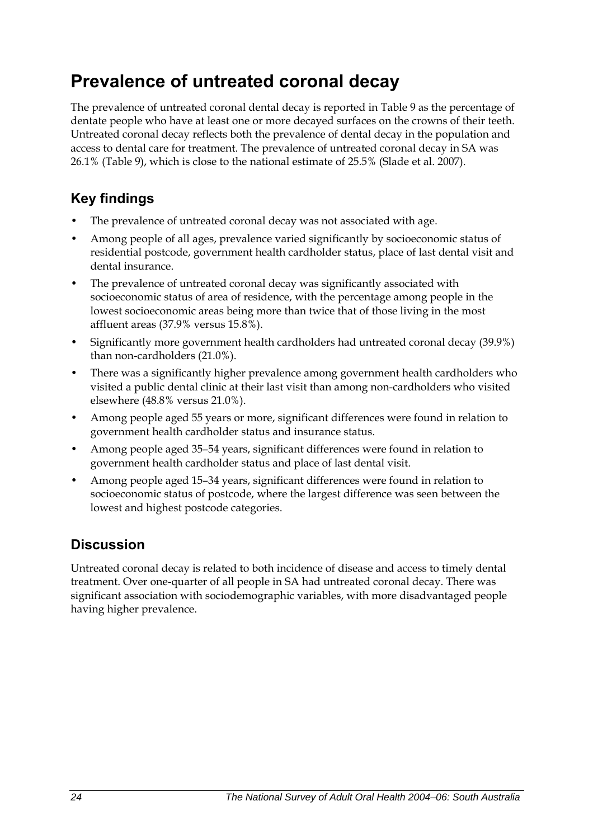# <span id="page-31-0"></span>**Prevalence of untreated coronal decay**

The prevalence of untreated coronal dental decay is reported in Table 9 as the percentage of dentate people who have at least one or more decayed surfaces on the crowns of their teeth. Untreated coronal decay reflects both the prevalence of dental decay in the population and access to dental care for treatment. The prevalence of untreated coronal decay in SA was 26.1% ([Table 9\)](#page-32-0), which is close to the national estimate of 25.5% (Slade et al. 2007).

### **Key findings**

- The prevalence of untreated coronal decay was not associated with age.
- Among people of all ages, prevalence varied significantly by socioeconomic status of residential postcode, government health cardholder status, place of last dental visit and dental insurance.
- The prevalence of untreated coronal decay was significantly associated with socioeconomic status of area of residence, with the percentage among people in the lowest socioeconomic areas being more than twice that of those living in the most affluent areas (37.9% versus 15.8%).
- Significantly more government health cardholders had untreated coronal decay (39.9%) than non-cardholders (21.0%).
- There was a significantly higher prevalence among government health cardholders who visited a public dental clinic at their last visit than among non-cardholders who visited elsewhere (48.8% versus 21.0%).
- Among people aged 55 years or more, significant differences were found in relation to government health cardholder status and insurance status.
- Among people aged 35–54 years, significant differences were found in relation to government health cardholder status and place of last dental visit.
- Among people aged 15–34 years, significant differences were found in relation to socioeconomic status of postcode, where the largest difference was seen between the lowest and highest postcode categories.

## **Discussion**

Untreated coronal decay is related to both incidence of disease and access to timely dental treatment. Over one-quarter of all people in SA had untreated coronal decay. There was significant association with sociodemographic variables, with more disadvantaged people having higher prevalence.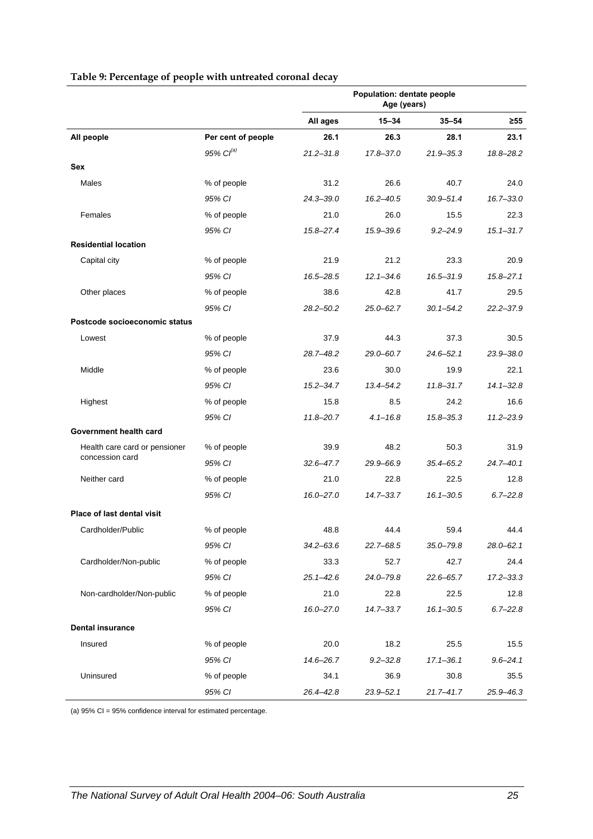<span id="page-32-0"></span>

|                               |                       | <b>Population: dentate people</b><br>Age (years) |               |               |               |
|-------------------------------|-----------------------|--------------------------------------------------|---------------|---------------|---------------|
|                               |                       | All ages                                         | $15 - 34$     | $35 - 54$     | $\geq 55$     |
| All people                    | Per cent of people    | 26.1                                             | 26.3          | 28.1          | 23.1          |
|                               | 95% Cl <sup>(a)</sup> | $21.2 - 31.8$                                    | 17.8-37.0     | $21.9 - 35.3$ | 18.8-28.2     |
| <b>Sex</b>                    |                       |                                                  |               |               |               |
| Males                         | % of people           | 31.2                                             | 26.6          | 40.7          | 24.0          |
|                               | 95% CI                | $24.3 - 39.0$                                    | $16.2 - 40.5$ | $30.9 - 51.4$ | $16.7 - 33.0$ |
| Females                       | % of people           | 21.0                                             | 26.0          | 15.5          | 22.3          |
|                               | 95% CI                | $15.8 - 27.4$                                    | 15.9-39.6     | $9.2 - 24.9$  | $15.1 - 31.7$ |
| <b>Residential location</b>   |                       |                                                  |               |               |               |
| Capital city                  | % of people           | 21.9                                             | 21.2          | 23.3          | 20.9          |
|                               | 95% CI                | 16.5-28.5                                        | $12.1 - 34.6$ | 16.5-31.9     | $15.8 - 27.1$ |
| Other places                  | % of people           | 38.6                                             | 42.8          | 41.7          | 29.5          |
|                               | 95% CI                | $28.2 - 50.2$                                    | $25.0 - 62.7$ | $30.1 - 54.2$ | $22.2 - 37.9$ |
| Postcode socioeconomic status |                       |                                                  |               |               |               |
| Lowest                        | % of people           | 37.9                                             | 44.3          | 37.3          | 30.5          |
|                               | 95% CI                | 28.7-48.2                                        | 29.0-60.7     | $24.6 - 52.1$ | 23.9-38.0     |
| Middle                        | % of people           | 23.6                                             | 30.0          | 19.9          | 22.1          |
|                               | 95% CI                | $15.2 - 34.7$                                    | $13.4 - 54.2$ | $11.8 - 31.7$ | $14.1 - 32.8$ |
| Highest                       | % of people           | 15.8                                             | 8.5           | 24.2          | 16.6          |
|                               | 95% CI                | $11.8 - 20.7$                                    | $4.1 - 16.8$  | $15.8 - 35.3$ | $11.2 - 23.9$ |
| Government health card        |                       |                                                  |               |               |               |
| Health care card or pensioner | % of people           | 39.9                                             | 48.2          | 50.3          | 31.9          |
| concession card               | 95% CI                | $32.6 - 47.7$                                    | 29.9-66.9     | $35.4 - 65.2$ | $24.7 - 40.1$ |
| Neither card                  | % of people           | 21.0                                             | 22.8          | 22.5          | 12.8          |
|                               | 95% CI                | 16.0-27.0                                        | $14.7 - 33.7$ | $16.1 - 30.5$ | $6.7 - 22.8$  |
| Place of last dental visit    |                       |                                                  |               |               |               |
| Cardholder/Public             | % of people           | 48.8                                             | 44.4          | 59.4          | 44.4          |
|                               | 95% CI                | 34.2–63.6                                        | $22.7 - 68.5$ | $35.0 - 79.8$ | $28.0 - 62.1$ |
| Cardholder/Non-public         | % of people           | 33.3                                             | 52.7          | 42.7          | 24.4          |
|                               | 95% CI                | $25.1 - 42.6$                                    | 24.0-79.8     | $22.6 - 65.7$ | $17.2 - 33.3$ |
| Non-cardholder/Non-public     | % of people           | 21.0                                             | 22.8          | 22.5          | 12.8          |
|                               | 95% CI                | $16.0 - 27.0$                                    | $14.7 - 33.7$ | $16.1 - 30.5$ | $6.7 - 22.8$  |
| <b>Dental insurance</b>       |                       |                                                  |               |               |               |
| Insured                       | % of people           | 20.0                                             | 18.2          | 25.5          | 15.5          |
|                               | 95% CI                | 14.6-26.7                                        | $9.2 - 32.8$  | $17.1 - 36.1$ | $9.6 - 24.1$  |
| Uninsured                     | % of people           | 34.1                                             | 36.9          | 30.8          | 35.5          |
|                               | 95% CI                | 26.4-42.8                                        | $23.9 - 52.1$ | $21.7 - 41.7$ | 25.9-46.3     |

#### **Table 9: Percentage of people with untreated coronal decay**

(a) 95% CI = 95% confidence interval for estimated percentage.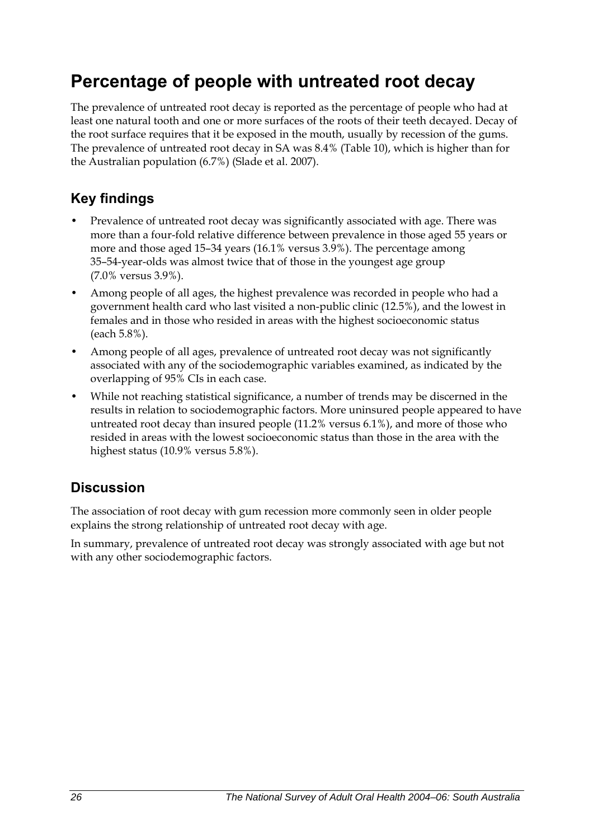## <span id="page-33-0"></span>**Percentage of people with untreated root decay**

The prevalence of untreated root decay is reported as the percentage of people who had at least one natural tooth and one or more surfaces of the roots of their teeth decayed. Decay of the root surface requires that it be exposed in the mouth, usually by recession of the gums. The prevalence of untreated root decay in SA was 8.4% [\(Table 10\)](#page-34-0), which is higher than for the Australian population (6.7%) (Slade et al. 2007).

### **Key findings**

- Prevalence of untreated root decay was significantly associated with age. There was more than a four-fold relative difference between prevalence in those aged 55 years or more and those aged 15–34 years (16.1% versus 3.9%). The percentage among 35–54-year-olds was almost twice that of those in the youngest age group (7.0% versus 3.9%).
- Among people of all ages, the highest prevalence was recorded in people who had a government health card who last visited a non-public clinic (12.5%), and the lowest in females and in those who resided in areas with the highest socioeconomic status (each 5.8%).
- Among people of all ages, prevalence of untreated root decay was not significantly associated with any of the sociodemographic variables examined, as indicated by the overlapping of 95% CIs in each case.
- While not reaching statistical significance, a number of trends may be discerned in the results in relation to sociodemographic factors. More uninsured people appeared to have untreated root decay than insured people (11.2% versus 6.1%), and more of those who resided in areas with the lowest socioeconomic status than those in the area with the highest status (10.9% versus 5.8%).

### **Discussion**

The association of root decay with gum recession more commonly seen in older people explains the strong relationship of untreated root decay with age.

In summary, prevalence of untreated root decay was strongly associated with age but not with any other sociodemographic factors.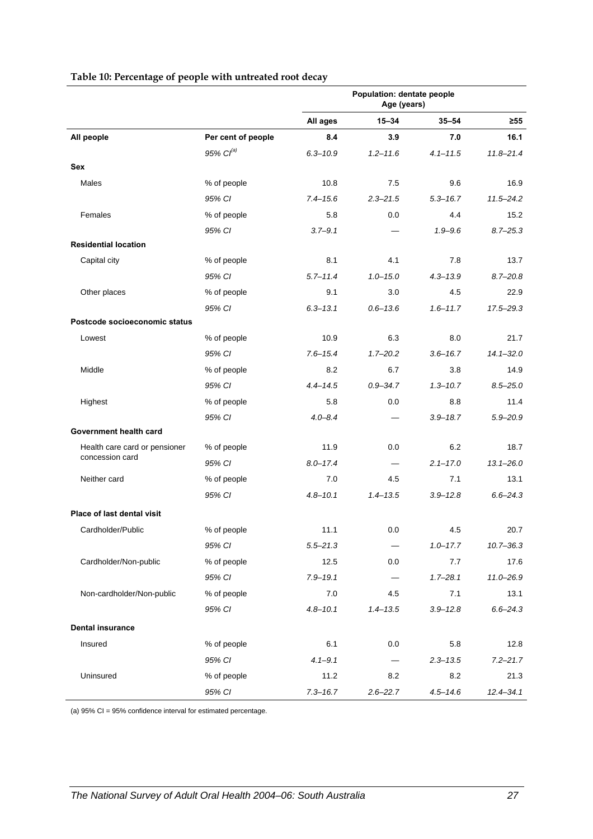<span id="page-34-0"></span>

|                                                  |                       | Population: dentate people<br>Age (years) |              |              |               |
|--------------------------------------------------|-----------------------|-------------------------------------------|--------------|--------------|---------------|
|                                                  |                       | All ages                                  | $15 - 34$    | $35 - 54$    | ≥55           |
| All people                                       | Per cent of people    | 8.4                                       | 3.9          | 7.0          | 16.1          |
|                                                  | 95% Cl <sup>(a)</sup> | $6.3 - 10.9$                              | $1.2 - 11.6$ | $4.1 - 11.5$ | $11.8 - 21.4$ |
| Sex                                              |                       |                                           |              |              |               |
| Males                                            | % of people           | 10.8                                      | 7.5          | 9.6          | 16.9          |
|                                                  | 95% CI                | $7.4 - 15.6$                              | $2.3 - 21.5$ | $5.3 - 16.7$ | $11.5 - 24.2$ |
| Females                                          | % of people           | 5.8                                       | 0.0          | 4.4          | 15.2          |
|                                                  | 95% CI                | $3.7 - 9.1$                               |              | $1.9 - 9.6$  | $8.7 - 25.3$  |
| <b>Residential location</b>                      |                       |                                           |              |              |               |
| Capital city                                     | % of people           | 8.1                                       | 4.1          | 7.8          | 13.7          |
|                                                  | 95% CI                | $5.7 - 11.4$                              | $1.0 - 15.0$ | $4.3 - 13.9$ | $8.7 - 20.8$  |
| Other places                                     | % of people           | 9.1                                       | 3.0          | 4.5          | 22.9          |
|                                                  | 95% CI                | $6.3 - 13.1$                              | $0.6 - 13.6$ | $1.6 - 11.7$ | 17.5-29.3     |
| Postcode socioeconomic status                    |                       |                                           |              |              |               |
| Lowest                                           | % of people           | 10.9                                      | 6.3          | 8.0          | 21.7          |
|                                                  | 95% CI                | $7.6 - 15.4$                              | $1.7 - 20.2$ | $3.6 - 16.7$ | $14.1 - 32.0$ |
| Middle                                           | % of people           | 8.2                                       | 6.7          | 3.8          | 14.9          |
|                                                  | 95% CI                | $4.4 - 14.5$                              | $0.9 - 34.7$ | $1.3 - 10.7$ | $8.5 - 25.0$  |
| Highest                                          | % of people           | 5.8                                       | 0.0          | 8.8          | 11.4          |
|                                                  | 95% CI                | $4.0 - 8.4$                               |              | $3.9 - 18.7$ | $5.9 - 20.9$  |
| Government health card                           |                       |                                           |              |              |               |
| Health care card or pensioner<br>concession card | % of people           | 11.9                                      | 0.0          | 6.2          | 18.7          |
|                                                  | 95% CI                | $8.0 - 17.4$                              |              | $2.1 - 17.0$ | $13.1 - 26.0$ |
| Neither card                                     | % of people           | 7.0                                       | 4.5          | 7.1          | 13.1          |
|                                                  | 95% CI                | $4.8 - 10.1$                              | $1.4 - 13.5$ | $3.9 - 12.8$ | $6.6 - 24.3$  |
| Place of last dental visit                       |                       |                                           |              |              |               |
| Cardholder/Public                                | % of people           | 11.1                                      | 0.0          | 4.5          | 20.7          |
|                                                  | 95% CI                | $5.5 - 21.3$                              |              | $1.0 - 17.7$ | $10.7 - 36.3$ |
| Cardholder/Non-public                            | % of people           | 12.5                                      | 0.0          | 7.7          | 17.6          |
|                                                  | 95% CI                | $7.9 - 19.1$                              |              | $1.7 - 28.1$ | 11.0-26.9     |
| Non-cardholder/Non-public                        | % of people           | 7.0                                       | 4.5          | 7.1          | 13.1          |
|                                                  | 95% CI                | $4.8 - 10.1$                              | $1.4 - 13.5$ | $3.9 - 12.8$ | $6.6 - 24.3$  |
| <b>Dental insurance</b>                          |                       |                                           |              |              |               |
| Insured                                          | % of people           | 6.1                                       | 0.0          | 5.8          | 12.8          |
|                                                  | 95% CI                | $4.1 - 9.1$                               |              | $2.3 - 13.5$ | $7.2 - 21.7$  |
| Uninsured                                        | % of people           | 11.2                                      | 8.2          | 8.2          | 21.3          |
|                                                  | 95% CI                | $7.3 - 16.7$                              | $2.6 - 22.7$ | $4.5 - 14.6$ | $12.4 - 34.1$ |

#### **Table 10: Percentage of people with untreated root decay**

(a) 95% CI = 95% confidence interval for estimated percentage.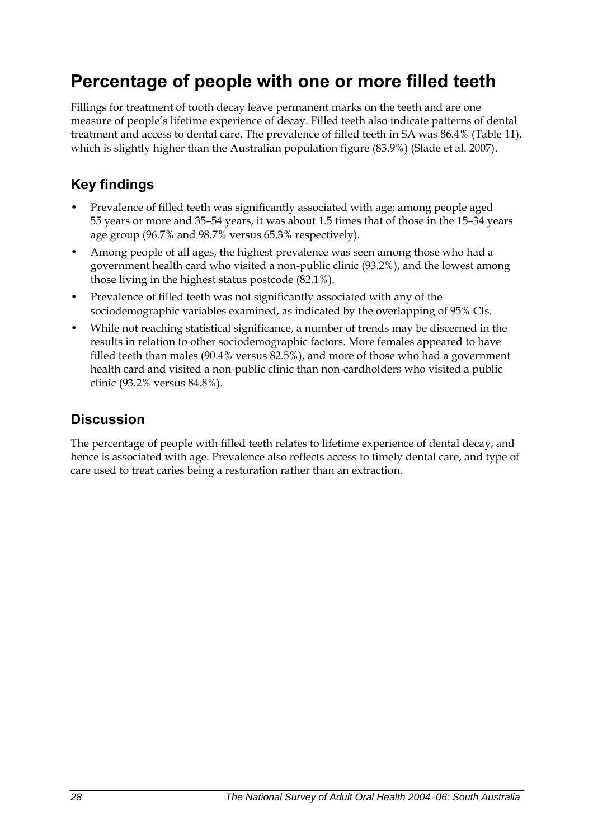## <span id="page-35-0"></span>**Percentage of people with one or more filled teeth**

Fillings for treatment of tooth decay leave permanent marks on the teeth and are one measure of people's lifetime experience of decay. Filled teeth also indicate patterns of dental treatment and access to dental care. The prevalence of filled teeth in SA was 86.4% ([Table 11](#page-36-0)), which is slightly higher than the Australian population figure (83.9%) (Slade et al. 2007).

### **Key findings**

- Prevalence of filled teeth was significantly associated with age; among people aged 55 years or more and 35–54 years, it was about 1.5 times that of those in the 15–34 years age group (96.7% and 98.7% versus 65.3% respectively).
- Among people of all ages, the highest prevalence was seen among those who had a government health card who visited a non-public clinic (93.2%), and the lowest among those living in the highest status postcode (82.1%).
- Prevalence of filled teeth was not significantly associated with any of the sociodemographic variables examined, as indicated by the overlapping of 95% CIs.
- While not reaching statistical significance, a number of trends may be discerned in the results in relation to other sociodemographic factors. More females appeared to have filled teeth than males (90.4% versus 82.5%), and more of those who had a government health card and visited a non-public clinic than non-cardholders who visited a public clinic (93.2% versus 84.8%).

### **Discussion**

The percentage of people with filled teeth relates to lifetime experience of dental decay, and hence is associated with age. Prevalence also reflects access to timely dental care, and type of care used to treat caries being a restoration rather than an extraction.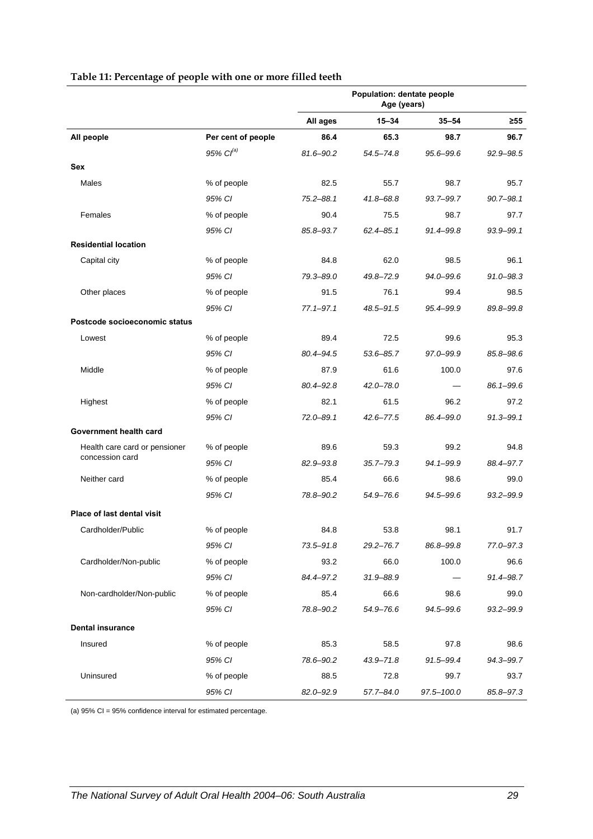|                                                  |                    |               | Population: dentate people<br>Age (years) |                |               |
|--------------------------------------------------|--------------------|---------------|-------------------------------------------|----------------|---------------|
|                                                  |                    | All ages      | 15-34                                     | $35 - 54$      | $\geq 55$     |
| All people                                       | Per cent of people | 86.4          | 65.3                                      | 98.7           | 96.7          |
|                                                  | $95\%$ $CI^{(a)}$  | 81.6-90.2     | $54.5 - 74.8$                             | 95.6-99.6      | 92.9-98.5     |
| Sex                                              |                    |               |                                           |                |               |
| Males                                            | % of people        | 82.5          | 55.7                                      | 98.7           | 95.7          |
|                                                  | 95% CI             | $75.2 - 88.1$ | 41.8-68.8                                 | 93.7-99.7      | $90.7 - 98.1$ |
| Females                                          | % of people        | 90.4          | 75.5                                      | 98.7           | 97.7          |
|                                                  | 95% CI             | 85.8-93.7     | $62.4 - 85.1$                             | 91.4-99.8      | 93.9-99.1     |
| <b>Residential location</b>                      |                    |               |                                           |                |               |
| Capital city                                     | % of people        | 84.8          | 62.0                                      | 98.5           | 96.1          |
|                                                  | 95% CI             | 79.3-89.0     | 49.8-72.9                                 | 94.0-99.6      | $91.0 - 98.3$ |
| Other places                                     | % of people        | 91.5          | 76.1                                      | 99.4           | 98.5          |
|                                                  | 95% CI             | $77.1 - 97.1$ | 48.5-91.5                                 | 95.4-99.9      | 89.8-99.8     |
| Postcode socioeconomic status                    |                    |               |                                           |                |               |
| Lowest                                           | % of people        | 89.4          | 72.5                                      | 99.6           | 95.3          |
|                                                  | 95% CI             | 80.4-94.5     | $53.6 - 85.7$                             | 97.0-99.9      | 85.8-98.6     |
| Middle                                           | % of people        | 87.9          | 61.6                                      | 100.0          | 97.6          |
|                                                  | 95% CI             | $80.4 - 92.8$ | 42.0-78.0                                 |                | 86.1-99.6     |
| Highest                                          | % of people        | 82.1          | 61.5                                      | 96.2           | 97.2          |
|                                                  | 95% CI             | 72.0-89.1     | $42.6 - 77.5$                             | 86.4-99.0      | $91.3 - 99.1$ |
| Government health card                           |                    |               |                                           |                |               |
| Health care card or pensioner<br>concession card | % of people        | 89.6          | 59.3                                      | 99.2           | 94.8          |
|                                                  | 95% CI             | 82.9-93.8     | 35.7–79.3                                 | 94.1-99.9      | 88.4-97.7     |
| Neither card                                     | % of people        | 85.4          | 66.6                                      | 98.6           | 99.0          |
|                                                  | 95% CI             | 78.8-90.2     | 54.9-76.6                                 | 94.5-99.6      | 93.2-99.9     |
| <b>Place of last dental visit</b>                |                    |               |                                           |                |               |
| Cardholder/Public                                | % of people        | 84.8          | 53.8                                      | 98.1           | 91.7          |
|                                                  | 95% CI             | 73.5-91.8     | $29.2 - 76.7$                             | 86.8–99.8      | 77.0-97.3     |
| Cardholder/Non-public                            | % of people        | 93.2          | 66.0                                      | 100.0          | 96.6          |
|                                                  | 95% CI             | 84.4-97.2     | 31.9-88.9                                 |                | 91.4-98.7     |
| Non-cardholder/Non-public                        | % of people        | 85.4          | 66.6                                      | 98.6           | 99.0          |
|                                                  | 95% CI             | 78.8-90.2     | 54.9-76.6                                 | 94.5-99.6      | 93.2-99.9     |
| <b>Dental insurance</b>                          |                    |               |                                           |                |               |
| Insured                                          | % of people        | 85.3          | 58.5                                      | 97.8           | 98.6          |
|                                                  | 95% CI             | 78.6-90.2     | $43.9 - 71.8$                             | 91.5-99.4      | 94.3-99.7     |
| Uninsured                                        | % of people        | 88.5          | 72.8                                      | 99.7           | 93.7          |
|                                                  | 95% CI             | 82.0-92.9     | $57.7 - 84.0$                             | $97.5 - 100.0$ | 85.8-97.3     |

#### **Table 11: Percentage of people with one or more filled teeth**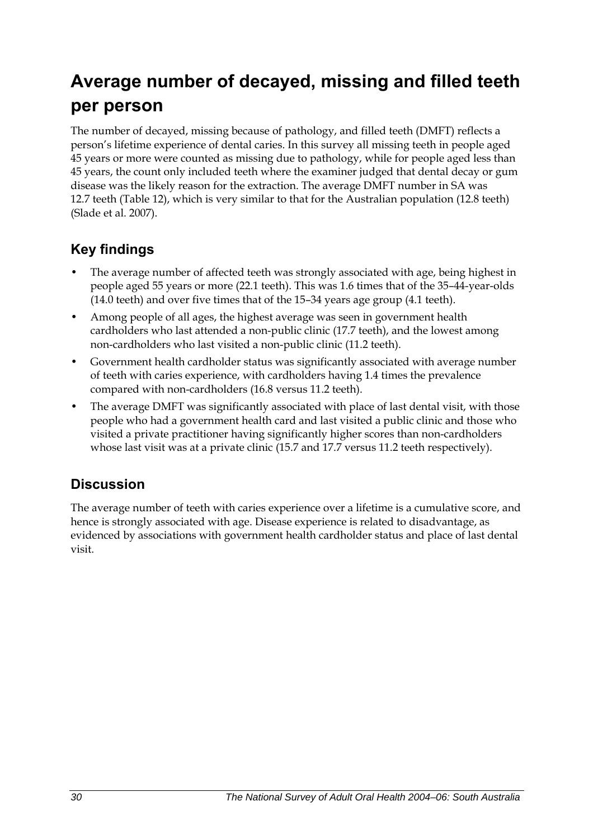# **Average number of decayed, missing and filled teeth per person**

The number of decayed, missing because of pathology, and filled teeth (DMFT) reflects a person's lifetime experience of dental caries. In this survey all missing teeth in people aged 45 years or more were counted as missing due to pathology, while for people aged less than 45 years, the count only included teeth where the examiner judged that dental decay or gum disease was the likely reason for the extraction. The average DMFT number in SA was 12.7 teeth [\(Table 12\)](#page-38-0), which is very similar to that for the Australian population (12.8 teeth) (Slade et al. 2007).

## **Key findings**

- The average number of affected teeth was strongly associated with age, being highest in people aged 55 years or more (22.1 teeth). This was 1.6 times that of the 35–44-year-olds (14.0 teeth) and over five times that of the 15–34 years age group (4.1 teeth).
- Among people of all ages, the highest average was seen in government health cardholders who last attended a non-public clinic (17.7 teeth), and the lowest among non-cardholders who last visited a non-public clinic (11.2 teeth).
- Government health cardholder status was significantly associated with average number of teeth with caries experience, with cardholders having 1.4 times the prevalence compared with non-cardholders (16.8 versus 11.2 teeth).
- The average DMFT was significantly associated with place of last dental visit, with those people who had a government health card and last visited a public clinic and those who visited a private practitioner having significantly higher scores than non-cardholders whose last visit was at a private clinic (15.7 and 17.7 versus 11.2 teeth respectively).

### **Discussion**

The average number of teeth with caries experience over a lifetime is a cumulative score, and hence is strongly associated with age. Disease experience is related to disadvantage, as evidenced by associations with government health cardholder status and place of last dental visit.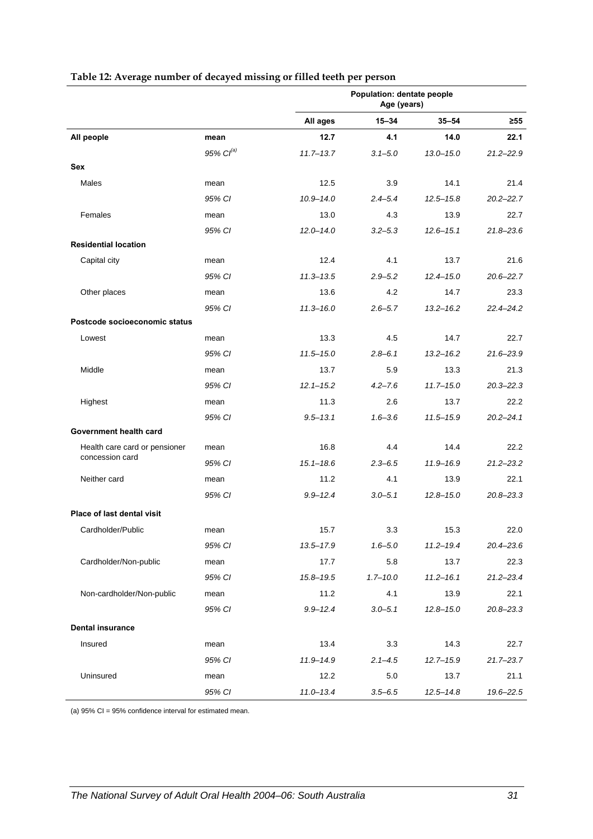<span id="page-38-0"></span>

|                                   |                   |               | Population: dentate people<br>Age (years) |               |               |
|-----------------------------------|-------------------|---------------|-------------------------------------------|---------------|---------------|
|                                   |                   | All ages      | $15 - 34$                                 | $35 - 54$     | ≥55           |
| All people                        | mean              | 12.7          | 4.1                                       | 14.0          | 22.1          |
|                                   | $95\%$ $Cl^{(a)}$ | $11.7 - 13.7$ | $3.1 - 5.0$                               | $13.0 - 15.0$ | $21.2 - 22.9$ |
| Sex                               |                   |               |                                           |               |               |
| Males                             | mean              | 12.5          | 3.9                                       | 14.1          | 21.4          |
|                                   | 95% CI            | $10.9 - 14.0$ | $2.4 - 5.4$                               | $12.5 - 15.8$ | $20.2 - 22.7$ |
| Females                           | mean              | 13.0          | 4.3                                       | 13.9          | 22.7          |
|                                   | 95% CI            | $12.0 - 14.0$ | $3.2 - 5.3$                               | $12.6 - 15.1$ | $21.8 - 23.6$ |
| <b>Residential location</b>       |                   |               |                                           |               |               |
| Capital city                      | mean              | 12.4          | 4.1                                       | 13.7          | 21.6          |
|                                   | 95% CI            | $11.3 - 13.5$ | $2.9 - 5.2$                               | $12.4 - 15.0$ | $20.6 - 22.7$ |
| Other places                      | mean              | 13.6          | 4.2                                       | 14.7          | 23.3          |
|                                   | 95% CI            | $11.3 - 16.0$ | $2.6 - 5.7$                               | $13.2 - 16.2$ | 22.4-24.2     |
| Postcode socioeconomic status     |                   |               |                                           |               |               |
| Lowest                            | mean              | 13.3          | 4.5                                       | 14.7          | 22.7          |
|                                   | 95% CI            | $11.5 - 15.0$ | $2.8 - 6.1$                               | $13.2 - 16.2$ | $21.6 - 23.9$ |
| Middle                            | mean              | 13.7          | 5.9                                       | 13.3          | 21.3          |
|                                   | 95% CI            | $12.1 - 15.2$ | $4.2 - 7.6$                               | $11.7 - 15.0$ | $20.3 - 22.3$ |
| Highest                           | mean              | 11.3          | 2.6                                       | 13.7          | 22.2          |
|                                   | 95% CI            | $9.5 - 13.1$  | $1.6 - 3.6$                               | $11.5 - 15.9$ | $20.2 - 24.1$ |
| Government health card            |                   |               |                                           |               |               |
| Health care card or pensioner     | mean              | 16.8          | 4.4                                       | 14.4          | 22.2          |
| concession card                   | 95% CI            | $15.1 - 18.6$ | $2.3 - 6.5$                               | 11.9-16.9     | $21.2 - 23.2$ |
| Neither card                      | mean              | 11.2          | 4.1                                       | 13.9          | 22.1          |
|                                   | 95% CI            | $9.9 - 12.4$  | $3.0 - 5.1$                               | $12.8 - 15.0$ | $20.8 - 23.3$ |
| <b>Place of last dental visit</b> |                   |               |                                           |               |               |
| Cardholder/Public                 | mean              | 15.7          | 3.3                                       | 15.3          | 22.0          |
|                                   | 95% CI            | 13.5-17.9     | $1.6 - 5.0$                               | $11.2 - 19.4$ | 20.4-23.6     |
| Cardholder/Non-public             | mean              | 17.7          | 5.8                                       | 13.7          | 22.3          |
|                                   | 95% CI            | $15.8 - 19.5$ | $1.7 - 10.0$                              | $11.2 - 16.1$ | $21.2 - 23.4$ |
| Non-cardholder/Non-public         | mean              | 11.2          | 4.1                                       | 13.9          | 22.1          |
|                                   | 95% CI            | $9.9 - 12.4$  | $3.0 - 5.1$                               | $12.8 - 15.0$ | $20.8 - 23.3$ |
| <b>Dental insurance</b>           |                   |               |                                           |               |               |
| Insured                           | mean              | 13.4          | 3.3                                       | 14.3          | 22.7          |
|                                   | 95% CI            | 11.9-14.9     | $2.1 - 4.5$                               | $12.7 - 15.9$ | $21.7 - 23.7$ |
| Uninsured                         | mean              | 12.2          | 5.0                                       | 13.7          | 21.1          |
|                                   | 95% CI            | $11.0 - 13.4$ | $3.5 - 6.5$                               | $12.5 - 14.8$ | 19.6-22.5     |

#### **Table 12: Average number of decayed missing or filled teeth per person**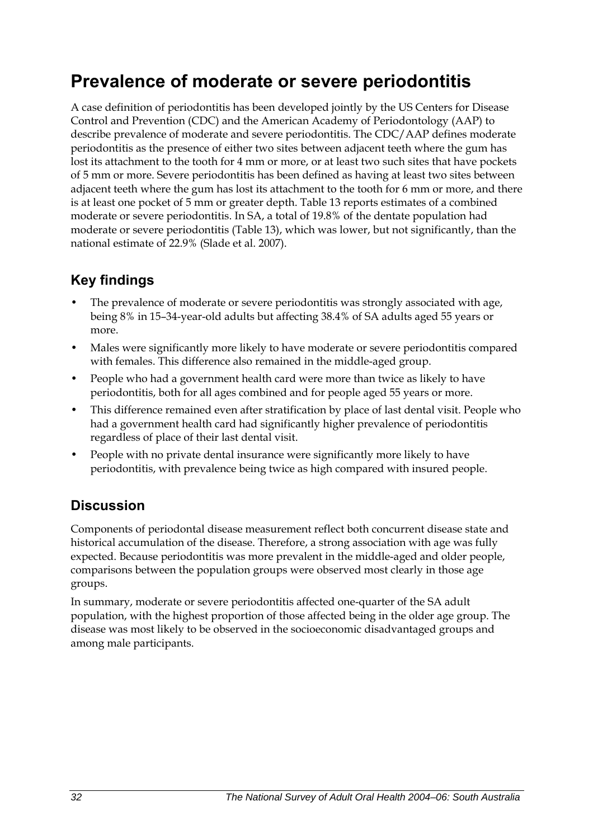## **Prevalence of moderate or severe periodontitis**

A case definition of periodontitis has been developed jointly by the US Centers for Disease Control and Prevention (CDC) and the American Academy of Periodontology (AAP) to describe prevalence of moderate and severe periodontitis. The CDC/AAP defines moderate periodontitis as the presence of either two sites between adjacent teeth where the gum has lost its attachment to the tooth for 4 mm or more, or at least two such sites that have pockets of 5 mm or more. Severe periodontitis has been defined as having at least two sites between adjacent teeth where the gum has lost its attachment to the tooth for 6 mm or more, and there is at least one pocket of 5 mm or greater depth. Table 13 reports estimates of a combined moderate or severe periodontitis. In SA, a total of 19.8% of the dentate population had moderate or severe periodontitis [\(Table 13\)](#page-40-0), which was lower, but not significantly, than the national estimate of 22.9% (Slade et al. 2007).

## **Key findings**

- The prevalence of moderate or severe periodontitis was strongly associated with age, being 8% in 15–34-year-old adults but affecting 38.4% of SA adults aged 55 years or more.
- Males were significantly more likely to have moderate or severe periodontitis compared with females. This difference also remained in the middle-aged group.
- People who had a government health card were more than twice as likely to have periodontitis, both for all ages combined and for people aged 55 years or more.
- This difference remained even after stratification by place of last dental visit. People who had a government health card had significantly higher prevalence of periodontitis regardless of place of their last dental visit.
- People with no private dental insurance were significantly more likely to have periodontitis, with prevalence being twice as high compared with insured people.

## **Discussion**

Components of periodontal disease measurement reflect both concurrent disease state and historical accumulation of the disease. Therefore, a strong association with age was fully expected. Because periodontitis was more prevalent in the middle-aged and older people, comparisons between the population groups were observed most clearly in those age groups.

In summary, moderate or severe periodontitis affected one-quarter of the SA adult population, with the highest proportion of those affected being in the older age group. The disease was most likely to be observed in the socioeconomic disadvantaged groups and among male participants.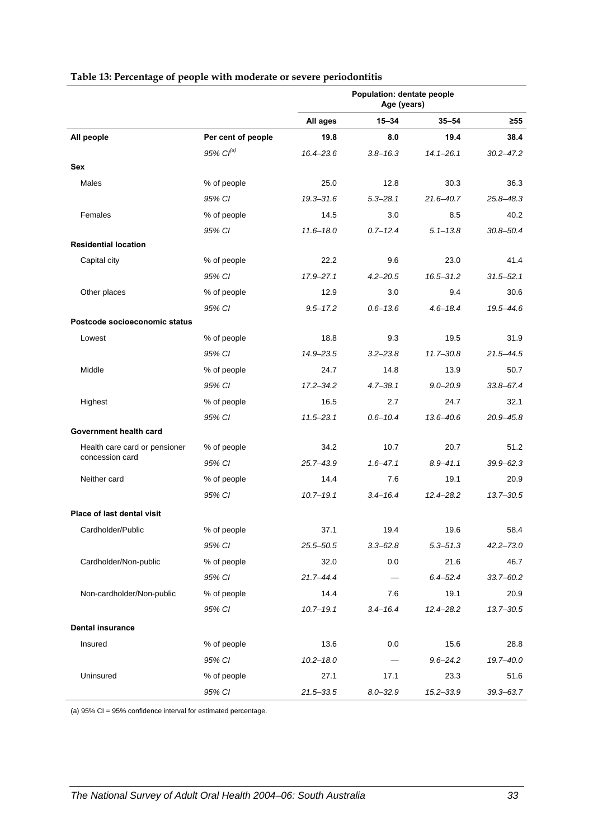<span id="page-40-0"></span>

|                                   |                    |               | Population: dentate people<br>Age (years) |               |               |
|-----------------------------------|--------------------|---------------|-------------------------------------------|---------------|---------------|
|                                   |                    | All ages      | $15 - 34$                                 | $35 - 54$     | $\geq 55$     |
| All people                        | Per cent of people | 19.8          | 8.0                                       | 19.4          | 38.4          |
|                                   | 95% $Cl^{(a)}$     | 16.4-23.6     | $3.8 - 16.3$                              | $14.1 - 26.1$ | $30.2 - 47.2$ |
| Sex                               |                    |               |                                           |               |               |
| Males                             | % of people        | 25.0          | 12.8                                      | 30.3          | 36.3          |
|                                   | 95% CI             | $19.3 - 31.6$ | $5.3 - 28.1$                              | 21.6-40.7     | 25.8-48.3     |
| Females                           | % of people        | 14.5          | 3.0                                       | 8.5           | 40.2          |
|                                   | 95% CI             | $11.6 - 18.0$ | $0.7 - 12.4$                              | $5.1 - 13.8$  | $30.8 - 50.4$ |
| <b>Residential location</b>       |                    |               |                                           |               |               |
| Capital city                      | % of people        | 22.2          | 9.6                                       | 23.0          | 41.4          |
|                                   | 95% CI             | $17.9 - 27.1$ | $4.2 - 20.5$                              | $16.5 - 31.2$ | $31.5 - 52.1$ |
| Other places                      | % of people        | 12.9          | 3.0                                       | 9.4           | 30.6          |
|                                   | 95% CI             | $9.5 - 17.2$  | $0.6 - 13.6$                              | $4.6 - 18.4$  | 19.5-44.6     |
| Postcode socioeconomic status     |                    |               |                                           |               |               |
| Lowest                            | % of people        | 18.8          | 9.3                                       | 19.5          | 31.9          |
|                                   | 95% CI             | 14.9-23.5     | $3.2 - 23.8$                              | $11.7 - 30.8$ | 21.5-44.5     |
| Middle                            | % of people        | 24.7          | 14.8                                      | 13.9          | 50.7          |
|                                   | 95% CI             | $17.2 - 34.2$ | $4.7 - 38.1$                              | $9.0 - 20.9$  | $33.8 - 67.4$ |
| Highest                           | % of people        | 16.5          | 2.7                                       | 24.7          | 32.1          |
|                                   | 95% CI             | $11.5 - 23.1$ | $0.6 - 10.4$                              | $13.6 - 40.6$ | 20.9-45.8     |
| Government health card            |                    |               |                                           |               |               |
| Health care card or pensioner     | % of people        | 34.2          | 10.7                                      | 20.7          | 51.2          |
| concession card                   | 95% CI             | $25.7 - 43.9$ | $1.6 - 47.1$                              | $8.9 - 41.1$  | $39.9 - 62.3$ |
| Neither card                      | % of people        | 14.4          | 7.6                                       | 19.1          | 20.9          |
|                                   | 95% CI             | $10.7 - 19.1$ | $3.4 - 16.4$                              | $12.4 - 28.2$ | $13.7 - 30.5$ |
| <b>Place of last dental visit</b> |                    |               |                                           |               |               |
| Cardholder/Public                 | % of people        | 37.1          | 19.4                                      | 19.6          | 58.4          |
|                                   | 95% CI             | $25.5 - 50.5$ | $3.3 - 62.8$                              | $5.3 - 51.3$  | $42.2 - 73.0$ |
| Cardholder/Non-public             | % of people        | 32.0          | 0.0                                       | 21.6          | 46.7          |
|                                   | 95% CI             | $21.7 - 44.4$ |                                           | $6.4 - 52.4$  | $33.7 - 60.2$ |
| Non-cardholder/Non-public         | % of people        | 14.4          | 7.6                                       | 19.1          | 20.9          |
|                                   | 95% CI             | $10.7 - 19.1$ | $3.4 - 16.4$                              | $12.4 - 28.2$ | $13.7 - 30.5$ |
| <b>Dental insurance</b>           |                    |               |                                           |               |               |
| Insured                           | % of people        | 13.6          | 0.0                                       | 15.6          | 28.8          |
|                                   | 95% CI             | $10.2 - 18.0$ |                                           | $9.6 - 24.2$  | 19.7-40.0     |
| Uninsured                         | % of people        | 27.1          | 17.1                                      | 23.3          | 51.6          |
|                                   | 95% CI             | $21.5 - 33.5$ | $8.0 - 32.9$                              | 15.2-33.9     | $39.3 - 63.7$ |

#### **Table 13: Percentage of people with moderate or severe periodontitis**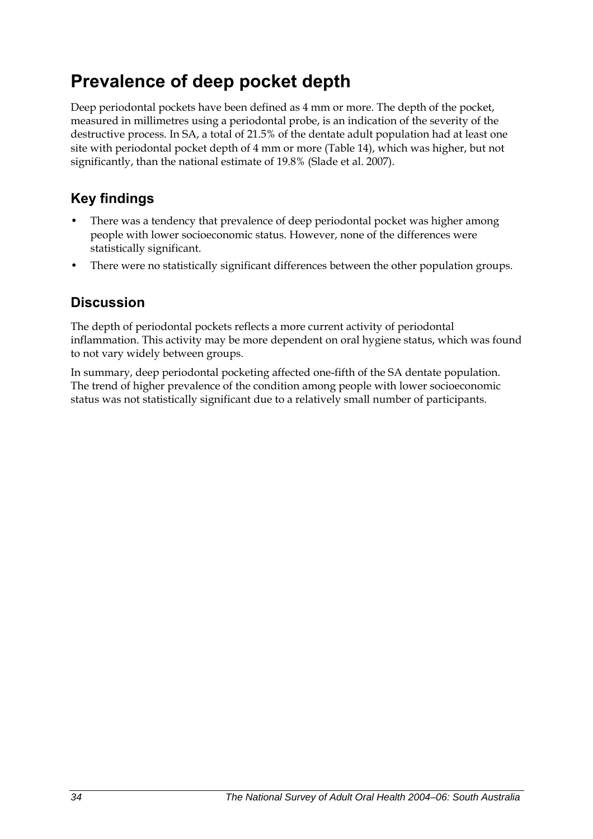## **Prevalence of deep pocket depth**

Deep periodontal pockets have been defined as 4 mm or more. The depth of the pocket, measured in millimetres using a periodontal probe, is an indication of the severity of the destructive process. In SA, a total of 21.5% of the dentate adult population had at least one site with periodontal pocket depth of 4 mm or more [\(Table 14\)](#page-42-0), which was higher, but not significantly, than the national estimate of 19.8% (Slade et al. 2007).

## **Key findings**

- There was a tendency that prevalence of deep periodontal pocket was higher among people with lower socioeconomic status. However, none of the differences were statistically significant.
- There were no statistically significant differences between the other population groups.

### **Discussion**

The depth of periodontal pockets reflects a more current activity of periodontal inflammation. This activity may be more dependent on oral hygiene status, which was found to not vary widely between groups.

In summary, deep periodontal pocketing affected one-fifth of the SA dentate population. The trend of higher prevalence of the condition among people with lower socioeconomic status was not statistically significant due to a relatively small number of participants.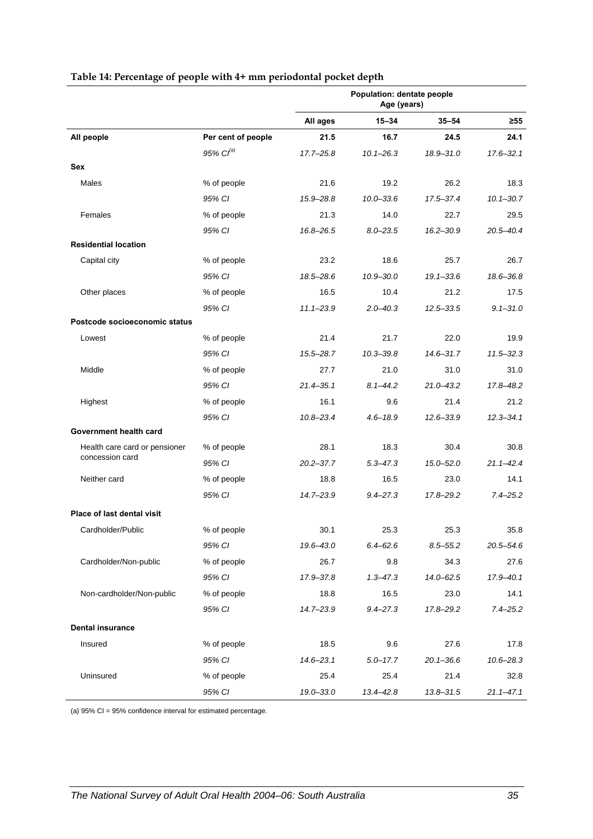<span id="page-42-0"></span>

|                                                  |                    |               | Population: dentate people<br>Age (years) |               |               |
|--------------------------------------------------|--------------------|---------------|-------------------------------------------|---------------|---------------|
|                                                  |                    | All ages      | $15 - 34$                                 | $35 - 54$     | $\geq 55$     |
| All people                                       | Per cent of people | 21.5          | 16.7                                      | 24.5          | 24.1          |
|                                                  | 95% $Cl^{(a)}$     | 17.7-25.8     | $10.1 - 26.3$                             | 18.9-31.0     | $17.6 - 32.1$ |
| Sex                                              |                    |               |                                           |               |               |
| Males                                            | % of people        | 21.6          | 19.2                                      | 26.2          | 18.3          |
|                                                  | 95% CI             | 15.9-28.8     | $10.0 - 33.6$                             | 17.5-37.4     | $10.1 - 30.7$ |
| Females                                          | % of people        | 21.3          | 14.0                                      | 22.7          | 29.5          |
|                                                  | 95% CI             | 16.8-26.5     | $8.0 - 23.5$                              | $16.2 - 30.9$ | 20.5-40.4     |
| <b>Residential location</b>                      |                    |               |                                           |               |               |
| Capital city                                     | % of people        | 23.2          | 18.6                                      | 25.7          | 26.7          |
|                                                  | 95% CI             | 18.5-28.6     | $10.9 - 30.0$                             | $19.1 - 33.6$ | 18.6-36.8     |
| Other places                                     | % of people        | 16.5          | 10.4                                      | 21.2          | 17.5          |
|                                                  | 95% CI             | $11.1 - 23.9$ | $2.0 - 40.3$                              | $12.5 - 33.5$ | $9.1 - 31.0$  |
| Postcode socioeconomic status                    |                    |               |                                           |               |               |
| Lowest                                           | % of people        | 21.4          | 21.7                                      | 22.0          | 19.9          |
|                                                  | 95% CI             | 15.5-28.7     | $10.3 - 39.8$                             | $14.6 - 31.7$ | $11.5 - 32.3$ |
| Middle                                           | % of people        | 27.7          | 21.0                                      | 31.0          | 31.0          |
|                                                  | 95% CI             | 21.4-35.1     | $8.1 - 44.2$                              | $21.0 - 43.2$ | 17.8-48.2     |
| Highest                                          | % of people        | 16.1          | 9.6                                       | 21.4          | 21.2          |
|                                                  | 95% CI             | $10.8 - 23.4$ | $4.6 - 18.9$                              | $12.6 - 33.9$ | $12.3 - 34.1$ |
| Government health card                           |                    |               |                                           |               |               |
| Health care card or pensioner<br>concession card | % of people        | 28.1          | 18.3                                      | 30.4          | 30.8          |
|                                                  | 95% CI             | $20.2 - 37.7$ | $5.3 - 47.3$                              | $15.0 - 52.0$ | $21.1 - 42.4$ |
| Neither card                                     | % of people        | 18.8          | 16.5                                      | 23.0          | 14.1          |
|                                                  | 95% CI             | 14.7-23.9     | $9.4 - 27.3$                              | 17.8-29.2     | $7.4 - 25.2$  |
| <b>Place of last dental visit</b>                |                    |               |                                           |               |               |
| Cardholder/Public                                | % of people        | 30.1          | 25.3                                      | 25.3          | 35.8          |
|                                                  | 95% CI             | 19.6-43.0     | $6.4 - 62.6$                              | $8.5 - 55.2$  | $20.5 - 54.6$ |
| Cardholder/Non-public                            | % of people        | 26.7          | 9.8                                       | 34.3          | 27.6          |
|                                                  | 95% CI             | 17.9-37.8     | $1.3 - 47.3$                              | $14.0 - 62.5$ | 17.9-40.1     |
| Non-cardholder/Non-public                        | % of people        | 18.8          | 16.5                                      | 23.0          | 14.1          |
|                                                  | 95% CI             | 14.7-23.9     | $9.4 - 27.3$                              | 17.8-29.2     | $7.4 - 25.2$  |
| <b>Dental insurance</b>                          |                    |               |                                           |               |               |
| Insured                                          | % of people        | 18.5          | 9.6                                       | 27.6          | 17.8          |
|                                                  | 95% CI             | $14.6 - 23.1$ | $5.0 - 17.7$                              | $20.1 - 36.6$ | $10.6 - 28.3$ |
| Uninsured                                        | % of people        | 25.4          | 25.4                                      | 21.4          | 32.8          |
|                                                  | 95% CI             | 19.0-33.0     | $13.4 - 42.8$                             | 13.8-31.5     | $21.1 - 47.1$ |

#### **Table 14: Percentage of people with 4+ mm periodontal pocket depth**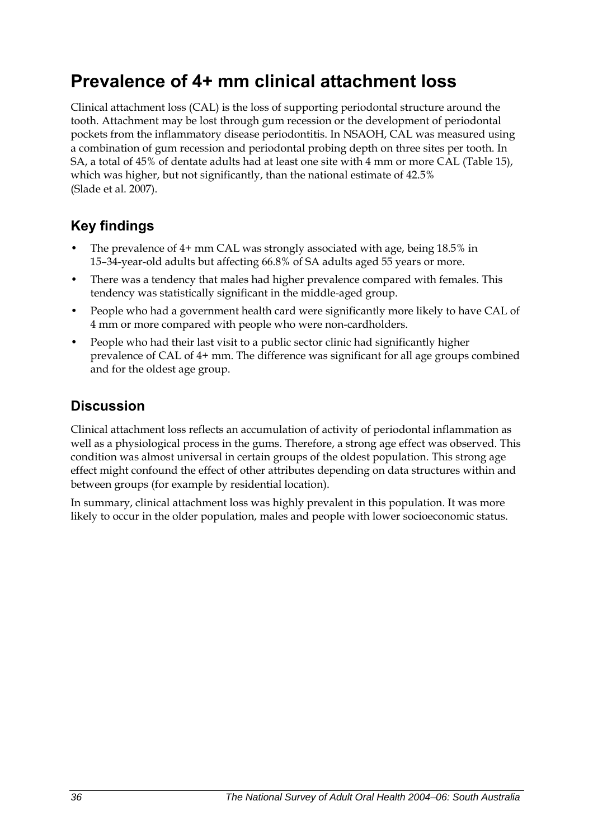## **Prevalence of 4+ mm clinical attachment loss**

Clinical attachment loss (CAL) is the loss of supporting periodontal structure around the tooth. Attachment may be lost through gum recession or the development of periodontal pockets from the inflammatory disease periodontitis. In NSAOH, CAL was measured using a combination of gum recession and periodontal probing depth on three sites per tooth. In SA, a total of 45% of dentate adults had at least one site with 4 mm or more CAL ([Table 15](#page-44-0)), which was higher, but not significantly, than the national estimate of 42.5% (Slade et al. 2007).

## **Key findings**

- The prevalence of 4+ mm CAL was strongly associated with age, being 18.5% in 15–34-year-old adults but affecting 66.8% of SA adults aged 55 years or more.
- There was a tendency that males had higher prevalence compared with females. This tendency was statistically significant in the middle-aged group.
- People who had a government health card were significantly more likely to have CAL of 4 mm or more compared with people who were non-cardholders.
- People who had their last visit to a public sector clinic had significantly higher prevalence of CAL of 4+ mm. The difference was significant for all age groups combined and for the oldest age group.

### **Discussion**

Clinical attachment loss reflects an accumulation of activity of periodontal inflammation as well as a physiological process in the gums. Therefore, a strong age effect was observed. This condition was almost universal in certain groups of the oldest population. This strong age effect might confound the effect of other attributes depending on data structures within and between groups (for example by residential location).

In summary, clinical attachment loss was highly prevalent in this population. It was more likely to occur in the older population, males and people with lower socioeconomic status.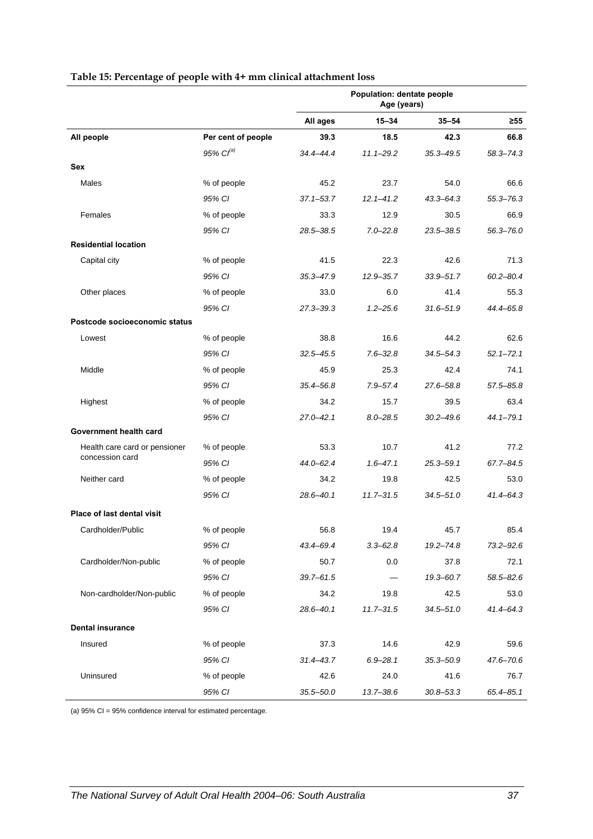<span id="page-44-0"></span>

|                                   |                    |               | Population: dentate people<br>Age (years) |               |               |
|-----------------------------------|--------------------|---------------|-------------------------------------------|---------------|---------------|
|                                   |                    | All ages      | $15 - 34$                                 | $35 - 54$     | $\geq 55$     |
| All people                        | Per cent of people | 39.3          | 18.5                                      | 42.3          | 66.8          |
|                                   | 95% $Cl^{(a)}$     | 34.4-44.4     | $11.1 - 29.2$                             | $35.3 - 49.5$ | $58.3 - 74.3$ |
| Sex                               |                    |               |                                           |               |               |
| Males                             | % of people        | 45.2          | 23.7                                      | 54.0          | 66.6          |
|                                   | 95% CI             | $37.1 - 53.7$ | $12.1 - 41.2$                             | 43.3-64.3     | $55.3 - 76.3$ |
| Females                           | % of people        | 33.3          | 12.9                                      | 30.5          | 66.9          |
|                                   | 95% CI             | 28.5-38.5     | $7.0 - 22.8$                              | $23.5 - 38.5$ | $56.3 - 76.0$ |
| <b>Residential location</b>       |                    |               |                                           |               |               |
| Capital city                      | % of people        | 41.5          | 22.3                                      | 42.6          | 71.3          |
|                                   | 95% CI             | $35.3 - 47.9$ | 12.9 - 35.7                               | 33.9 - 51.7   | $60.2 - 80.4$ |
| Other places                      | % of people        | 33.0          | 6.0                                       | 41.4          | 55.3          |
|                                   | 95% CI             | 27.3-39.3     | $1.2 - 25.6$                              | $31.6 - 51.9$ | 44.4-65.8     |
| Postcode socioeconomic status     |                    |               |                                           |               |               |
| Lowest                            | % of people        | 38.8          | 16.6                                      | 44.2          | 62.6          |
|                                   | 95% CI             | $32.5 - 45.5$ | $7.6 - 32.8$                              | $34.5 - 54.3$ | $52.1 - 72.1$ |
| Middle                            | % of people        | 45.9          | 25.3                                      | 42.4          | 74.1          |
|                                   | 95% CI             | 35.4-56.8     | $7.9 - 57.4$                              | 27.6-58.8     | $57.5 - 85.8$ |
| Highest                           | % of people        | 34.2          | 15.7                                      | 39.5          | 63.4          |
|                                   | 95% CI             | 27.0-42.1     | $8.0 - 28.5$                              | $30.2 - 49.6$ | $44.1 - 79.1$ |
| Government health card            |                    |               |                                           |               |               |
| Health care card or pensioner     | % of people        | 53.3          | 10.7                                      | 41.2          | 77.2          |
| concession card                   | 95% CI             | $44.0 - 62.4$ | $1.6 - 47.1$                              | $25.3 - 59.1$ | $67.7 - 84.5$ |
| Neither card                      | % of people        | 34.2          | 19.8                                      | 42.5          | 53.0          |
|                                   | 95% CI             | 28.6-40.1     | $11.7 - 31.5$                             | $34.5 - 51.0$ | $41.4 - 64.3$ |
| <b>Place of last dental visit</b> |                    |               |                                           |               |               |
| Cardholder/Public                 | % of people        | 56.8          | 19.4                                      | 45.7          | 85.4          |
|                                   | 95% CI             | 43.4-69.4     | $3.3 - 62.8$                              | $19.2 - 74.8$ | 73.2-92.6     |
| Cardholder/Non-public             | % of people        | 50.7          | 0.0                                       | 37.8          | 72.1          |
|                                   | 95% CI             | $39.7 - 61.5$ |                                           | $19.3 - 60.7$ | $58.5 - 82.6$ |
| Non-cardholder/Non-public         | % of people        | 34.2          | 19.8                                      | 42.5          | 53.0          |
|                                   | 95% CI             | $28.6 - 40.1$ | $11.7 - 31.5$                             | $34.5 - 51.0$ | $41.4 - 64.3$ |
| <b>Dental insurance</b>           |                    |               |                                           |               |               |
| Insured                           | % of people        | 37.3          | 14.6                                      | 42.9          | 59.6          |
|                                   | 95% CI             | $31.4 - 43.7$ | $6.9 - 28.1$                              | $35.3 - 50.9$ | 47.6-70.6     |
| Uninsured                         | % of people        | 42.6          | 24.0                                      | 41.6          | 76.7          |
|                                   | 95% CI             | $35.5 - 50.0$ | $13.7 - 38.6$                             | $30.8 - 53.3$ | $65.4 - 85.1$ |

#### **Table 15: Percentage of people with 4+ mm clinical attachment loss**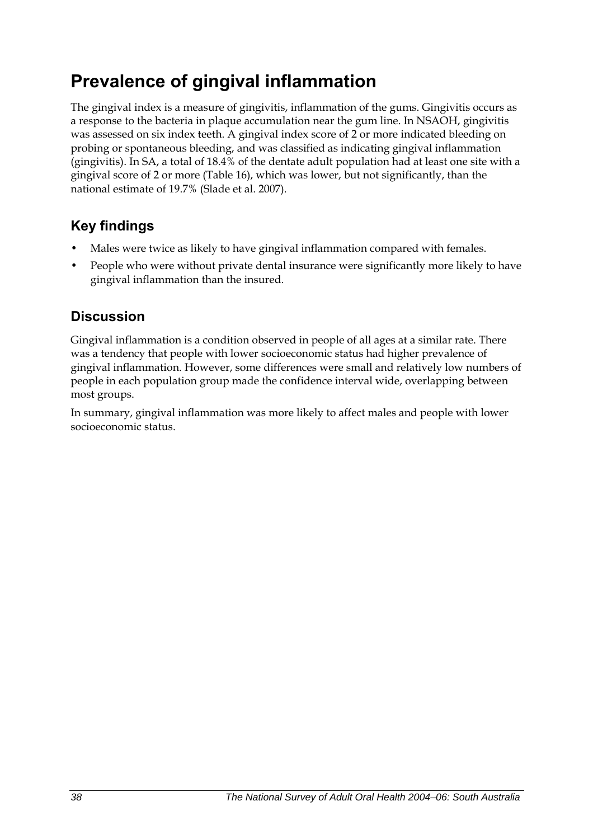## **Prevalence of gingival inflammation**

The gingival index is a measure of gingivitis, inflammation of the gums. Gingivitis occurs as a response to the bacteria in plaque accumulation near the gum line. In NSAOH, gingivitis was assessed on six index teeth. A gingival index score of 2 or more indicated bleeding on probing or spontaneous bleeding, and was classified as indicating gingival inflammation (gingivitis). In SA, a total of 18.4% of the dentate adult population had at least one site with a gingival score of 2 or more [\(Table 16\)](#page-46-0), which was lower, but not significantly, than the national estimate of 19.7% (Slade et al. 2007).

## **Key findings**

- Males were twice as likely to have gingival inflammation compared with females.
- People who were without private dental insurance were significantly more likely to have gingival inflammation than the insured.

### **Discussion**

Gingival inflammation is a condition observed in people of all ages at a similar rate. There was a tendency that people with lower socioeconomic status had higher prevalence of gingival inflammation. However, some differences were small and relatively low numbers of people in each population group made the confidence interval wide, overlapping between most groups.

In summary, gingival inflammation was more likely to affect males and people with lower socioeconomic status.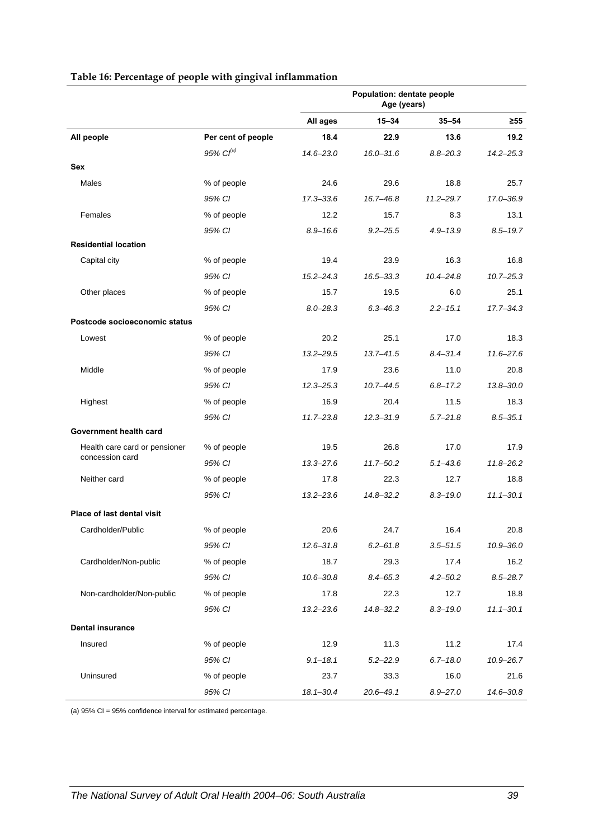<span id="page-46-0"></span>

|                               |                       |               | Population: dentate people<br>Age (years) |               |               |
|-------------------------------|-----------------------|---------------|-------------------------------------------|---------------|---------------|
|                               |                       | All ages      | $15 - 34$                                 | $35 - 54$     | ≥55           |
| All people                    | Per cent of people    | 18.4          | 22.9                                      | 13.6          | 19.2          |
|                               | 95% Cl <sup>(a)</sup> | $14.6 - 23.0$ | $16.0 - 31.6$                             | $8.8 - 20.3$  | $14.2 - 25.3$ |
| Sex                           |                       |               |                                           |               |               |
| Males                         | % of people           | 24.6          | 29.6                                      | 18.8          | 25.7          |
|                               | 95% CI                | $17.3 - 33.6$ | 16.7-46.8                                 | $11.2 - 29.7$ | 17.0-36.9     |
| Females                       | % of people           | 12.2          | 15.7                                      | 8.3           | 13.1          |
|                               | 95% CI                | $8.9 - 16.6$  | $9.2 - 25.5$                              | $4.9 - 13.9$  | $8.5 - 19.7$  |
| <b>Residential location</b>   |                       |               |                                           |               |               |
| Capital city                  | % of people           | 19.4          | 23.9                                      | 16.3          | 16.8          |
|                               | 95% CI                | $15.2 - 24.3$ | $16.5 - 33.3$                             | $10.4 - 24.8$ | $10.7 - 25.3$ |
| Other places                  | % of people           | 15.7          | 19.5                                      | 6.0           | 25.1          |
|                               | 95% CI                | $8.0 - 28.3$  | $6.3 - 46.3$                              | $2.2 - 15.1$  | $17.7 - 34.3$ |
| Postcode socioeconomic status |                       |               |                                           |               |               |
| Lowest                        | % of people           | 20.2          | 25.1                                      | 17.0          | 18.3          |
|                               | 95% CI                | $13.2 - 29.5$ | $13.7 - 41.5$                             | $8.4 - 31.4$  | $11.6 - 27.6$ |
| Middle                        | % of people           | 17.9          | 23.6                                      | 11.0          | 20.8          |
|                               | 95% CI                | $12.3 - 25.3$ | $10.7 - 44.5$                             | $6.8 - 17.2$  | $13.8 - 30.0$ |
| Highest                       | % of people           | 16.9          | 20.4                                      | 11.5          | 18.3          |
|                               | 95% CI                | $11.7 - 23.8$ | $12.3 - 31.9$                             | $5.7 - 21.8$  | $8.5 - 35.1$  |
| Government health card        |                       |               |                                           |               |               |
| Health care card or pensioner | % of people           | 19.5          | 26.8                                      | 17.0          | 17.9          |
| concession card               | 95% CI                | $13.3 - 27.6$ | $11.7 - 50.2$                             | $5.1 - 43.6$  | $11.8 - 26.2$ |
| Neither card                  | % of people           | 17.8          | 22.3                                      | 12.7          | 18.8          |
|                               | 95% CI                | $13.2 - 23.6$ | $14.8 - 32.2$                             | $8.3 - 19.0$  | $11.1 - 30.1$ |
| Place of last dental visit    |                       |               |                                           |               |               |
| Cardholder/Public             | % of people           | 20.6          | 24.7                                      | 16.4          | 20.8          |
|                               | 95% CI                | $12.6 - 31.8$ | $6.2 - 61.8$                              | $3.5 - 51.5$  | $10.9 - 36.0$ |
| Cardholder/Non-public         | % of people           | 18.7          | 29.3                                      | 17.4          | 16.2          |
|                               | 95% CI                | $10.6 - 30.8$ | $8.4 - 65.3$                              | $4.2 - 50.2$  | $8.5 - 28.7$  |
| Non-cardholder/Non-public     | % of people           | 17.8          | 22.3                                      | 12.7          | 18.8          |
|                               | 95% CI                | $13.2 - 23.6$ | $14.8 - 32.2$                             | $8.3 - 19.0$  | $11.1 - 30.1$ |
| <b>Dental insurance</b>       |                       |               |                                           |               |               |
| Insured                       | % of people           | 12.9          | 11.3                                      | 11.2          | 17.4          |
|                               | 95% CI                | $9.1 - 18.1$  | $5.2 - 22.9$                              | $6.7 - 18.0$  | $10.9 - 26.7$ |
| Uninsured                     | % of people           | 23.7          | 33.3                                      | 16.0          | 21.6          |
|                               | 95% CI                | $18.1 - 30.4$ | $20.6 - 49.1$                             | $8.9 - 27.0$  | 14.6-30.8     |

#### **Table 16: Percentage of people with gingival inflammation**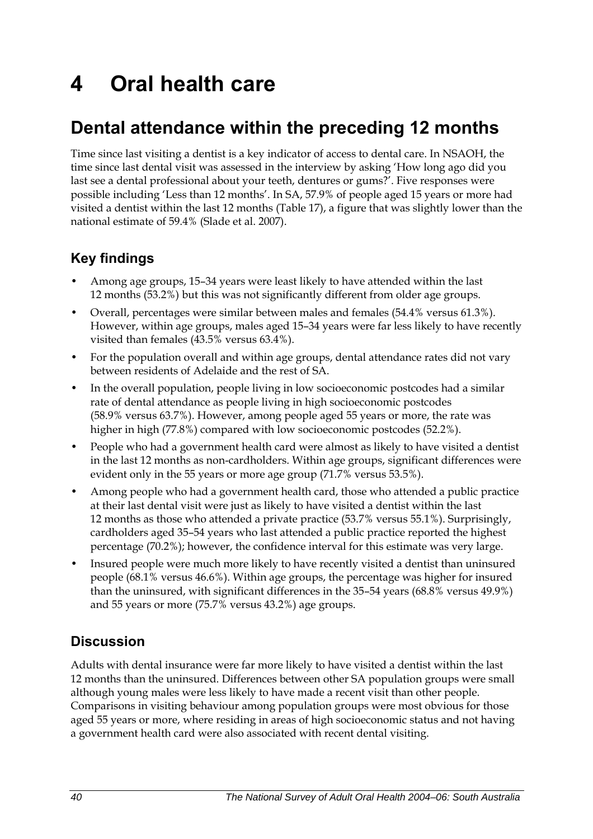# **4 Oral health care**

## **Dental attendance within the preceding 12 months**

Time since last visiting a dentist is a key indicator of access to dental care. In NSAOH, the time since last dental visit was assessed in the interview by asking 'How long ago did you last see a dental professional about your teeth, dentures or gums?'. Five responses were possible including 'Less than 12 months'. In SA, 57.9% of people aged 15 years or more had visited a dentist within the last 12 months [\(Table 17\)](#page-48-0), a figure that was slightly lower than the national estimate of 59.4% (Slade et al. 2007).

## **Key findings**

- Among age groups, 15–34 years were least likely to have attended within the last 12 months (53.2%) but this was not significantly different from older age groups.
- Overall, percentages were similar between males and females (54.4% versus 61.3%). However, within age groups, males aged 15–34 years were far less likely to have recently visited than females (43.5% versus 63.4%).
- For the population overall and within age groups, dental attendance rates did not vary between residents of Adelaide and the rest of SA.
- In the overall population, people living in low socioeconomic postcodes had a similar rate of dental attendance as people living in high socioeconomic postcodes (58.9% versus 63.7%). However, among people aged 55 years or more, the rate was higher in high (77.8%) compared with low socioeconomic postcodes (52.2%).
- People who had a government health card were almost as likely to have visited a dentist in the last 12 months as non-cardholders. Within age groups, significant differences were evident only in the 55 years or more age group (71.7% versus 53.5%).
- Among people who had a government health card, those who attended a public practice at their last dental visit were just as likely to have visited a dentist within the last 12 months as those who attended a private practice (53.7% versus 55.1%). Surprisingly, cardholders aged 35–54 years who last attended a public practice reported the highest percentage (70.2%); however, the confidence interval for this estimate was very large.
- Insured people were much more likely to have recently visited a dentist than uninsured people (68.1% versus 46.6%). Within age groups, the percentage was higher for insured than the uninsured, with significant differences in the 35–54 years (68.8% versus 49.9%) and 55 years or more (75.7% versus 43.2%) age groups.

### **Discussion**

Adults with dental insurance were far more likely to have visited a dentist within the last 12 months than the uninsured. Differences between other SA population groups were small although young males were less likely to have made a recent visit than other people. Comparisons in visiting behaviour among population groups were most obvious for those aged 55 years or more, where residing in areas of high socioeconomic status and not having a government health card were also associated with recent dental visiting.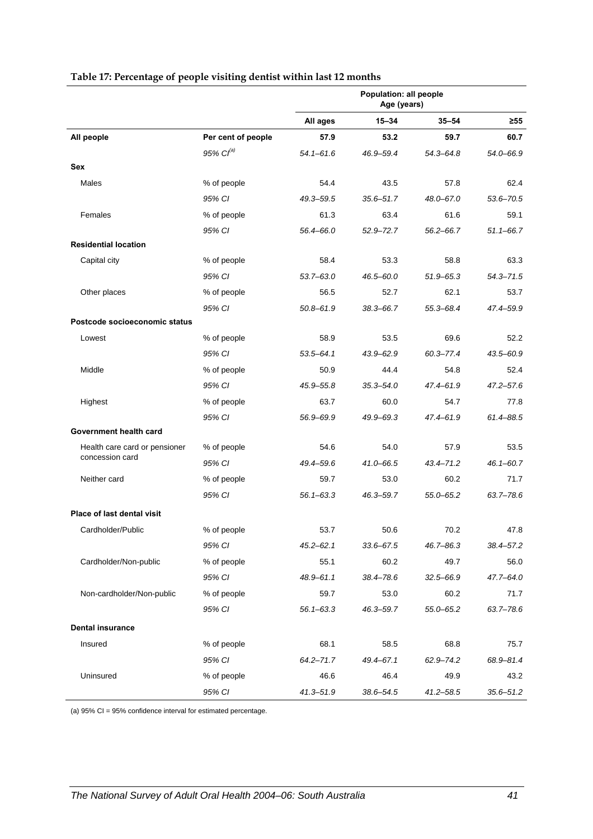<span id="page-48-0"></span>

|                                                  |                       |               | Population: all people<br>Age (years) |               |               |
|--------------------------------------------------|-----------------------|---------------|---------------------------------------|---------------|---------------|
|                                                  |                       | All ages      | $15 - 34$                             | $35 - 54$     | $\geq 55$     |
| All people                                       | Per cent of people    | 57.9          | 53.2                                  | 59.7          | 60.7          |
|                                                  | 95% Cl <sup>(a)</sup> | $54.1 - 61.6$ | 46.9–59.4                             | $54.3 - 64.8$ | 54.0-66.9     |
| Sex                                              |                       |               |                                       |               |               |
| Males                                            | % of people           | 54.4          | 43.5                                  | 57.8          | 62.4          |
|                                                  | 95% CI                | 49.3-59.5     | 35.6-51.7                             | 48.0-67.0     | 53.6-70.5     |
| Females                                          | % of people           | 61.3          | 63.4                                  | 61.6          | 59.1          |
|                                                  | 95% CI                | 56.4-66.0     | $52.9 - 72.7$                         | $56.2 - 66.7$ | $51.1 - 66.7$ |
| <b>Residential location</b>                      |                       |               |                                       |               |               |
| Capital city                                     | % of people           | 58.4          | 53.3                                  | 58.8          | 63.3          |
|                                                  | 95% CI                | $53.7 - 63.0$ | 46.5–60.0                             | $51.9 - 65.3$ | $54.3 - 71.5$ |
| Other places                                     | % of people           | 56.5          | 52.7                                  | 62.1          | 53.7          |
|                                                  | 95% CI                | $50.8 - 61.9$ | 38.3-66.7                             | 55.3-68.4     | 47.4-59.9     |
| Postcode socioeconomic status                    |                       |               |                                       |               |               |
| Lowest                                           | % of people           | 58.9          | 53.5                                  | 69.6          | 52.2          |
|                                                  | 95% CI                | $53.5 - 64.1$ | $43.9 - 62.9$                         | $60.3 - 77.4$ | 43.5-60.9     |
| Middle                                           | % of people           | 50.9          | 44.4                                  | 54.8          | 52.4          |
|                                                  | 95% CI                | 45.9-55.8     | $35.3 - 54.0$                         | 47.4-61.9     | $47.2 - 57.6$ |
| Highest                                          | % of people           | 63.7          | 60.0                                  | 54.7          | 77.8          |
|                                                  | 95% CI                | 56.9-69.9     | 49.9-69.3                             | $47.4 - 61.9$ | 61.4-88.5     |
| Government health card                           |                       |               |                                       |               |               |
| Health care card or pensioner<br>concession card | % of people           | 54.6          | 54.0                                  | 57.9          | 53.5          |
|                                                  | 95% CI                | 49.4-59.6     | 41.0-66.5                             | $43.4 - 71.2$ | $46.1 - 60.7$ |
| Neither card                                     | % of people           | 59.7          | 53.0                                  | 60.2          | 71.7          |
|                                                  | 95% CI                | $56.1 - 63.3$ | 46.3–59.7                             | $55.0 - 65.2$ | $63.7 - 78.6$ |
| Place of last dental visit                       |                       |               |                                       |               |               |
| Cardholder/Public                                | % of people           | 53.7          | 50.6                                  | 70.2          | 47.8          |
|                                                  | 95% CI                | $45.2 - 62.1$ | 33.6–67.5                             | 46.7–86.3     | 38.4–57.2     |
| Cardholder/Non-public                            | % of people           | 55.1          | 60.2                                  | 49.7          | 56.0          |
|                                                  | 95% CI                | 48.9-61.1     | 38.4-78.6                             | $32.5 - 66.9$ | 47.7-64.0     |
| Non-cardholder/Non-public                        | % of people           | 59.7          | 53.0                                  | 60.2          | 71.7          |
|                                                  | 95% CI                | $56.1 - 63.3$ | $46.3 - 59.7$                         | 55.0-65.2     | 63.7-78.6     |
| <b>Dental insurance</b>                          |                       |               |                                       |               |               |
| Insured                                          | % of people           | 68.1          | 58.5                                  | 68.8          | 75.7          |
|                                                  | 95% CI                | $64.2 - 71.7$ | 49.4-67.1                             | 62.9-74.2     | 68.9-81.4     |
| Uninsured                                        | % of people           | 46.6          | 46.4                                  | 49.9          | 43.2          |
|                                                  | 95% CI                | $41.3 - 51.9$ | 38.6-54.5                             | $41.2 - 58.5$ | $35.6 - 51.2$ |

#### **Table 17: Percentage of people visiting dentist within last 12 months**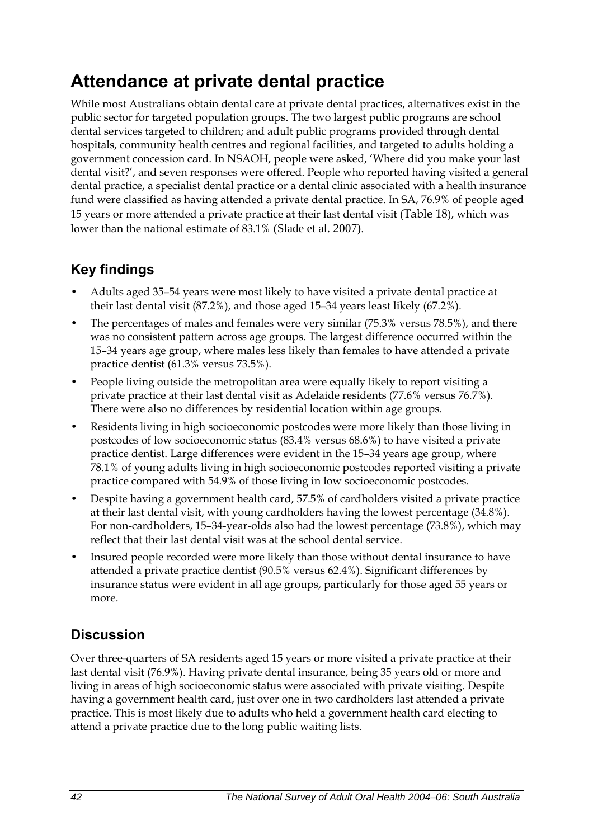## **Attendance at private dental practice**

While most Australians obtain dental care at private dental practices, alternatives exist in the public sector for targeted population groups. The two largest public programs are school dental services targeted to children; and adult public programs provided through dental hospitals, community health centres and regional facilities, and targeted to adults holding a government concession card. In NSAOH, people were asked, 'Where did you make your last dental visit?', and seven responses were offered. People who reported having visited a general dental practice, a specialist dental practice or a dental clinic associated with a health insurance fund were classified as having attended a private dental practice. In SA, 76.9% of people aged 15 years or more attended a private practice at their last dental visit ([Table 18](#page-50-0)), which was lower than the national estimate of 83.1% (Slade et al. 2007).

## **Key findings**

- Adults aged 35–54 years were most likely to have visited a private dental practice at their last dental visit (87.2%), and those aged 15–34 years least likely (67.2%).
- The percentages of males and females were very similar (75.3% versus 78.5%), and there was no consistent pattern across age groups. The largest difference occurred within the 15–34 years age group, where males less likely than females to have attended a private practice dentist (61.3% versus 73.5%).
- People living outside the metropolitan area were equally likely to report visiting a private practice at their last dental visit as Adelaide residents (77.6% versus 76.7%). There were also no differences by residential location within age groups.
- Residents living in high socioeconomic postcodes were more likely than those living in postcodes of low socioeconomic status (83.4% versus 68.6%) to have visited a private practice dentist. Large differences were evident in the 15–34 years age group, where 78.1% of young adults living in high socioeconomic postcodes reported visiting a private practice compared with 54.9% of those living in low socioeconomic postcodes.
- Despite having a government health card, 57.5% of cardholders visited a private practice at their last dental visit, with young cardholders having the lowest percentage (34.8%). For non-cardholders, 15–34-year-olds also had the lowest percentage (73.8%), which may reflect that their last dental visit was at the school dental service.
- Insured people recorded were more likely than those without dental insurance to have attended a private practice dentist (90.5% versus 62.4%). Significant differences by insurance status were evident in all age groups, particularly for those aged 55 years or more.

## **Discussion**

Over three-quarters of SA residents aged 15 years or more visited a private practice at their last dental visit (76.9%). Having private dental insurance, being 35 years old or more and living in areas of high socioeconomic status were associated with private visiting. Despite having a government health card, just over one in two cardholders last attended a private practice. This is most likely due to adults who held a government health card electing to attend a private practice due to the long public waiting lists.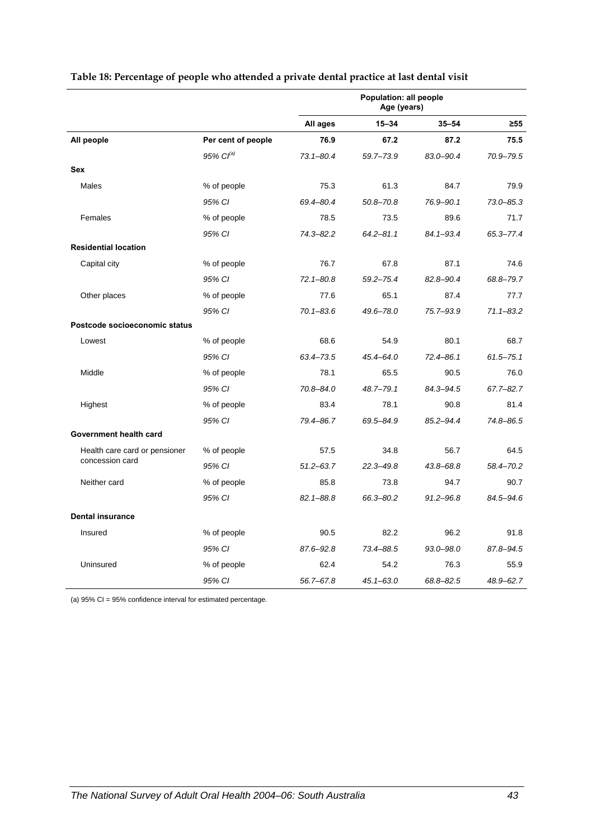|                               |                       |               | Population: all people<br>Age (years) |               |               |
|-------------------------------|-----------------------|---------------|---------------------------------------|---------------|---------------|
|                               |                       | All ages      | $15 - 34$                             | $35 - 54$     | ≥55           |
| All people                    | Per cent of people    | 76.9          | 67.2                                  | 87.2          | 75.5          |
|                               | 95% Cl <sup>(a)</sup> | $73.1 - 80.4$ | 59.7-73.9                             | 83.0-90.4     | 70.9-79.5     |
| <b>Sex</b>                    |                       |               |                                       |               |               |
| Males                         | % of people           | 75.3          | 61.3                                  | 84.7          | 79.9          |
|                               | 95% CI                | 69.4-80.4     | $50.8 - 70.8$                         | 76.9-90.1     | $73.0 - 85.3$ |
| Females                       | % of people           | 78.5          | 73.5                                  | 89.6          | 71.7          |
|                               | 95% CI                | 74.3-82.2     | $64.2 - 81.1$                         | $84.1 - 93.4$ | 65.3-77.4     |
| <b>Residential location</b>   |                       |               |                                       |               |               |
| Capital city                  | % of people           | 76.7          | 67.8                                  | 87.1          | 74.6          |
|                               | 95% CI                | $72.1 - 80.8$ | $59.2 - 75.4$                         | 82.8-90.4     | 68.8-79.7     |
| Other places                  | % of people           | 77.6          | 65.1                                  | 87.4          | 77.7          |
|                               | 95% CI                | $70.1 - 83.6$ | 49.6-78.0                             | 75.7-93.9     | $71.1 - 83.2$ |
| Postcode socioeconomic status |                       |               |                                       |               |               |
| Lowest                        | % of people           | 68.6          | 54.9                                  | 80.1          | 68.7          |
|                               | 95% CI                | 63.4-73.5     | $45.4 - 64.0$                         | $72.4 - 86.1$ | $61.5 - 75.1$ |
| Middle                        | % of people           | 78.1          | 65.5                                  | 90.5          | 76.0          |
|                               | 95% CI                | 70.8-84.0     | $48.7 - 79.1$                         | 84.3-94.5     | 67.7-82.7     |
| Highest                       | % of people           | 83.4          | 78.1                                  | 90.8          | 81.4          |
|                               | 95% CI                | 79.4-86.7     | 69.5-84.9                             | 85.2-94.4     | 74.8-86.5     |
| Government health card        |                       |               |                                       |               |               |
| Health care card or pensioner | % of people           | 57.5          | 34.8                                  | 56.7          | 64.5          |
| concession card               | 95% CI                | $51.2 - 63.7$ | $22.3 - 49.8$                         | $43.8 - 68.8$ | 58.4-70.2     |
| Neither card                  | % of people           | 85.8          | 73.8                                  | 94.7          | 90.7          |
|                               | 95% CI                | $82.1 - 88.8$ | 66.3-80.2                             | $91.2 - 96.8$ | 84.5-94.6     |
| <b>Dental insurance</b>       |                       |               |                                       |               |               |
| Insured                       | % of people           | 90.5          | 82.2                                  | 96.2          | 91.8          |
|                               | 95% CI                | 87.6-92.8     | 73.4-88.5                             | $93.0 - 98.0$ | 87.8-94.5     |
| Uninsured                     | % of people           | 62.4          | 54.2                                  | 76.3          | 55.9          |
|                               | 95% CI                | 56.7-67.8     | $45.1 - 63.0$                         | 68.8-82.5     | 48.9-62.7     |

#### <span id="page-50-0"></span>**Table 18: Percentage of people who attended a private dental practice at last dental visit**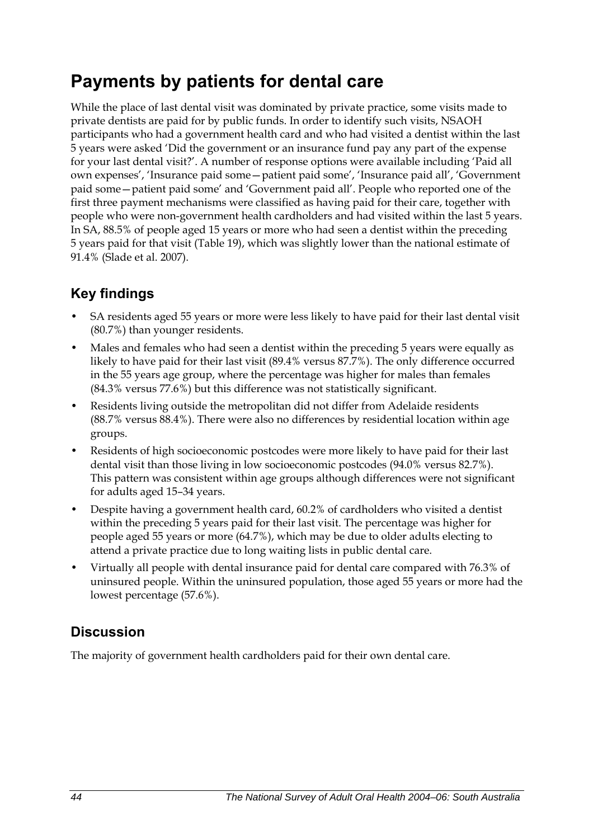## **Payments by patients for dental care**

While the place of last dental visit was dominated by private practice, some visits made to private dentists are paid for by public funds. In order to identify such visits, NSAOH participants who had a government health card and who had visited a dentist within the last 5 years were asked 'Did the government or an insurance fund pay any part of the expense for your last dental visit?'. A number of response options were available including 'Paid all own expenses', 'Insurance paid some—patient paid some', 'Insurance paid all', 'Government paid some—patient paid some' and 'Government paid all'. People who reported one of the first three payment mechanisms were classified as having paid for their care, together with people who were non-government health cardholders and had visited within the last 5 years. In SA, 88.5% of people aged 15 years or more who had seen a dentist within the preceding 5 years paid for that visit [\(Table 19\)](#page-52-0), which was slightly lower than the national estimate of 91.4% (Slade et al. 2007).

## **Key findings**

- SA residents aged 55 years or more were less likely to have paid for their last dental visit (80.7%) than younger residents.
- Males and females who had seen a dentist within the preceding 5 years were equally as likely to have paid for their last visit (89.4% versus 87.7%). The only difference occurred in the 55 years age group, where the percentage was higher for males than females (84.3% versus 77.6%) but this difference was not statistically significant.
- Residents living outside the metropolitan did not differ from Adelaide residents (88.7% versus 88.4%). There were also no differences by residential location within age groups.
- Residents of high socioeconomic postcodes were more likely to have paid for their last dental visit than those living in low socioeconomic postcodes (94.0% versus 82.7%). This pattern was consistent within age groups although differences were not significant for adults aged 15–34 years.
- Despite having a government health card, 60.2% of cardholders who visited a dentist within the preceding 5 years paid for their last visit. The percentage was higher for people aged 55 years or more (64.7%), which may be due to older adults electing to attend a private practice due to long waiting lists in public dental care.
- Virtually all people with dental insurance paid for dental care compared with 76.3% of uninsured people. Within the uninsured population, those aged 55 years or more had the lowest percentage (57.6%).

## **Discussion**

The majority of government health cardholders paid for their own dental care.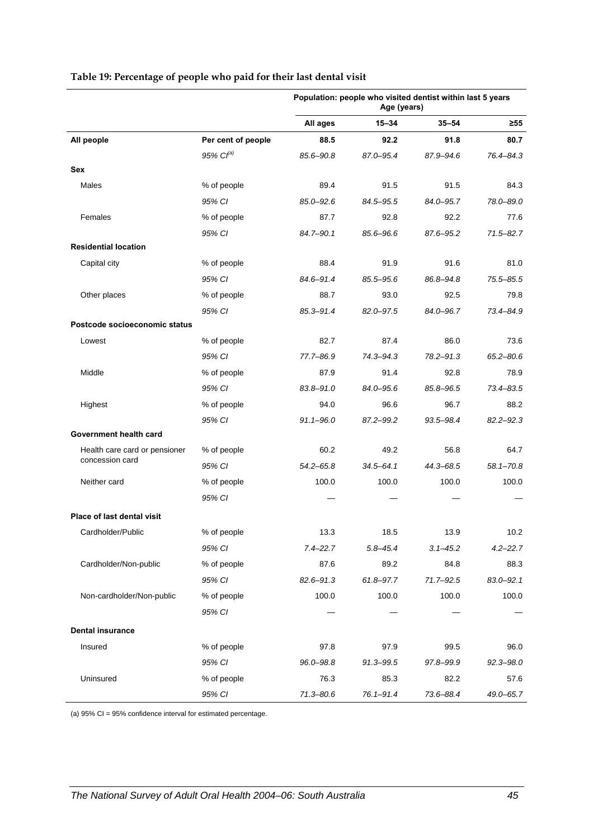|                                                  |                    |               | Age (years)   | Population: people who visited dentist within last 5 years |               |
|--------------------------------------------------|--------------------|---------------|---------------|------------------------------------------------------------|---------------|
|                                                  |                    | All ages      | $15 - 34$     | $35 - 54$                                                  | $\geq 55$     |
| All people                                       | Per cent of people | 88.5          | 92.2          | 91.8                                                       | 80.7          |
|                                                  | 95% $Cl^{(a)}$     | 85.6-90.8     | 87.0-95.4     | 87.9-94.6                                                  | 76.4-84.3     |
| Sex                                              |                    |               |               |                                                            |               |
| Males                                            | % of people        | 89.4          | 91.5          | 91.5                                                       | 84.3          |
|                                                  | 95% CI             | $85.0 - 92.6$ | 84.5-95.5     | 84.0-95.7                                                  | 78.0-89.0     |
| Females                                          | % of people        | 87.7          | 92.8          | 92.2                                                       | 77.6          |
|                                                  | 95% CI             | 84.7-90.1     | 85.6-96.6     | 87.6-95.2                                                  | $71.5 - 82.7$ |
| <b>Residential location</b>                      |                    |               |               |                                                            |               |
| Capital city                                     | % of people        | 88.4          | 91.9          | 91.6                                                       | 81.0          |
|                                                  | 95% CI             | 84.6-91.4     | 85.5-95.6     | 86.8-94.8                                                  | $75.5 - 85.5$ |
| Other places                                     | % of people        | 88.7          | 93.0          | 92.5                                                       | 79.8          |
|                                                  | 95% CI             | 85.3-91.4     | 82.0-97.5     | 84.0-96.7                                                  | 73.4-84.9     |
| Postcode socioeconomic status                    |                    |               |               |                                                            |               |
| Lowest                                           | % of people        | 82.7          | 87.4          | 86.0                                                       | 73.6          |
|                                                  | 95% CI             | 77.7-86.9     | 74.3-94.3     | 78.2-91.3                                                  | $65.2 - 80.6$ |
| Middle                                           | % of people        | 87.9          | 91.4          | 92.8                                                       | 78.9          |
|                                                  | 95% CI             | $83.8 - 91.0$ | 84.0-95.6     | 85.8-96.5                                                  | $73.4 - 83.5$ |
| Highest                                          | % of people        | 94.0          | 96.6          | 96.7                                                       | 88.2          |
|                                                  | 95% CI             | $91.1 - 96.0$ | 87.2-99.2     | 93.5–98.4                                                  | $82.2 - 92.3$ |
| Government health card                           |                    |               |               |                                                            |               |
| Health care card or pensioner<br>concession card | % of people        | 60.2          | 49.2          | 56.8                                                       | 64.7          |
|                                                  | 95% CI             | $54.2 - 65.8$ | $34.5 - 64.1$ | 44.3-68.5                                                  | $58.1 - 70.8$ |
| Neither card                                     | % of people        | 100.0         | 100.0         | 100.0                                                      | 100.0         |
|                                                  | 95% CI             |               |               |                                                            |               |
| Place of last dental visit                       |                    |               |               |                                                            |               |
| Cardholder/Public                                | % of people        | 13.3          | 18.5          | 13.9                                                       | 10.2          |
|                                                  | 95% CI             | $7.4 - 22.7$  | $5.8 - 45.4$  | $3.1 - 45.2$                                               | $4.2 - 22.7$  |
| Cardholder/Non-public                            | % of people        | 87.6          | 89.2          | 84.8                                                       | 88.3          |
|                                                  | 95% CI             | $82.6 - 91.3$ | $61.8 - 97.7$ | $71.7 - 92.5$                                              | $83.0 - 92.1$ |
| Non-cardholder/Non-public                        | % of people        | 100.0         | 100.0         | 100.0                                                      | 100.0         |
|                                                  | 95% CI             |               |               |                                                            |               |
| <b>Dental insurance</b>                          |                    |               |               |                                                            |               |
| Insured                                          | % of people        | 97.8          | 97.9          | 99.5                                                       | 96.0          |
|                                                  | 95% CI             | 96.0-98.8     | $91.3 - 99.5$ | 97.8-99.9                                                  | $92.3 - 98.0$ |
| Uninsured                                        | % of people        | 76.3          | 85.3          | 82.2                                                       | 57.6          |
|                                                  | 95% CI             | $71.3 - 80.6$ | 76.1-91.4     | 73.6-88.4                                                  | 49.0-65.7     |

#### <span id="page-52-0"></span>**Table 19: Percentage of people who paid for their last dental visit**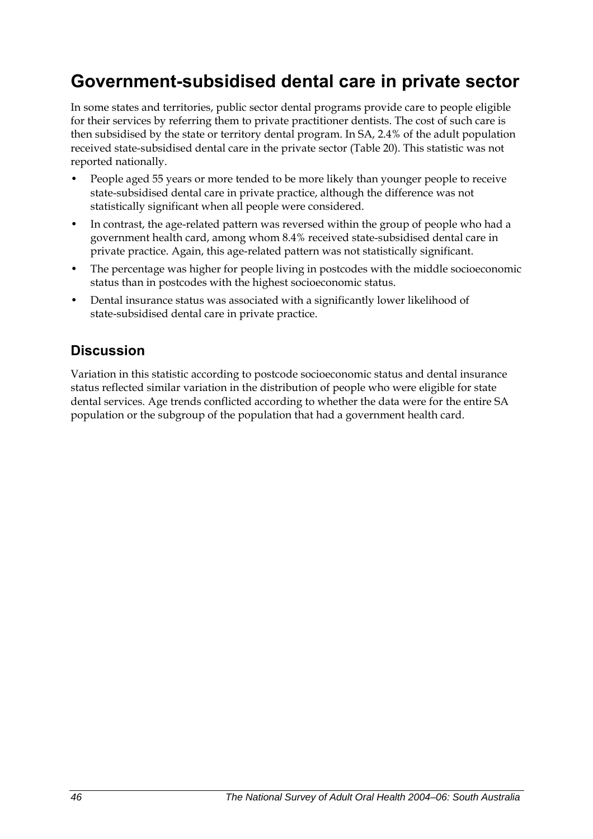## **Government-subsidised dental care in private sector**

In some states and territories, public sector dental programs provide care to people eligible for their services by referring them to private practitioner dentists. The cost of such care is then subsidised by the state or territory dental program. In SA, 2.4% of the adult population received state-subsidised dental care in the private sector ([Table 20](#page-54-0)). This statistic was not reported nationally.

- People aged 55 years or more tended to be more likely than younger people to receive state-subsidised dental care in private practice, although the difference was not statistically significant when all people were considered.
- In contrast, the age-related pattern was reversed within the group of people who had a government health card, among whom 8.4% received state-subsidised dental care in private practice. Again, this age-related pattern was not statistically significant.
- The percentage was higher for people living in postcodes with the middle socioeconomic status than in postcodes with the highest socioeconomic status.
- Dental insurance status was associated with a significantly lower likelihood of state-subsidised dental care in private practice.

## **Discussion**

Variation in this statistic according to postcode socioeconomic status and dental insurance status reflected similar variation in the distribution of people who were eligible for state dental services. Age trends conflicted according to whether the data were for the entire SA population or the subgroup of the population that had a government health card.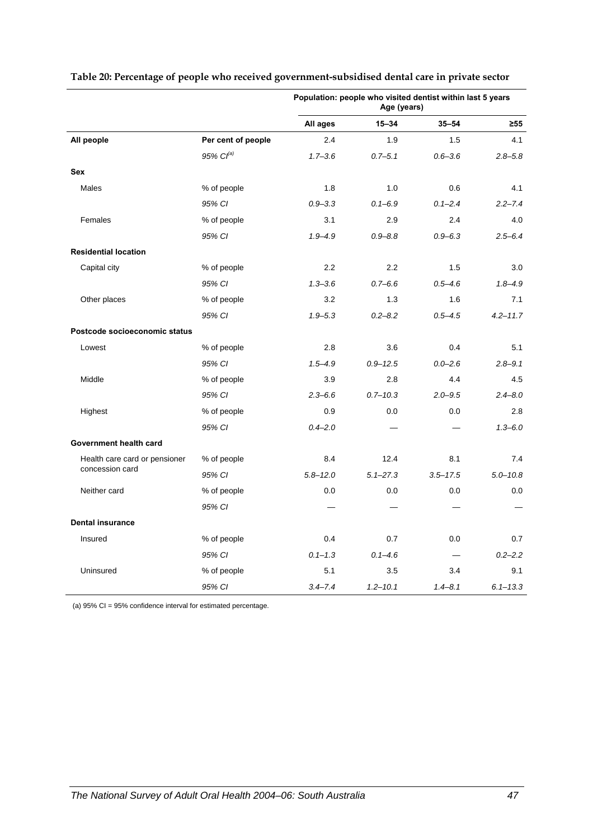|                               |                    |              | Age (years)  | Population: people who visited dentist within last 5 years |              |
|-------------------------------|--------------------|--------------|--------------|------------------------------------------------------------|--------------|
|                               |                    | All ages     | $15 - 34$    | $35 - 54$                                                  | $\geq 55$    |
| All people                    | Per cent of people | 2.4          | 1.9          | 1.5                                                        | 4.1          |
|                               | 95% $Cl^{(a)}$     | $1.7 - 3.6$  | $0.7 - 5.1$  | $0.6 - 3.6$                                                | $2.8 - 5.8$  |
| <b>Sex</b>                    |                    |              |              |                                                            |              |
| Males                         | % of people        | 1.8          | 1.0          | 0.6                                                        | 4.1          |
|                               | 95% CI             | $0.9 - 3.3$  | $0.1 - 6.9$  | $0.1 - 2.4$                                                | $2.2 - 7.4$  |
| Females                       | % of people        | 3.1          | 2.9          | 2.4                                                        | 4.0          |
|                               | 95% CI             | $1.9 - 4.9$  | $0.9 - 8.8$  | $0.9 - 6.3$                                                | $2.5 - 6.4$  |
| <b>Residential location</b>   |                    |              |              |                                                            |              |
| Capital city                  | % of people        | 2.2          | 2.2          | 1.5                                                        | 3.0          |
|                               | 95% CI             | $1.3 - 3.6$  | $0.7 - 6.6$  | $0.5 - 4.6$                                                | $1.8 - 4.9$  |
| Other places                  | % of people        | 3.2          | 1.3          | 1.6                                                        | 7.1          |
|                               | 95% CI             | $1.9 - 5.3$  | $0.2 - 8.2$  | $0.5 - 4.5$                                                | $4.2 - 11.7$ |
| Postcode socioeconomic status |                    |              |              |                                                            |              |
| Lowest                        | % of people        | 2.8          | 3.6          | 0.4                                                        | 5.1          |
|                               | 95% CI             | $1.5 - 4.9$  | $0.9 - 12.5$ | $0.0 - 2.6$                                                | $2.8 - 9.1$  |
| Middle                        | % of people        | 3.9          | 2.8          | 4.4                                                        | 4.5          |
|                               | 95% CI             | $2.3 - 6.6$  | $0.7 - 10.3$ | $2.0 - 9.5$                                                | $2.4 - 8.0$  |
| Highest                       | % of people        | 0.9          | 0.0          | 0.0                                                        | 2.8          |
|                               | 95% CI             | $0.4 - 2.0$  |              |                                                            | $1.3 - 6.0$  |
| Government health card        |                    |              |              |                                                            |              |
| Health care card or pensioner | % of people        | 8.4          | 12.4         | 8.1                                                        | 7.4          |
| concession card               | 95% CI             | $5.8 - 12.0$ | $5.1 - 27.3$ | $3.5 - 17.5$                                               | $5.0 - 10.8$ |
| Neither card                  | % of people        | 0.0          | 0.0          | 0.0                                                        | 0.0          |
|                               | 95% CI             |              |              |                                                            |              |
| <b>Dental insurance</b>       |                    |              |              |                                                            |              |
| Insured                       | % of people        | 0.4          | 0.7          | 0.0                                                        | 0.7          |
|                               | 95% CI             | $0.1 - 1.3$  | $0.1 - 4.6$  |                                                            | $0.2 - 2.2$  |
| Uninsured                     | % of people        | 5.1          | 3.5          | 3.4                                                        | 9.1          |
|                               | 95% CI             | $3.4 - 7.4$  | $1.2 - 10.1$ | $1.4 - 8.1$                                                | $6.1 - 13.3$ |

#### <span id="page-54-0"></span>**Table 20: Percentage of people who received government-subsidised dental care in private sector**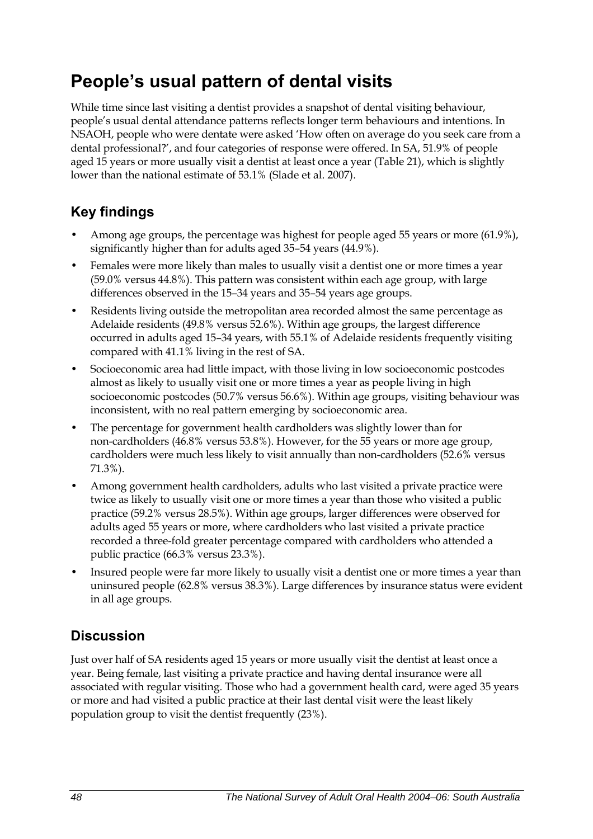## **People's usual pattern of dental visits**

While time since last visiting a dentist provides a snapshot of dental visiting behaviour, people's usual dental attendance patterns reflects longer term behaviours and intentions. In NSAOH, people who were dentate were asked 'How often on average do you seek care from a dental professional?', and four categories of response were offered. In SA, 51.9% of people aged 15 years or more usually visit a dentist at least once a year ([Table 21](#page-56-0)), which is slightly lower than the national estimate of 53.1% (Slade et al. 2007).

## **Key findings**

- Among age groups, the percentage was highest for people aged 55 years or more (61.9%), significantly higher than for adults aged 35–54 years (44.9%).
- Females were more likely than males to usually visit a dentist one or more times a year (59.0% versus 44.8%). This pattern was consistent within each age group, with large differences observed in the 15–34 years and 35–54 years age groups.
- Residents living outside the metropolitan area recorded almost the same percentage as Adelaide residents (49.8% versus 52.6%). Within age groups, the largest difference occurred in adults aged 15–34 years, with 55.1% of Adelaide residents frequently visiting compared with 41.1% living in the rest of SA.
- Socioeconomic area had little impact, with those living in low socioeconomic postcodes almost as likely to usually visit one or more times a year as people living in high socioeconomic postcodes (50.7% versus 56.6%). Within age groups, visiting behaviour was inconsistent, with no real pattern emerging by socioeconomic area.
- The percentage for government health cardholders was slightly lower than for non-cardholders (46.8% versus 53.8%). However, for the 55 years or more age group, cardholders were much less likely to visit annually than non-cardholders (52.6% versus 71.3%).
- Among government health cardholders, adults who last visited a private practice were twice as likely to usually visit one or more times a year than those who visited a public practice (59.2% versus 28.5%). Within age groups, larger differences were observed for adults aged 55 years or more, where cardholders who last visited a private practice recorded a three-fold greater percentage compared with cardholders who attended a public practice (66.3% versus 23.3%).
- Insured people were far more likely to usually visit a dentist one or more times a year than uninsured people (62.8% versus 38.3%). Large differences by insurance status were evident in all age groups.

### **Discussion**

Just over half of SA residents aged 15 years or more usually visit the dentist at least once a year. Being female, last visiting a private practice and having dental insurance were all associated with regular visiting. Those who had a government health card, were aged 35 years or more and had visited a public practice at their last dental visit were the least likely population group to visit the dentist frequently (23%).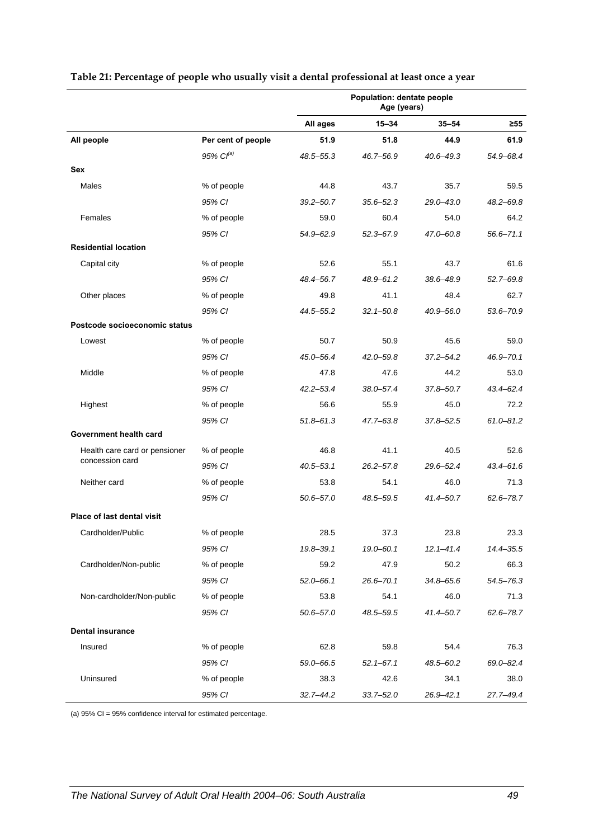|                                   |                    |               | Population: dentate people<br>Age (years) |               |               |
|-----------------------------------|--------------------|---------------|-------------------------------------------|---------------|---------------|
|                                   |                    | All ages      | $15 - 34$                                 | $35 - 54$     | $\geq 55$     |
| All people                        | Per cent of people | 51.9          | 51.8                                      | 44.9          | 61.9          |
|                                   | $95\%$ $Cl^{(a)}$  | 48.5-55.3     | 46.7-56.9                                 | 40.6-49.3     | 54.9-68.4     |
| Sex                               |                    |               |                                           |               |               |
| Males                             | % of people        | 44.8          | 43.7                                      | 35.7          | 59.5          |
|                                   | 95% CI             | $39.2 - 50.7$ | $35.6 - 52.3$                             | 29.0-43.0     | $48.2 - 69.8$ |
| Females                           | % of people        | 59.0          | 60.4                                      | 54.0          | 64.2          |
|                                   | 95% CI             | $54.9 - 62.9$ | $52.3 - 67.9$                             | 47.0-60.8     | $56.6 - 71.1$ |
| <b>Residential location</b>       |                    |               |                                           |               |               |
| Capital city                      | % of people        | 52.6          | 55.1                                      | 43.7          | 61.6          |
|                                   | 95% CI             | 48.4-56.7     | 48.9-61.2                                 | 38.6-48.9     | $52.7 - 69.8$ |
| Other places                      | % of people        | 49.8          | 41.1                                      | 48.4          | 62.7          |
|                                   | 95% CI             | 44.5-55.2     | $32.1 - 50.8$                             | 40.9-56.0     | 53.6-70.9     |
| Postcode socioeconomic status     |                    |               |                                           |               |               |
| Lowest                            | % of people        | 50.7          | 50.9                                      | 45.6          | 59.0          |
|                                   | 95% CI             | 45.0-56.4     | $42.0 - 59.8$                             | $37.2 - 54.2$ | 46.9-70.1     |
| Middle                            | % of people        | 47.8          | 47.6                                      | 44.2          | 53.0          |
|                                   | 95% CI             | $42.2 - 53.4$ | $38.0 - 57.4$                             | 37.8-50.7     | $43.4 - 62.4$ |
| Highest                           | % of people        | 56.6          | 55.9                                      | 45.0          | 72.2          |
|                                   | 95% CI             | $51.8 - 61.3$ | $47.7 - 63.8$                             | 37.8-52.5     | $61.0 - 81.2$ |
| Government health card            |                    |               |                                           |               |               |
| Health care card or pensioner     | % of people        | 46.8          | 41.1                                      | 40.5          | 52.6          |
| concession card                   | 95% CI             | $40.5 - 53.1$ | $26.2 - 57.8$                             | 29.6-52.4     | 43.4-61.6     |
| Neither card                      | % of people        | 53.8          | 54.1                                      | 46.0          | 71.3          |
|                                   | 95% CI             | $50.6 - 57.0$ | 48.5-59.5                                 | 41.4-50.7     | 62.6-78.7     |
| <b>Place of last dental visit</b> |                    |               |                                           |               |               |
| Cardholder/Public                 | % of people        | 28.5          | 37.3                                      | 23.8          | 23.3          |
|                                   | 95% CI             | 19.8-39.1     | $19.0 - 60.1$                             | $12.1 - 41.4$ | 14.4 - 35.5   |
| Cardholder/Non-public             | % of people        | 59.2          | 47.9                                      | 50.2          | 66.3          |
|                                   | 95% CI             | $52.0 - 66.1$ | $26.6 - 70.1$                             | $34.8 - 65.6$ | $54.5 - 76.3$ |
| Non-cardholder/Non-public         | % of people        | 53.8          | 54.1                                      | 46.0          | 71.3          |
|                                   | 95% CI             | $50.6 - 57.0$ | 48.5-59.5                                 | $41.4 - 50.7$ | 62.6-78.7     |
| <b>Dental insurance</b>           |                    |               |                                           |               |               |
| Insured                           | % of people        | 62.8          | 59.8                                      | 54.4          | 76.3          |
|                                   | 95% CI             | 59.0-66.5     | $52.1 - 67.1$                             | 48.5-60.2     | 69.0-82.4     |
| Uninsured                         | % of people        | 38.3          | 42.6                                      | 34.1          | 38.0          |
|                                   | 95% CI             | $32.7 - 44.2$ | $33.7 - 52.0$                             | $26.9 - 42.1$ | 27.7-49.4     |

#### <span id="page-56-0"></span>**Table 21: Percentage of people who usually visit a dental professional at least once a year**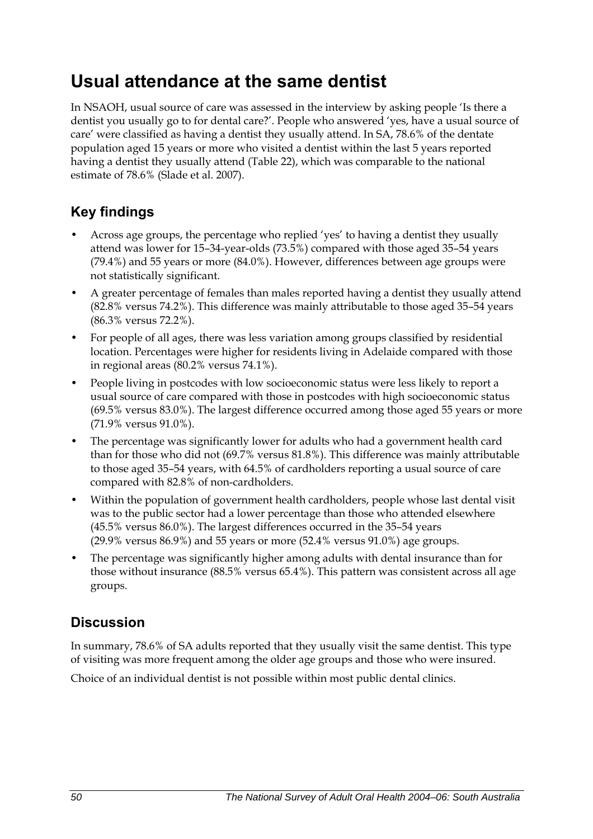## **Usual attendance at the same dentist**

In NSAOH, usual source of care was assessed in the interview by asking people 'Is there a dentist you usually go to for dental care?'. People who answered 'yes, have a usual source of care' were classified as having a dentist they usually attend. In SA, 78.6% of the dentate population aged 15 years or more who visited a dentist within the last 5 years reported having a dentist they usually attend [\(Table 22\)](#page-58-0), which was comparable to the national estimate of 78.6% (Slade et al. 2007).

## **Key findings**

- Across age groups, the percentage who replied 'yes' to having a dentist they usually attend was lower for 15–34-year-olds (73.5%) compared with those aged 35–54 years (79.4%) and 55 years or more (84.0%). However, differences between age groups were not statistically significant.
- A greater percentage of females than males reported having a dentist they usually attend (82.8% versus 74.2%). This difference was mainly attributable to those aged 35–54 years (86.3% versus 72.2%).
- For people of all ages, there was less variation among groups classified by residential location. Percentages were higher for residents living in Adelaide compared with those in regional areas (80.2% versus 74.1%).
- People living in postcodes with low socioeconomic status were less likely to report a usual source of care compared with those in postcodes with high socioeconomic status (69.5% versus 83.0%). The largest difference occurred among those aged 55 years or more (71.9% versus 91.0%).
- The percentage was significantly lower for adults who had a government health card than for those who did not (69.7% versus 81.8%). This difference was mainly attributable to those aged 35–54 years, with 64.5% of cardholders reporting a usual source of care compared with 82.8% of non-cardholders.
- Within the population of government health cardholders, people whose last dental visit was to the public sector had a lower percentage than those who attended elsewhere (45.5% versus 86.0%). The largest differences occurred in the 35–54 years (29.9% versus 86.9%) and 55 years or more (52.4% versus 91.0%) age groups.
- The percentage was significantly higher among adults with dental insurance than for those without insurance (88.5% versus 65.4%). This pattern was consistent across all age groups.

## **Discussion**

In summary, 78.6% of SA adults reported that they usually visit the same dentist. This type of visiting was more frequent among the older age groups and those who were insured.

Choice of an individual dentist is not possible within most public dental clinics.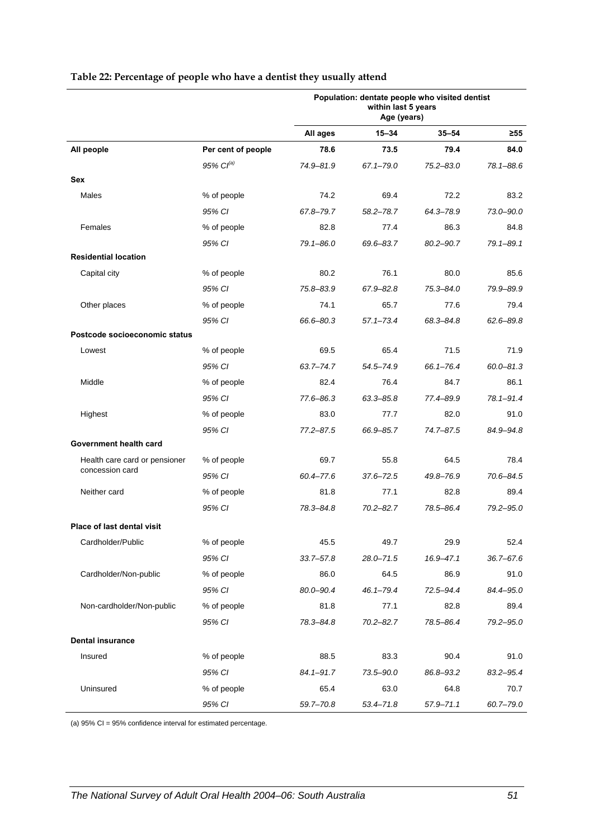| $15 - 34$<br>$35 - 54$<br>All ages<br>≥55<br>All people<br>Per cent of people<br>78.6<br>73.5<br>79.4<br>84.0<br>$95\%$ $Cl^{(a)}$<br>74.9-81.9<br>$67.1 - 79.0$<br>$75.2 - 83.0$<br>78.1-88.6<br>Sex<br>Males<br>% of people<br>74.2<br>69.4<br>72.2<br>83.2<br>95% CI<br>67.8-79.7<br>$58.2 - 78.7$<br>64.3-78.9<br>73.0-90.0<br>82.8<br>Females<br>% of people<br>77.4<br>86.3<br>84.8<br>$79.1 - 89.1$<br>95% CI<br>$79.1 - 86.0$<br>69.6-83.7<br>80.2-90.7<br><b>Residential location</b><br>Capital city<br>% of people<br>80.2<br>76.1<br>80.0<br>85.6<br>95% CI<br>75.8-83.9<br>$67.9 - 82.8$<br>$75.3 - 84.0$<br>79.9-89.9<br>Other places<br>% of people<br>74.1<br>65.7<br>79.4<br>77.6<br>95% CI<br>66.6-80.3<br>$57.1 - 73.4$<br>68.3-84.8<br>$62.6 - 89.8$<br>Postcode socioeconomic status<br>% of people<br>69.5<br>65.4<br>71.5<br>71.9<br>Lowest<br>95% CI<br>66.1-76.4<br>$60.0 - 81.3$<br>$63.7 - 74.7$<br>54.5-74.9<br>82.4<br>86.1<br>Middle<br>% of people<br>76.4<br>84.7<br>$78.1 - 91.4$<br>95% CI<br>77.6-86.3<br>$63.3 - 85.8$<br>77.4-89.9<br>Highest<br>83.0<br>82.0<br>91.0<br>% of people<br>77.7<br>95% CI<br>$77.2 - 87.5$<br>66.9-85.7<br>74.7-87.5<br>84.9-94.8<br>Government health card<br>% of people<br>69.7<br>55.8<br>64.5<br>78.4<br>Health care card or pensioner<br>concession card<br>95% CI<br>60.4-77.6<br>$37.6 - 72.5$<br>70.6-84.5<br>49.8-76.9<br>81.8<br>89.4<br>Neither card<br>% of people<br>77.1<br>82.8<br>79.2-95.0<br>95% CI<br>78.3-84.8<br>$70.2 - 82.7$<br>78.5-86.4 |
|-------------------------------------------------------------------------------------------------------------------------------------------------------------------------------------------------------------------------------------------------------------------------------------------------------------------------------------------------------------------------------------------------------------------------------------------------------------------------------------------------------------------------------------------------------------------------------------------------------------------------------------------------------------------------------------------------------------------------------------------------------------------------------------------------------------------------------------------------------------------------------------------------------------------------------------------------------------------------------------------------------------------------------------------------------------------------------------------------------------------------------------------------------------------------------------------------------------------------------------------------------------------------------------------------------------------------------------------------------------------------------------------------------------------------------------------------------------------------------------------------------------------------------------|
|                                                                                                                                                                                                                                                                                                                                                                                                                                                                                                                                                                                                                                                                                                                                                                                                                                                                                                                                                                                                                                                                                                                                                                                                                                                                                                                                                                                                                                                                                                                                     |
|                                                                                                                                                                                                                                                                                                                                                                                                                                                                                                                                                                                                                                                                                                                                                                                                                                                                                                                                                                                                                                                                                                                                                                                                                                                                                                                                                                                                                                                                                                                                     |
|                                                                                                                                                                                                                                                                                                                                                                                                                                                                                                                                                                                                                                                                                                                                                                                                                                                                                                                                                                                                                                                                                                                                                                                                                                                                                                                                                                                                                                                                                                                                     |
|                                                                                                                                                                                                                                                                                                                                                                                                                                                                                                                                                                                                                                                                                                                                                                                                                                                                                                                                                                                                                                                                                                                                                                                                                                                                                                                                                                                                                                                                                                                                     |
|                                                                                                                                                                                                                                                                                                                                                                                                                                                                                                                                                                                                                                                                                                                                                                                                                                                                                                                                                                                                                                                                                                                                                                                                                                                                                                                                                                                                                                                                                                                                     |
|                                                                                                                                                                                                                                                                                                                                                                                                                                                                                                                                                                                                                                                                                                                                                                                                                                                                                                                                                                                                                                                                                                                                                                                                                                                                                                                                                                                                                                                                                                                                     |
|                                                                                                                                                                                                                                                                                                                                                                                                                                                                                                                                                                                                                                                                                                                                                                                                                                                                                                                                                                                                                                                                                                                                                                                                                                                                                                                                                                                                                                                                                                                                     |
|                                                                                                                                                                                                                                                                                                                                                                                                                                                                                                                                                                                                                                                                                                                                                                                                                                                                                                                                                                                                                                                                                                                                                                                                                                                                                                                                                                                                                                                                                                                                     |
|                                                                                                                                                                                                                                                                                                                                                                                                                                                                                                                                                                                                                                                                                                                                                                                                                                                                                                                                                                                                                                                                                                                                                                                                                                                                                                                                                                                                                                                                                                                                     |
|                                                                                                                                                                                                                                                                                                                                                                                                                                                                                                                                                                                                                                                                                                                                                                                                                                                                                                                                                                                                                                                                                                                                                                                                                                                                                                                                                                                                                                                                                                                                     |
|                                                                                                                                                                                                                                                                                                                                                                                                                                                                                                                                                                                                                                                                                                                                                                                                                                                                                                                                                                                                                                                                                                                                                                                                                                                                                                                                                                                                                                                                                                                                     |
|                                                                                                                                                                                                                                                                                                                                                                                                                                                                                                                                                                                                                                                                                                                                                                                                                                                                                                                                                                                                                                                                                                                                                                                                                                                                                                                                                                                                                                                                                                                                     |
|                                                                                                                                                                                                                                                                                                                                                                                                                                                                                                                                                                                                                                                                                                                                                                                                                                                                                                                                                                                                                                                                                                                                                                                                                                                                                                                                                                                                                                                                                                                                     |
|                                                                                                                                                                                                                                                                                                                                                                                                                                                                                                                                                                                                                                                                                                                                                                                                                                                                                                                                                                                                                                                                                                                                                                                                                                                                                                                                                                                                                                                                                                                                     |
|                                                                                                                                                                                                                                                                                                                                                                                                                                                                                                                                                                                                                                                                                                                                                                                                                                                                                                                                                                                                                                                                                                                                                                                                                                                                                                                                                                                                                                                                                                                                     |
|                                                                                                                                                                                                                                                                                                                                                                                                                                                                                                                                                                                                                                                                                                                                                                                                                                                                                                                                                                                                                                                                                                                                                                                                                                                                                                                                                                                                                                                                                                                                     |
|                                                                                                                                                                                                                                                                                                                                                                                                                                                                                                                                                                                                                                                                                                                                                                                                                                                                                                                                                                                                                                                                                                                                                                                                                                                                                                                                                                                                                                                                                                                                     |
|                                                                                                                                                                                                                                                                                                                                                                                                                                                                                                                                                                                                                                                                                                                                                                                                                                                                                                                                                                                                                                                                                                                                                                                                                                                                                                                                                                                                                                                                                                                                     |
|                                                                                                                                                                                                                                                                                                                                                                                                                                                                                                                                                                                                                                                                                                                                                                                                                                                                                                                                                                                                                                                                                                                                                                                                                                                                                                                                                                                                                                                                                                                                     |
|                                                                                                                                                                                                                                                                                                                                                                                                                                                                                                                                                                                                                                                                                                                                                                                                                                                                                                                                                                                                                                                                                                                                                                                                                                                                                                                                                                                                                                                                                                                                     |
|                                                                                                                                                                                                                                                                                                                                                                                                                                                                                                                                                                                                                                                                                                                                                                                                                                                                                                                                                                                                                                                                                                                                                                                                                                                                                                                                                                                                                                                                                                                                     |
|                                                                                                                                                                                                                                                                                                                                                                                                                                                                                                                                                                                                                                                                                                                                                                                                                                                                                                                                                                                                                                                                                                                                                                                                                                                                                                                                                                                                                                                                                                                                     |
|                                                                                                                                                                                                                                                                                                                                                                                                                                                                                                                                                                                                                                                                                                                                                                                                                                                                                                                                                                                                                                                                                                                                                                                                                                                                                                                                                                                                                                                                                                                                     |
|                                                                                                                                                                                                                                                                                                                                                                                                                                                                                                                                                                                                                                                                                                                                                                                                                                                                                                                                                                                                                                                                                                                                                                                                                                                                                                                                                                                                                                                                                                                                     |
|                                                                                                                                                                                                                                                                                                                                                                                                                                                                                                                                                                                                                                                                                                                                                                                                                                                                                                                                                                                                                                                                                                                                                                                                                                                                                                                                                                                                                                                                                                                                     |
| Place of last dental visit                                                                                                                                                                                                                                                                                                                                                                                                                                                                                                                                                                                                                                                                                                                                                                                                                                                                                                                                                                                                                                                                                                                                                                                                                                                                                                                                                                                                                                                                                                          |
| Cardholder/Public<br>% of people<br>45.5<br>49.7<br>29.9<br>52.4                                                                                                                                                                                                                                                                                                                                                                                                                                                                                                                                                                                                                                                                                                                                                                                                                                                                                                                                                                                                                                                                                                                                                                                                                                                                                                                                                                                                                                                                    |
| 95% CI<br>$28.0 - 71.5$<br>$36.7 - 67.6$<br>$33.7 - 57.8$<br>$16.9 - 47.1$                                                                                                                                                                                                                                                                                                                                                                                                                                                                                                                                                                                                                                                                                                                                                                                                                                                                                                                                                                                                                                                                                                                                                                                                                                                                                                                                                                                                                                                          |
| Cardholder/Non-public<br>86.0<br>% of people<br>64.5<br>86.9<br>91.0                                                                                                                                                                                                                                                                                                                                                                                                                                                                                                                                                                                                                                                                                                                                                                                                                                                                                                                                                                                                                                                                                                                                                                                                                                                                                                                                                                                                                                                                |
| 95% CI<br>72.5-94.4<br>84.4-95.0<br>80.0-90.4<br>$46.1 - 79.4$                                                                                                                                                                                                                                                                                                                                                                                                                                                                                                                                                                                                                                                                                                                                                                                                                                                                                                                                                                                                                                                                                                                                                                                                                                                                                                                                                                                                                                                                      |
| 81.8<br>77.1<br>Non-cardholder/Non-public<br>% of people<br>82.8<br>89.4                                                                                                                                                                                                                                                                                                                                                                                                                                                                                                                                                                                                                                                                                                                                                                                                                                                                                                                                                                                                                                                                                                                                                                                                                                                                                                                                                                                                                                                            |
| $70.2 - 82.7$<br>78.5-86.4<br>79.2-95.0<br>95% CI<br>78.3-84.8                                                                                                                                                                                                                                                                                                                                                                                                                                                                                                                                                                                                                                                                                                                                                                                                                                                                                                                                                                                                                                                                                                                                                                                                                                                                                                                                                                                                                                                                      |
| <b>Dental insurance</b>                                                                                                                                                                                                                                                                                                                                                                                                                                                                                                                                                                                                                                                                                                                                                                                                                                                                                                                                                                                                                                                                                                                                                                                                                                                                                                                                                                                                                                                                                                             |
| 88.5<br>83.3<br>90.4<br>Insured<br>% of people<br>91.0                                                                                                                                                                                                                                                                                                                                                                                                                                                                                                                                                                                                                                                                                                                                                                                                                                                                                                                                                                                                                                                                                                                                                                                                                                                                                                                                                                                                                                                                              |
| 83.2-95.4<br>95% CI<br>$84.1 - 91.7$<br>73.5-90.0<br>86.8-93.2                                                                                                                                                                                                                                                                                                                                                                                                                                                                                                                                                                                                                                                                                                                                                                                                                                                                                                                                                                                                                                                                                                                                                                                                                                                                                                                                                                                                                                                                      |
| Uninsured<br>65.4<br>% of people<br>63.0<br>64.8<br>70.7                                                                                                                                                                                                                                                                                                                                                                                                                                                                                                                                                                                                                                                                                                                                                                                                                                                                                                                                                                                                                                                                                                                                                                                                                                                                                                                                                                                                                                                                            |
| 95% CI<br>60.7-79.0<br>59.7-70.8<br>$53.4 - 71.8$<br>$57.9 - 71.1$                                                                                                                                                                                                                                                                                                                                                                                                                                                                                                                                                                                                                                                                                                                                                                                                                                                                                                                                                                                                                                                                                                                                                                                                                                                                                                                                                                                                                                                                  |

#### <span id="page-58-0"></span>**Table 22: Percentage of people who have a dentist they usually attend**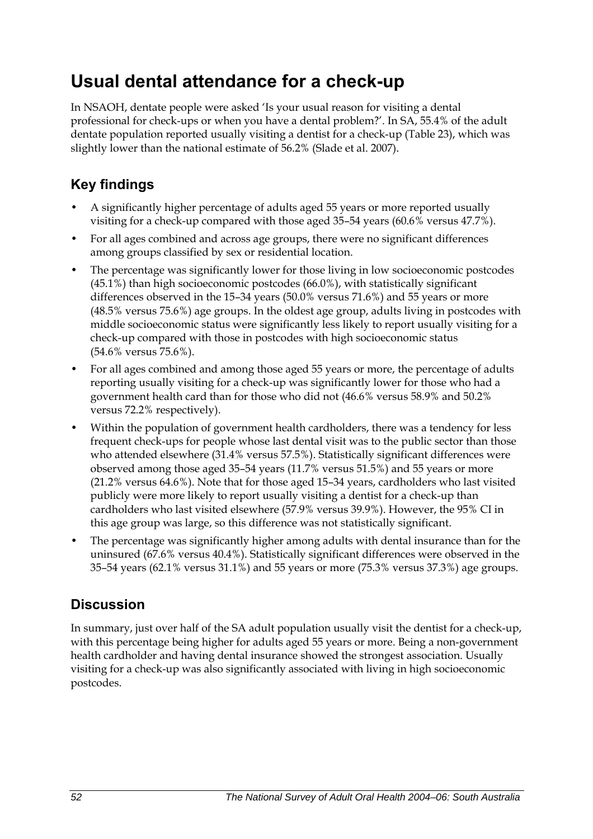## **Usual dental attendance for a check-up**

In NSAOH, dentate people were asked 'Is your usual reason for visiting a dental professional for check-ups or when you have a dental problem?'. In SA, 55.4% of the adult dentate population reported usually visiting a dentist for a check-up ([Table 23](#page-60-0)), which was slightly lower than the national estimate of 56.2% (Slade et al. 2007).

## **Key findings**

- A significantly higher percentage of adults aged 55 years or more reported usually visiting for a check-up compared with those aged 35–54 years (60.6% versus 47.7%).
- For all ages combined and across age groups, there were no significant differences among groups classified by sex or residential location.
- The percentage was significantly lower for those living in low socioeconomic postcodes (45.1%) than high socioeconomic postcodes (66.0%), with statistically significant differences observed in the 15–34 years (50.0% versus 71.6%) and 55 years or more (48.5% versus 75.6%) age groups. In the oldest age group, adults living in postcodes with middle socioeconomic status were significantly less likely to report usually visiting for a check-up compared with those in postcodes with high socioeconomic status (54.6% versus 75.6%).
- For all ages combined and among those aged 55 years or more, the percentage of adults reporting usually visiting for a check-up was significantly lower for those who had a government health card than for those who did not (46.6% versus 58.9% and 50.2% versus 72.2% respectively).
- Within the population of government health cardholders, there was a tendency for less frequent check-ups for people whose last dental visit was to the public sector than those who attended elsewhere (31.4% versus 57.5%). Statistically significant differences were observed among those aged 35–54 years (11.7% versus 51.5%) and 55 years or more (21.2% versus 64.6%). Note that for those aged 15–34 years, cardholders who last visited publicly were more likely to report usually visiting a dentist for a check-up than cardholders who last visited elsewhere (57.9% versus 39.9%). However, the 95% CI in this age group was large, so this difference was not statistically significant.
- The percentage was significantly higher among adults with dental insurance than for the uninsured (67.6% versus 40.4%). Statistically significant differences were observed in the 35–54 years (62.1% versus 31.1%) and 55 years or more (75.3% versus 37.3%) age groups.

### **Discussion**

In summary, just over half of the SA adult population usually visit the dentist for a check-up, with this percentage being higher for adults aged 55 years or more. Being a non-government health cardholder and having dental insurance showed the strongest association. Usually visiting for a check-up was also significantly associated with living in high socioeconomic postcodes.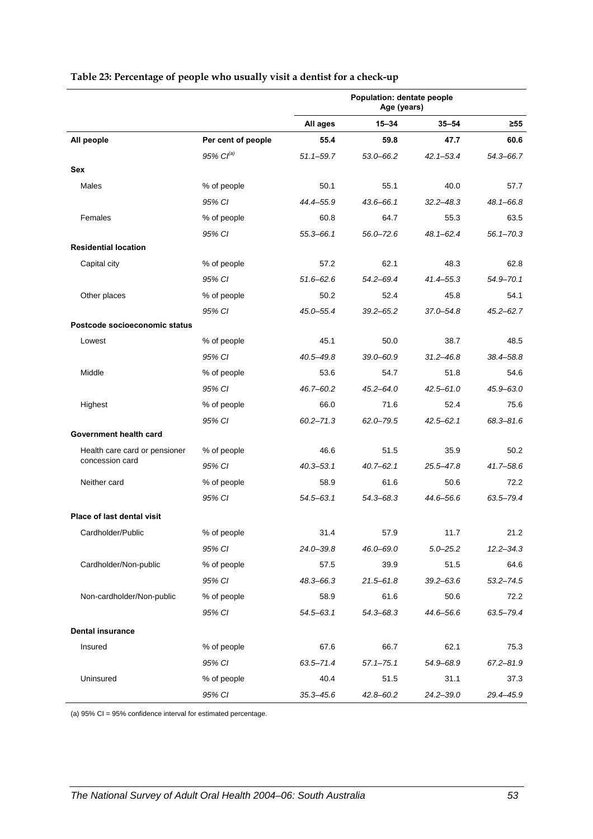|                                                  |                       | Population: dentate people<br>Age (years) |               |               |               |
|--------------------------------------------------|-----------------------|-------------------------------------------|---------------|---------------|---------------|
|                                                  |                       | All ages                                  | $15 - 34$     | $35 - 54$     | $\geq 55$     |
| All people                                       | Per cent of people    | 55.4                                      | 59.8          | 47.7          | 60.6          |
|                                                  | 95% Cl <sup>(a)</sup> | $51.1 - 59.7$                             | $53.0 - 66.2$ | $42.1 - 53.4$ | 54.3-66.7     |
| <b>Sex</b>                                       |                       |                                           |               |               |               |
| Males                                            | % of people           | 50.1                                      | 55.1          | 40.0          | 57.7          |
|                                                  | 95% CI                | 44.4-55.9                                 | $43.6 - 66.1$ | $32.2 - 48.3$ | 48.1-66.8     |
| Females                                          | % of people           | 60.8                                      | 64.7          | 55.3          | 63.5          |
|                                                  | 95% CI                | $55.3 - 66.1$                             | $56.0 - 72.6$ | 48.1-62.4     | $56.1 - 70.3$ |
| <b>Residential location</b>                      |                       |                                           |               |               |               |
| Capital city                                     | % of people           | 57.2                                      | 62.1          | 48.3          | 62.8          |
|                                                  | 95% CI                | $51.6 - 62.6$                             | $54.2 - 69.4$ | 41.4–55.3     | $54.9 - 70.1$ |
| Other places                                     | % of people           | 50.2                                      | 52.4          | 45.8          | 54.1          |
|                                                  | 95% CI                | 45.0-55.4                                 | $39.2 - 65.2$ | 37.0-54.8     | $45.2 - 62.7$ |
| Postcode socioeconomic status                    |                       |                                           |               |               |               |
| Lowest                                           | % of people           | 45.1                                      | 50.0          | 38.7          | 48.5          |
|                                                  | 95% CI                | $40.5 - 49.8$                             | $39.0 - 60.9$ | $31.2 - 46.8$ | 38.4-58.8     |
| Middle                                           | % of people           | 53.6                                      | 54.7          | 51.8          | 54.6          |
|                                                  | 95% CI                | 46.7-60.2                                 | $45.2 - 64.0$ | 42.5-61.0     | $45.9 - 63.0$ |
| Highest                                          | % of people           | 66.0                                      | 71.6          | 52.4          | 75.6          |
|                                                  | 95% CI                | $60.2 - 71.3$                             | $62.0 - 79.5$ | $42.5 - 62.1$ | 68.3-81.6     |
| Government health card                           |                       |                                           |               |               |               |
| Health care card or pensioner<br>concession card | % of people           | 46.6                                      | 51.5          | 35.9          | 50.2          |
|                                                  | 95% CI                | $40.3 - 53.1$                             | $40.7 - 62.1$ | 25.5-47.8     | $41.7 - 58.6$ |
| Neither card                                     | % of people           | 58.9                                      | 61.6          | 50.6          | 72.2          |
|                                                  | 95% CI                | $54.5 - 63.1$                             | $54.3 - 68.3$ | 44.6-56.6     | 63.5-79.4     |
| Place of last dental visit                       |                       |                                           |               |               |               |
| Cardholder/Public                                | % of people           | 31.4                                      | 57.9          | 11.7          | 21.2          |
|                                                  | 95% CI                | 24.0-39.8                                 | 46.0–69.0     | $5.0 - 25.2$  | $12.2 - 34.3$ |
| Cardholder/Non-public                            | % of people           | 57.5                                      | 39.9          | 51.5          | 64.6          |
|                                                  | 95% CI                | $48.3 - 66.3$                             | $21.5 - 61.8$ | $39.2 - 63.6$ | $53.2 - 74.5$ |
| Non-cardholder/Non-public                        | % of people           | 58.9                                      | 61.6          | 50.6          | 72.2          |
|                                                  | 95% CI                | $54.5 - 63.1$                             | $54.3 - 68.3$ | 44.6-56.6     | 63.5-79.4     |
| <b>Dental insurance</b>                          |                       |                                           |               |               |               |
| Insured                                          | % of people           | 67.6                                      | 66.7          | 62.1          | 75.3          |
|                                                  | 95% CI                | $63.5 - 71.4$                             | $57.1 - 75.1$ | 54.9-68.9     | $67.2 - 81.9$ |
| Uninsured                                        | % of people           | 40.4                                      | 51.5          | 31.1          | 37.3          |
|                                                  | 95% CI                | $35.3 - 45.6$                             | 42.8-60.2     | $24.2 - 39.0$ | 29.4-45.9     |

#### <span id="page-60-0"></span>**Table 23: Percentage of people who usually visit a dentist for a check-up**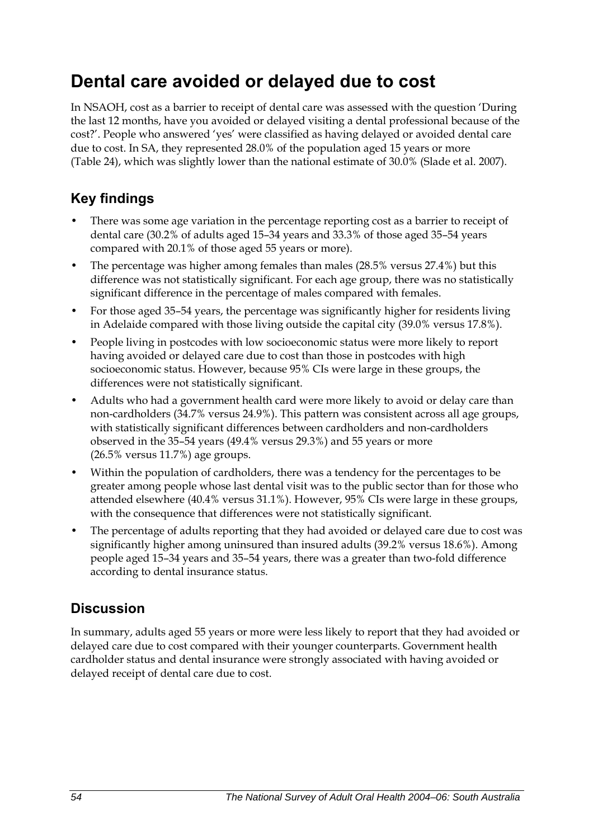## **Dental care avoided or delayed due to cost**

In NSAOH, cost as a barrier to receipt of dental care was assessed with the question 'During the last 12 months, have you avoided or delayed visiting a dental professional because of the cost?'. People who answered 'yes' were classified as having delayed or avoided dental care due to cost. In SA, they represented 28.0% of the population aged 15 years or more ([Table 24](#page-62-0)), which was slightly lower than the national estimate of 30.0% (Slade et al. 2007).

## **Key findings**

- There was some age variation in the percentage reporting cost as a barrier to receipt of dental care (30.2% of adults aged 15–34 years and 33.3% of those aged 35–54 years compared with 20.1% of those aged 55 years or more).
- The percentage was higher among females than males (28.5% versus 27.4%) but this difference was not statistically significant. For each age group, there was no statistically significant difference in the percentage of males compared with females.
- For those aged 35–54 years, the percentage was significantly higher for residents living in Adelaide compared with those living outside the capital city (39.0% versus 17.8%).
- People living in postcodes with low socioeconomic status were more likely to report having avoided or delayed care due to cost than those in postcodes with high socioeconomic status. However, because 95% CIs were large in these groups, the differences were not statistically significant.
- Adults who had a government health card were more likely to avoid or delay care than non-cardholders (34.7% versus 24.9%). This pattern was consistent across all age groups, with statistically significant differences between cardholders and non-cardholders observed in the 35–54 years (49.4% versus 29.3%) and 55 years or more (26.5% versus 11.7%) age groups.
- Within the population of cardholders, there was a tendency for the percentages to be greater among people whose last dental visit was to the public sector than for those who attended elsewhere (40.4% versus 31.1%). However, 95% CIs were large in these groups, with the consequence that differences were not statistically significant.
- The percentage of adults reporting that they had avoided or delayed care due to cost was significantly higher among uninsured than insured adults (39.2% versus 18.6%). Among people aged 15–34 years and 35–54 years, there was a greater than two-fold difference according to dental insurance status.

### **Discussion**

In summary, adults aged 55 years or more were less likely to report that they had avoided or delayed care due to cost compared with their younger counterparts. Government health cardholder status and dental insurance were strongly associated with having avoided or delayed receipt of dental care due to cost.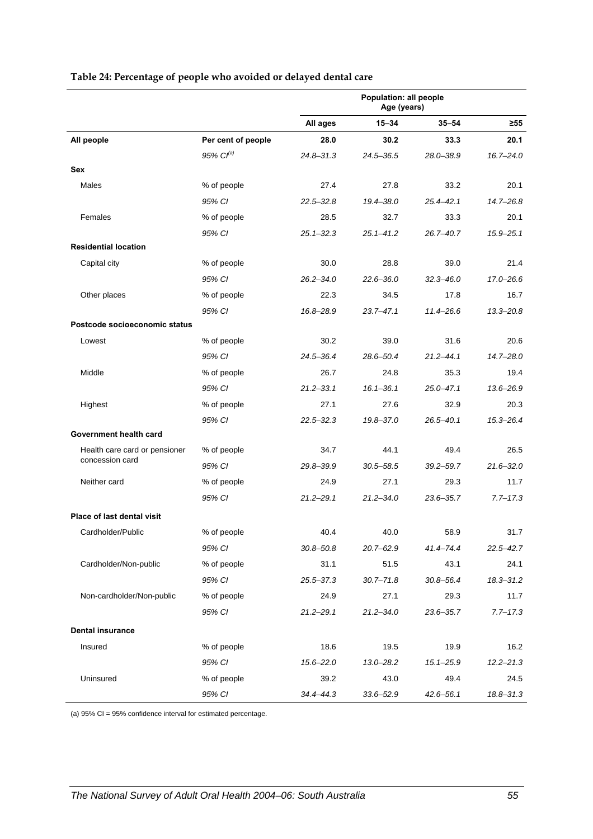<span id="page-62-0"></span>

|                                                  |                    | Population: all people<br>Age (years) |               |               |               |
|--------------------------------------------------|--------------------|---------------------------------------|---------------|---------------|---------------|
|                                                  |                    | All ages                              | $15 - 34$     | $35 - 54$     | $\geq 55$     |
| All people                                       | Per cent of people | 28.0                                  | 30.2          | 33.3          | 20.1          |
|                                                  | $95\%$ $Cl^{(a)}$  | $24.8 - 31.3$                         | $24.5 - 36.5$ | 28.0-38.9     | $16.7 - 24.0$ |
| Sex                                              |                    |                                       |               |               |               |
| Males                                            | % of people        | 27.4                                  | 27.8          | 33.2          | 20.1          |
|                                                  | 95% CI             | $22.5 - 32.8$                         | $19.4 - 38.0$ | $25.4 - 42.1$ | $14.7 - 26.8$ |
| Females                                          | % of people        | 28.5                                  | 32.7          | 33.3          | 20.1          |
|                                                  | 95% CI             | $25.1 - 32.3$                         | $25.1 - 41.2$ | 26.7-40.7     | $15.9 - 25.1$ |
| <b>Residential location</b>                      |                    |                                       |               |               |               |
| Capital city                                     | % of people        | 30.0                                  | 28.8          | 39.0          | 21.4          |
|                                                  | 95% CI             | $26.2 - 34.0$                         | $22.6 - 36.0$ | $32.3 - 46.0$ | 17.0-26.6     |
| Other places                                     | % of people        | 22.3                                  | 34.5          | 17.8          | 16.7          |
|                                                  | 95% CI             | 16.8-28.9                             | $23.7 - 47.1$ | 11.4-26.6     | $13.3 - 20.8$ |
| Postcode socioeconomic status                    |                    |                                       |               |               |               |
| Lowest                                           | % of people        | 30.2                                  | 39.0          | 31.6          | 20.6          |
|                                                  | 95% CI             | $24.5 - 36.4$                         | 28.6-50.4     | $21.2 - 44.1$ | 14.7-28.0     |
| Middle                                           | % of people        | 26.7                                  | 24.8          | 35.3          | 19.4          |
|                                                  | 95% CI             | $21.2 - 33.1$                         | $16.1 - 36.1$ | $25.0 - 47.1$ | 13.6-26.9     |
| Highest                                          | % of people        | 27.1                                  | 27.6          | 32.9          | 20.3          |
|                                                  | 95% CI             | $22.5 - 32.3$                         | 19.8-37.0     | $26.5 - 40.1$ | $15.3 - 26.4$ |
| Government health card                           |                    |                                       |               |               |               |
| Health care card or pensioner<br>concession card | % of people        | 34.7                                  | 44.1          | 49.4          | 26.5          |
|                                                  | 95% CI             | 29.8-39.9                             | $30.5 - 58.5$ | $39.2 - 59.7$ | $21.6 - 32.0$ |
| Neither card                                     | % of people        | 24.9                                  | 27.1          | 29.3          | 11.7          |
|                                                  | 95% CI             | $21.2 - 29.1$                         | $21.2 - 34.0$ | 23.6-35.7     | $7.7 - 17.3$  |
| <b>Place of last dental visit</b>                |                    |                                       |               |               |               |
| Cardholder/Public                                | % of people        | 40.4                                  | 40.0          | 58.9          | 31.7          |
|                                                  | 95% CI             | $30.8 - 50.8$                         | 20.7-62.9     | 41.4–74.4     | $22.5 - 42.7$ |
| Cardholder/Non-public                            | % of people        | 31.1                                  | 51.5          | 43.1          | 24.1          |
|                                                  | 95% CI             | $25.5 - 37.3$                         | $30.7 - 71.8$ | $30.8 - 56.4$ | 18.3-31.2     |
| Non-cardholder/Non-public                        | % of people        | 24.9                                  | 27.1          | 29.3          | 11.7          |
|                                                  | 95% CI             | $21.2 - 29.1$                         | $21.2 - 34.0$ | $23.6 - 35.7$ | $7.7 - 17.3$  |
| <b>Dental insurance</b>                          |                    |                                       |               |               |               |
| Insured                                          | % of people        | 18.6                                  | 19.5          | 19.9          | 16.2          |
|                                                  | 95% CI             | $15.6 - 22.0$                         | $13.0 - 28.2$ | $15.1 - 25.9$ | $12.2 - 21.3$ |
| Uninsured                                        | % of people        | 39.2                                  | 43.0          | 49.4          | 24.5          |
|                                                  | 95% CI             | $34.4 - 44.3$                         | 33.6-52.9     | $42.6 - 56.1$ | 18.8-31.3     |

#### **Table 24: Percentage of people who avoided or delayed dental care**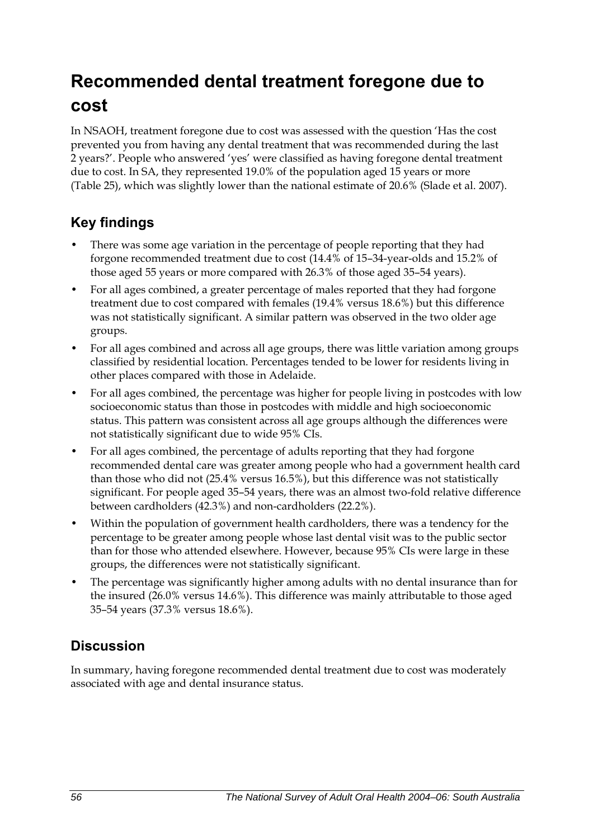# **Recommended dental treatment foregone due to cost**

In NSAOH, treatment foregone due to cost was assessed with the question 'Has the cost prevented you from having any dental treatment that was recommended during the last 2 years?'. People who answered 'yes' were classified as having foregone dental treatment due to cost. In SA, they represented 19.0% of the population aged 15 years or more ([Table 25](#page-64-0)), which was slightly lower than the national estimate of 20.6% (Slade et al. 2007).

## **Key findings**

- There was some age variation in the percentage of people reporting that they had forgone recommended treatment due to cost (14.4% of 15–34-year-olds and 15.2% of those aged 55 years or more compared with 26.3% of those aged 35–54 years).
- For all ages combined, a greater percentage of males reported that they had forgone treatment due to cost compared with females (19.4% versus 18.6%) but this difference was not statistically significant. A similar pattern was observed in the two older age groups.
- For all ages combined and across all age groups, there was little variation among groups classified by residential location. Percentages tended to be lower for residents living in other places compared with those in Adelaide.
- For all ages combined, the percentage was higher for people living in postcodes with low socioeconomic status than those in postcodes with middle and high socioeconomic status. This pattern was consistent across all age groups although the differences were not statistically significant due to wide 95% CIs.
- For all ages combined, the percentage of adults reporting that they had forgone recommended dental care was greater among people who had a government health card than those who did not (25.4% versus 16.5%), but this difference was not statistically significant. For people aged 35–54 years, there was an almost two-fold relative difference between cardholders (42.3%) and non-cardholders (22.2%).
- Within the population of government health cardholders, there was a tendency for the percentage to be greater among people whose last dental visit was to the public sector than for those who attended elsewhere. However, because 95% CIs were large in these groups, the differences were not statistically significant.
- The percentage was significantly higher among adults with no dental insurance than for the insured (26.0% versus 14.6%). This difference was mainly attributable to those aged 35–54 years (37.3% versus 18.6%).

## **Discussion**

In summary, having foregone recommended dental treatment due to cost was moderately associated with age and dental insurance status.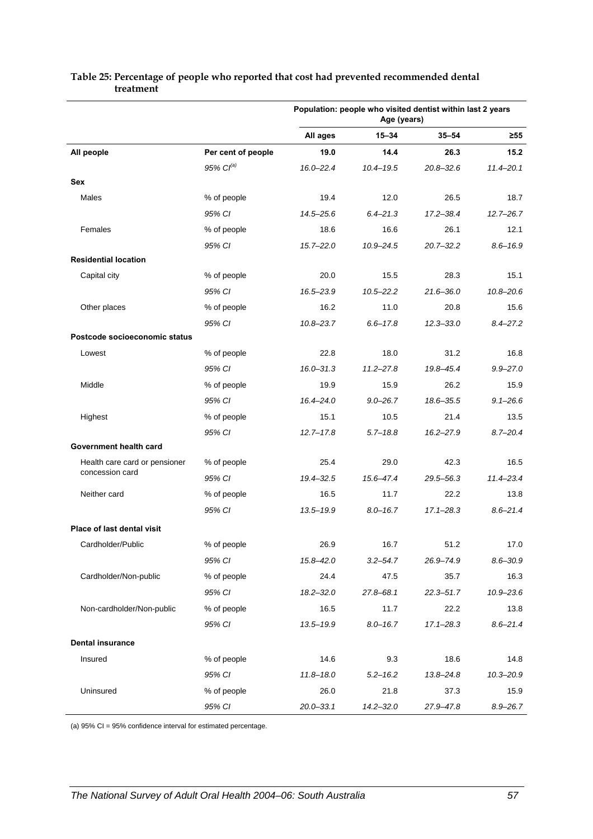|                                                                  |                    | Population: people who visited dentist within last 2 years<br>Age (years) |               |               |               |
|------------------------------------------------------------------|--------------------|---------------------------------------------------------------------------|---------------|---------------|---------------|
|                                                                  |                    | All ages                                                                  | $15 - 34$     | $35 - 54$     | $\geq 55$     |
| All people                                                       | Per cent of people | 19.0                                                                      | 14.4          | 26.3          | 15.2          |
|                                                                  | $95\%$ $Cl^{(a)}$  | $16.0 - 22.4$                                                             | $10.4 - 19.5$ | $20.8 - 32.6$ | 11.4-20.1     |
| Sex                                                              |                    |                                                                           |               |               |               |
| Males                                                            | % of people        | 19.4                                                                      | 12.0          | 26.5          | 18.7          |
|                                                                  | 95% CI             | $14.5 - 25.6$                                                             | $6.4 - 21.3$  | $17.2 - 38.4$ | $12.7 - 26.7$ |
| Females                                                          | % of people        | 18.6                                                                      | 16.6          | 26.1          | 12.1          |
|                                                                  | 95% CI             | $15.7 - 22.0$                                                             | $10.9 - 24.5$ | $20.7 - 32.2$ | $8.6 - 16.9$  |
| <b>Residential location</b>                                      |                    |                                                                           |               |               |               |
| Capital city                                                     | % of people        | 20.0                                                                      | 15.5          | 28.3          | 15.1          |
|                                                                  | 95% CI             | 16.5-23.9                                                                 | $10.5 - 22.2$ | 21.6-36.0     | $10.8 - 20.6$ |
| Other places                                                     | % of people        | 16.2                                                                      | 11.0          | 20.8          | 15.6          |
|                                                                  | 95% CI             | $10.8 - 23.7$                                                             | $6.6 - 17.8$  | $12.3 - 33.0$ | $8.4 - 27.2$  |
| Postcode socioeconomic status                                    |                    |                                                                           |               |               |               |
| Lowest                                                           | % of people        | 22.8                                                                      | 18.0          | 31.2          | 16.8          |
|                                                                  | 95% CI             | $16.0 - 31.3$                                                             | $11.2 - 27.8$ | 19.8-45.4     | $9.9 - 27.0$  |
| Middle                                                           | % of people        | 19.9                                                                      | 15.9          | 26.2          | 15.9          |
|                                                                  | 95% CI             | $16.4 - 24.0$                                                             | $9.0 - 26.7$  | $18.6 - 35.5$ | $9.1 - 26.6$  |
| Highest                                                          | % of people        | 15.1                                                                      | 10.5          | 21.4          | 13.5          |
|                                                                  | 95% CI             | $12.7 - 17.8$                                                             | $5.7 - 18.8$  | $16.2 - 27.9$ | $8.7 - 20.4$  |
| Government health card                                           |                    |                                                                           |               |               |               |
| Health care card or pensioner<br>concession card<br>Neither card | % of people        | 25.4                                                                      | 29.0          | 42.3          | 16.5          |
|                                                                  | 95% CI             | $19.4 - 32.5$                                                             | 15.6-47.4     | 29.5-56.3     | $11.4 - 23.4$ |
|                                                                  | % of people        | 16.5                                                                      | 11.7          | 22.2          | 13.8          |
|                                                                  | 95% CI             | $13.5 - 19.9$                                                             | $8.0 - 16.7$  | $17.1 - 28.3$ | $8.6 - 21.4$  |
| <b>Place of last dental visit</b>                                |                    |                                                                           |               |               |               |
| Cardholder/Public                                                | % of people        | 26.9                                                                      | 16.7          | 51.2          | 17.0          |
|                                                                  | 95% CI             | 15.8-42.0                                                                 | $3.2 - 54.7$  | 26.9-74.9     | $8.6 - 30.9$  |
| Cardholder/Non-public                                            | % of people        | 24.4                                                                      | 47.5          | 35.7          | 16.3          |
|                                                                  | 95% CI             | $18.2 - 32.0$                                                             | $27.8 - 68.1$ | $22.3 - 51.7$ | $10.9 - 23.6$ |
| Non-cardholder/Non-public                                        | % of people        | 16.5                                                                      | 11.7          | 22.2          | 13.8          |
|                                                                  | 95% CI             | $13.5 - 19.9$                                                             | $8.0 - 16.7$  | $17.1 - 28.3$ | $8.6 - 21.4$  |
| <b>Dental insurance</b>                                          |                    |                                                                           |               |               |               |
| Insured                                                          | % of people        | 14.6                                                                      | 9.3           | 18.6          | 14.8          |
|                                                                  | 95% CI             | $11.8 - 18.0$                                                             | $5.2 - 16.2$  | 13.8-24.8     | $10.3 - 20.9$ |
| Uninsured                                                        | % of people        | 26.0                                                                      | 21.8          | 37.3          | 15.9          |
|                                                                  | 95% CI             | $20.0 - 33.1$                                                             | $14.2 - 32.0$ | 27.9-47.8     | $8.9 - 26.7$  |

#### <span id="page-64-0"></span>**Table 25: Percentage of people who reported that cost had prevented recommended dental treatment**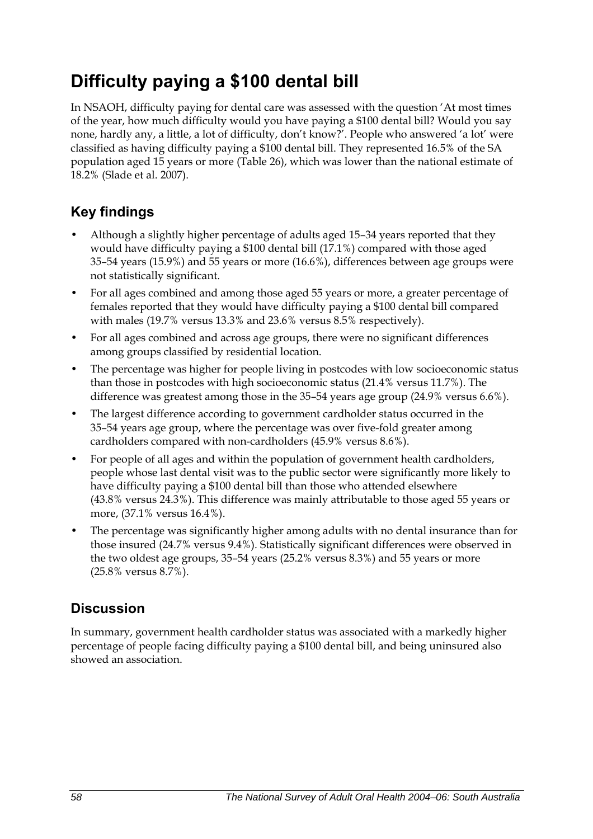## **Difficulty paying a \$100 dental bill**

In NSAOH, difficulty paying for dental care was assessed with the question 'At most times of the year, how much difficulty would you have paying a \$100 dental bill? Would you say none, hardly any, a little, a lot of difficulty, don't know?'. People who answered 'a lot' were classified as having difficulty paying a \$100 dental bill. They represented 16.5% of the SA population aged 15 years or more [\(Table 26\)](#page-66-0), which was lower than the national estimate of 18.2% (Slade et al. 2007).

## **Key findings**

- Although a slightly higher percentage of adults aged 15–34 years reported that they would have difficulty paying a \$100 dental bill (17.1%) compared with those aged 35–54 years (15.9%) and 55 years or more (16.6%), differences between age groups were not statistically significant.
- For all ages combined and among those aged 55 years or more, a greater percentage of females reported that they would have difficulty paying a \$100 dental bill compared with males (19.7% versus 13.3% and 23.6% versus 8.5% respectively).
- For all ages combined and across age groups, there were no significant differences among groups classified by residential location.
- The percentage was higher for people living in postcodes with low socioeconomic status than those in postcodes with high socioeconomic status (21.4% versus 11.7%). The difference was greatest among those in the 35–54 years age group (24.9% versus 6.6%).
- The largest difference according to government cardholder status occurred in the 35–54 years age group, where the percentage was over five-fold greater among cardholders compared with non-cardholders (45.9% versus 8.6%).
- For people of all ages and within the population of government health cardholders, people whose last dental visit was to the public sector were significantly more likely to have difficulty paying a \$100 dental bill than those who attended elsewhere (43.8% versus 24.3%). This difference was mainly attributable to those aged 55 years or more, (37.1% versus 16.4%).
- The percentage was significantly higher among adults with no dental insurance than for those insured (24.7% versus 9.4%). Statistically significant differences were observed in the two oldest age groups, 35–54 years (25.2% versus 8.3%) and 55 years or more (25.8% versus 8.7%).

### **Discussion**

In summary, government health cardholder status was associated with a markedly higher percentage of people facing difficulty paying a \$100 dental bill, and being uninsured also showed an association.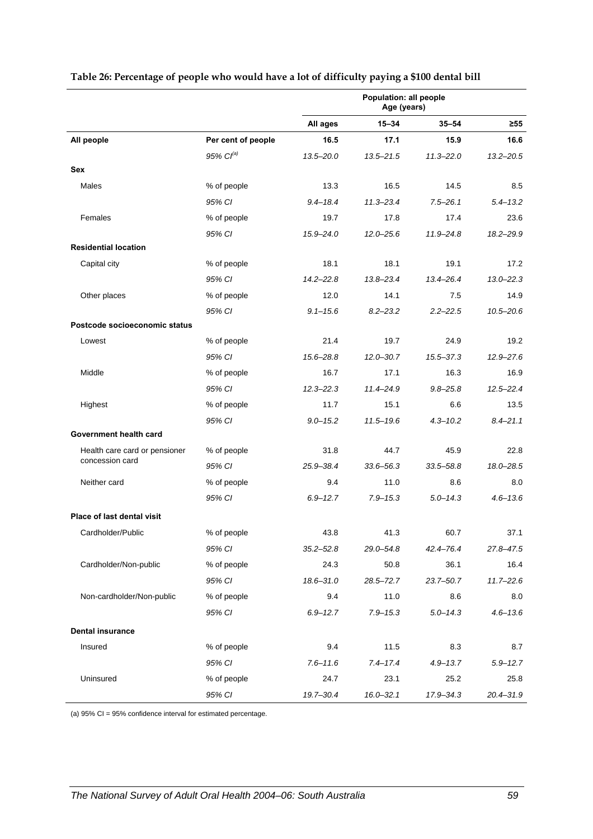|                                                  |                    | Population: all people<br>Age (years) |               |               |               |
|--------------------------------------------------|--------------------|---------------------------------------|---------------|---------------|---------------|
|                                                  |                    | All ages                              | $15 - 34$     | $35 - 54$     | $\geq 55$     |
| All people                                       | Per cent of people | 16.5                                  | 17.1          | 15.9          | 16.6          |
|                                                  | 95% $Cl^{(a)}$     | $13.5 - 20.0$                         | $13.5 - 21.5$ | $11.3 - 22.0$ | $13.2 - 20.5$ |
| Sex                                              |                    |                                       |               |               |               |
| Males                                            | % of people        | 13.3                                  | 16.5          | 14.5          | 8.5           |
|                                                  | 95% CI             | $9.4 - 18.4$                          | $11.3 - 23.4$ | $7.5 - 26.1$  | $5.4 - 13.2$  |
| Females                                          | % of people        | 19.7                                  | 17.8          | 17.4          | 23.6          |
|                                                  | 95% CI             | 15.9-24.0                             | $12.0 - 25.6$ | $11.9 - 24.8$ | 18.2-29.9     |
| <b>Residential location</b>                      |                    |                                       |               |               |               |
| Capital city                                     | % of people        | 18.1                                  | 18.1          | 19.1          | 17.2          |
|                                                  | 95% CI             | $14.2 - 22.8$                         | $13.8 - 23.4$ | 13.4-26.4     | $13.0 - 22.3$ |
| Other places                                     | % of people        | 12.0                                  | 14.1          | 7.5           | 14.9          |
|                                                  | 95% CI             | $9.1 - 15.6$                          | $8.2 - 23.2$  | $2.2 - 22.5$  | $10.5 - 20.6$ |
| Postcode socioeconomic status                    |                    |                                       |               |               |               |
| Lowest                                           | % of people        | 21.4                                  | 19.7          | 24.9          | 19.2          |
|                                                  | 95% CI             | 15.6-28.8                             | $12.0 - 30.7$ | $15.5 - 37.3$ | $12.9 - 27.6$ |
| Middle                                           | % of people        | 16.7                                  | 17.1          | 16.3          | 16.9          |
|                                                  | 95% CI             | $12.3 - 22.3$                         | $11.4 - 24.9$ | $9.8 - 25.8$  | $12.5 - 22.4$ |
| Highest                                          | % of people        | 11.7                                  | 15.1          | 6.6           | 13.5          |
|                                                  | 95% CI             | $9.0 - 15.2$                          | $11.5 - 19.6$ | $4.3 - 10.2$  | $8.4 - 21.1$  |
| Government health card                           |                    |                                       |               |               |               |
| Health care card or pensioner<br>concession card | % of people        | 31.8                                  | 44.7          | 45.9          | 22.8          |
|                                                  | 95% CI             | 25.9-38.4                             | $33.6 - 56.3$ | $33.5 - 58.8$ | 18.0-28.5     |
| Neither card                                     | % of people        | 9.4                                   | 11.0          | 8.6           | 8.0           |
|                                                  | 95% CI             | $6.9 - 12.7$                          | $7.9 - 15.3$  | $5.0 - 14.3$  | $4.6 - 13.6$  |
| Place of last dental visit                       |                    |                                       |               |               |               |
| Cardholder/Public                                | % of people        | 43.8                                  | 41.3          | 60.7          | 37.1          |
|                                                  | 95% CI             | $35.2 - 52.8$                         | 29.0-54.8     | $42.4 - 76.4$ | $27.8 - 47.5$ |
| Cardholder/Non-public                            | % of people        | 24.3                                  | 50.8          | 36.1          | 16.4          |
|                                                  | 95% CI             | $18.6 - 31.0$                         | $28.5 - 72.7$ | $23.7 - 50.7$ | $11.7 - 22.6$ |
| Non-cardholder/Non-public                        | % of people        | 9.4                                   | 11.0          | 8.6           | 8.0           |
|                                                  | 95% CI             | $6.9 - 12.7$                          | $7.9 - 15.3$  | $5.0 - 14.3$  | $4.6 - 13.6$  |
| <b>Dental insurance</b>                          |                    |                                       |               |               |               |
| Insured                                          | % of people        | 9.4                                   | 11.5          | 8.3           | 8.7           |
|                                                  | 95% CI             | $7.6 - 11.6$                          | $7.4 - 17.4$  | $4.9 - 13.7$  | $5.9 - 12.7$  |
| Uninsured                                        | % of people        | 24.7                                  | 23.1          | 25.2          | 25.8          |
|                                                  | 95% CI             | 19.7-30.4                             | $16.0 - 32.1$ | 17.9-34.3     | 20.4-31.9     |

#### <span id="page-66-0"></span>**Table 26: Percentage of people who would have a lot of difficulty paying a \$100 dental bill**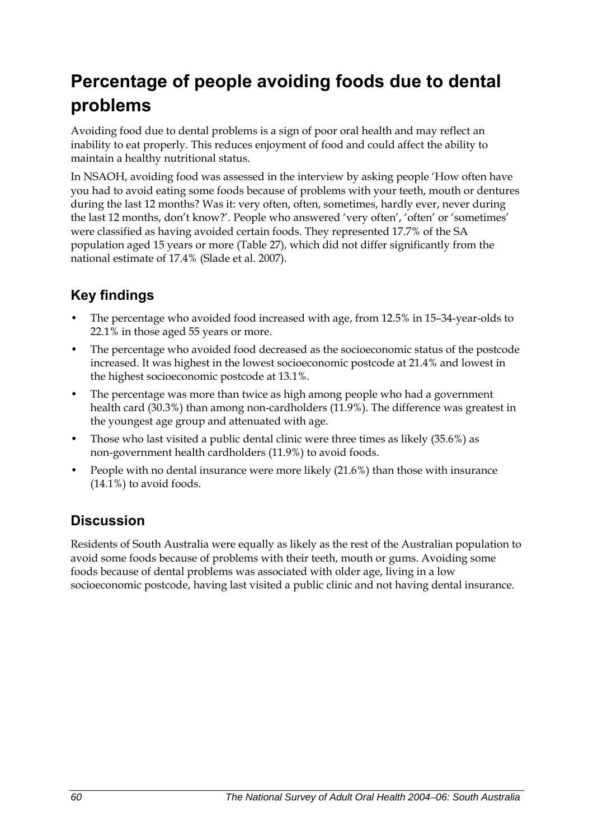# **Percentage of people avoiding foods due to dental problems**

Avoiding food due to dental problems is a sign of poor oral health and may reflect an inability to eat properly. This reduces enjoyment of food and could affect the ability to maintain a healthy nutritional status.

In NSAOH, avoiding food was assessed in the interview by asking people 'How often have you had to avoid eating some foods because of problems with your teeth, mouth or dentures during the last 12 months? Was it: very often, often, sometimes, hardly ever, never during the last 12 months, don't know?'. People who answered 'very often', 'often' or 'sometimes' were classified as having avoided certain foods. They represented 17.7% of the SA population aged 15 years or more [\(Table 27\)](#page-68-0), which did not differ significantly from the national estimate of 17.4% (Slade et al. 2007).

## **Key findings**

- The percentage who avoided food increased with age, from 12.5% in 15–34-year-olds to 22.1% in those aged 55 years or more.
- The percentage who avoided food decreased as the socioeconomic status of the postcode increased. It was highest in the lowest socioeconomic postcode at 21.4% and lowest in the highest socioeconomic postcode at 13.1%.
- The percentage was more than twice as high among people who had a government health card (30.3%) than among non-cardholders (11.9%). The difference was greatest in the youngest age group and attenuated with age.
- Those who last visited a public dental clinic were three times as likely (35.6%) as non-government health cardholders (11.9%) to avoid foods.
- People with no dental insurance were more likely (21.6%) than those with insurance (14.1%) to avoid foods.

### **Discussion**

Residents of South Australia were equally as likely as the rest of the Australian population to avoid some foods because of problems with their teeth, mouth or gums. Avoiding some foods because of dental problems was associated with older age, living in a low socioeconomic postcode, having last visited a public clinic and not having dental insurance.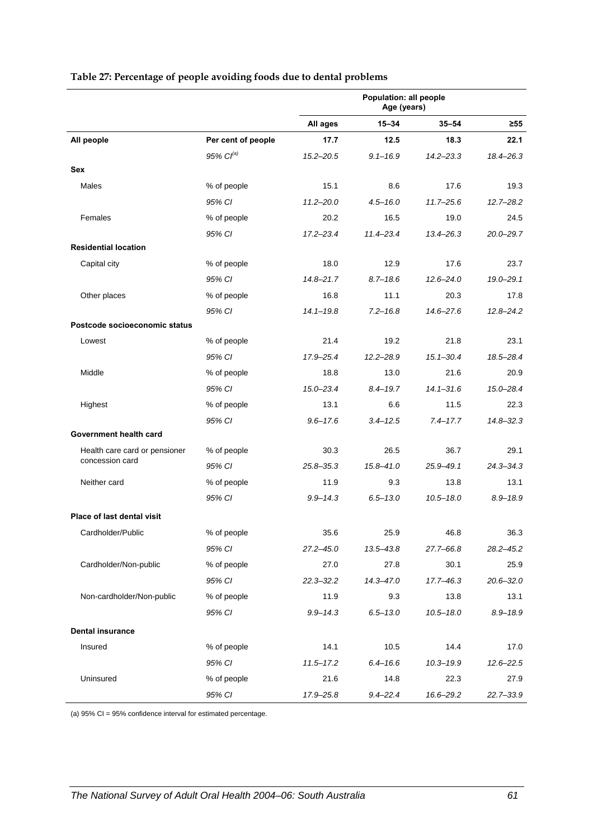<span id="page-68-0"></span>

|                                                  |                       | Population: all people<br>Age (years) |               |               |               |
|--------------------------------------------------|-----------------------|---------------------------------------|---------------|---------------|---------------|
|                                                  |                       | All ages                              | $15 - 34$     | $35 - 54$     | $\geq 55$     |
| All people                                       | Per cent of people    | 17.7                                  | 12.5          | 18.3          | 22.1          |
|                                                  | 95% Cl <sup>(a)</sup> | $15.2 - 20.5$                         | $9.1 - 16.9$  | $14.2 - 23.3$ | 18.4-26.3     |
| Sex                                              |                       |                                       |               |               |               |
| Males                                            | % of people           | 15.1                                  | 8.6           | 17.6          | 19.3          |
|                                                  | 95% CI                | $11.2 - 20.0$                         | $4.5 - 16.0$  | $11.7 - 25.6$ | $12.7 - 28.2$ |
| Females                                          | % of people           | 20.2                                  | 16.5          | 19.0          | 24.5          |
|                                                  | 95% CI                | $17.2 - 23.4$                         | $11.4 - 23.4$ | $13.4 - 26.3$ | $20.0 - 29.7$ |
| <b>Residential location</b>                      |                       |                                       |               |               |               |
| Capital city                                     | % of people           | 18.0                                  | 12.9          | 17.6          | 23.7          |
|                                                  | 95% CI                | $14.8 - 21.7$                         | $8.7 - 18.6$  | $12.6 - 24.0$ | 19.0-29.1     |
| Other places                                     | % of people           | 16.8                                  | 11.1          | 20.3          | 17.8          |
|                                                  | 95% CI                | $14.1 - 19.8$                         | $7.2 - 16.8$  | $14.6 - 27.6$ | $12.8 - 24.2$ |
| Postcode socioeconomic status                    |                       |                                       |               |               |               |
| Lowest                                           | % of people           | 21.4                                  | 19.2          | 21.8          | 23.1          |
|                                                  | 95% CI                | 17.9-25.4                             | $12.2 - 28.9$ | $15.1 - 30.4$ | 18.5-28.4     |
| Middle                                           | % of people           | 18.8                                  | 13.0          | 21.6          | 20.9          |
|                                                  | 95% CI                | $15.0 - 23.4$                         | $8.4 - 19.7$  | $14.1 - 31.6$ | 15.0-28.4     |
| Highest                                          | % of people           | 13.1                                  | 6.6           | 11.5          | 22.3          |
|                                                  | 95% CI                | $9.6 - 17.6$                          | $3.4 - 12.5$  | $7.4 - 17.7$  | $14.8 - 32.3$ |
| Government health card                           |                       |                                       |               |               |               |
| Health care card or pensioner<br>concession card | % of people           | 30.3                                  | 26.5          | 36.7          | 29.1          |
|                                                  | 95% CI                | $25.8 - 35.3$                         | 15.8-41.0     | $25.9 - 49.1$ | $24.3 - 34.3$ |
| Neither card                                     | % of people           | 11.9                                  | 9.3           | 13.8          | 13.1          |
|                                                  | 95% CI                | $9.9 - 14.3$                          | $6.5 - 13.0$  | $10.5 - 18.0$ | $8.9 - 18.9$  |
| Place of last dental visit                       |                       |                                       |               |               |               |
| Cardholder/Public                                | % of people           | 35.6                                  | 25.9          | 46.8          | 36.3          |
|                                                  | 95% CI                | 27.2-45.0                             | $13.5 - 43.8$ | 27.7-66.8     | 28.2-45.2     |
| Cardholder/Non-public                            | % of people           | 27.0                                  | 27.8          | 30.1          | 25.9          |
|                                                  | 95% CI                | $22.3 - 32.2$                         | $14.3 - 47.0$ | $17.7 - 46.3$ | $20.6 - 32.0$ |
| Non-cardholder/Non-public                        | % of people           | 11.9                                  | 9.3           | 13.8          | 13.1          |
|                                                  | 95% CI                | $9.9 - 14.3$                          | $6.5 - 13.0$  | $10.5 - 18.0$ | $8.9 - 18.9$  |
| <b>Dental insurance</b>                          |                       |                                       |               |               |               |
| Insured                                          | % of people           | 14.1                                  | 10.5          | 14.4          | 17.0          |
|                                                  | 95% CI                | $11.5 - 17.2$                         | $6.4 - 16.6$  | $10.3 - 19.9$ | $12.6 - 22.5$ |
| Uninsured                                        | % of people           | 21.6                                  | 14.8          | 22.3          | 27.9          |
|                                                  | 95% CI                | 17.9-25.8                             | $9.4 - 22.4$  | 16.6-29.2     | 22.7-33.9     |

#### **Table 27: Percentage of people avoiding foods due to dental problems**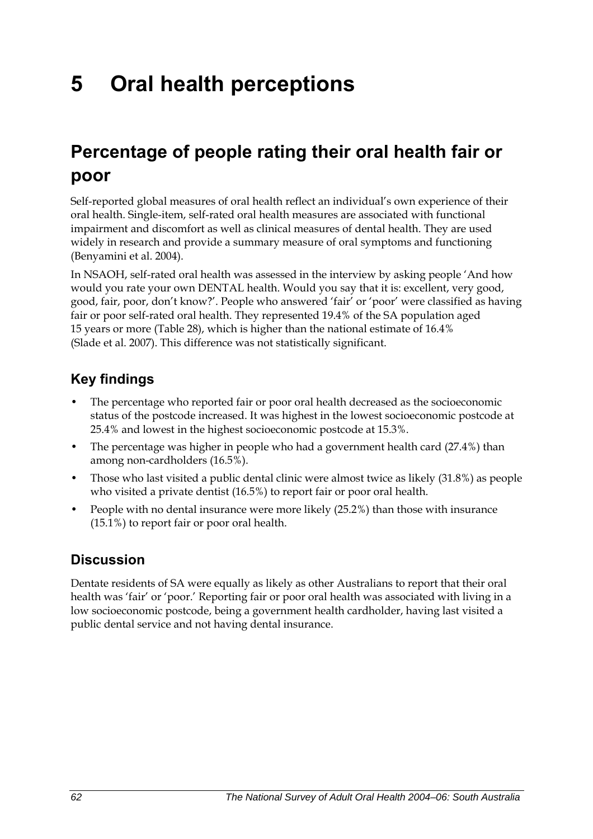# **5 Oral health perceptions**

## **Percentage of people rating their oral health fair or poor**

Self-reported global measures of oral health reflect an individual's own experience of their oral health. Single-item, self-rated oral health measures are associated with functional impairment and discomfort as well as clinical measures of dental health. They are used widely in research and provide a summary measure of oral symptoms and functioning (Benyamini et al. 2004).

In NSAOH, self-rated oral health was assessed in the interview by asking people 'And how would you rate your own DENTAL health. Would you say that it is: excellent, very good, good, fair, poor, don't know?'. People who answered 'fair' or 'poor' were classified as having fair or poor self-rated oral health. They represented 19.4% of the SA population aged 15 years or more [\(Table 28\)](#page-70-0), which is higher than the national estimate of 16.4% (Slade et al. 2007). This difference was not statistically significant.

### **Key findings**

- The percentage who reported fair or poor oral health decreased as the socioeconomic status of the postcode increased. It was highest in the lowest socioeconomic postcode at 25.4% and lowest in the highest socioeconomic postcode at 15.3%.
- The percentage was higher in people who had a government health card (27.4%) than among non-cardholders (16.5%).
- Those who last visited a public dental clinic were almost twice as likely (31.8%) as people who visited a private dentist (16.5%) to report fair or poor oral health.
- People with no dental insurance were more likely (25.2%) than those with insurance (15.1%) to report fair or poor oral health.

### **Discussion**

Dentate residents of SA were equally as likely as other Australians to report that their oral health was 'fair' or 'poor.' Reporting fair or poor oral health was associated with living in a low socioeconomic postcode, being a government health cardholder, having last visited a public dental service and not having dental insurance.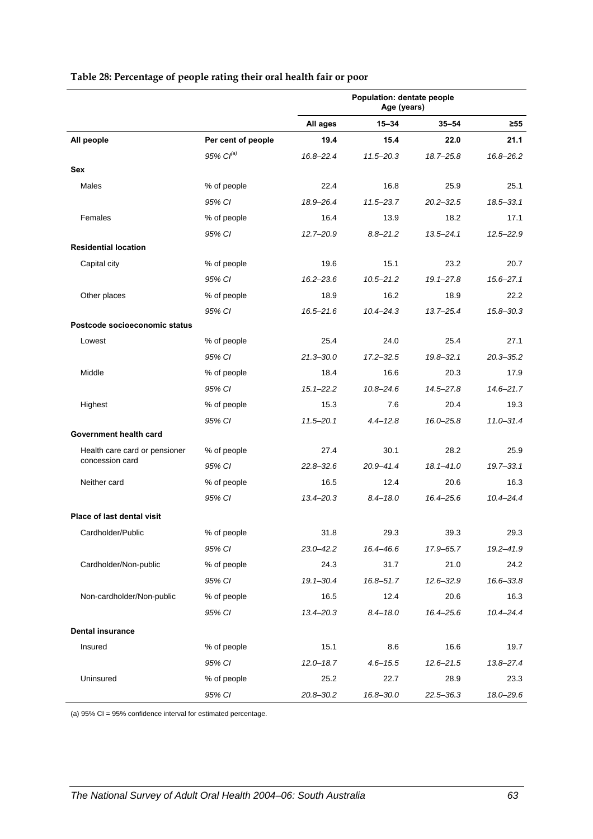<span id="page-70-0"></span>

|                                                  |                    | Population: dentate people<br>Age (years) |               |               |               |
|--------------------------------------------------|--------------------|-------------------------------------------|---------------|---------------|---------------|
|                                                  |                    | All ages                                  | $15 - 34$     | $35 - 54$     | $\geq 55$     |
| All people                                       | Per cent of people | 19.4                                      | 15.4          | 22.0          | 21.1          |
|                                                  | $95\%$ $Cl^{(a)}$  | 16.8-22.4                                 | $11.5 - 20.3$ | $18.7 - 25.8$ | 16.8-26.2     |
| Sex                                              |                    |                                           |               |               |               |
| Males                                            | % of people        | 22.4                                      | 16.8          | 25.9          | 25.1          |
|                                                  | 95% CI             | 18.9-26.4                                 | $11.5 - 23.7$ | $20.2 - 32.5$ | $18.5 - 33.1$ |
| Females                                          | % of people        | 16.4                                      | 13.9          | 18.2          | 17.1          |
|                                                  | 95% CI             | $12.7 - 20.9$                             | $8.8 - 21.2$  | $13.5 - 24.1$ | $12.5 - 22.9$ |
| <b>Residential location</b>                      |                    |                                           |               |               |               |
| Capital city                                     | % of people        | 19.6                                      | 15.1          | 23.2          | 20.7          |
|                                                  | 95% CI             | $16.2 - 23.6$                             | $10.5 - 21.2$ | $19.1 - 27.8$ | $15.6 - 27.1$ |
| Other places                                     | % of people        | 18.9                                      | 16.2          | 18.9          | 22.2          |
|                                                  | 95% CI             | $16.5 - 21.6$                             | $10.4 - 24.3$ | $13.7 - 25.4$ | $15.8 - 30.3$ |
| Postcode socioeconomic status                    |                    |                                           |               |               |               |
| Lowest                                           | % of people        | 25.4                                      | 24.0          | 25.4          | 27.1          |
|                                                  | 95% CI             | $21.3 - 30.0$                             | $17.2 - 32.5$ | $19.8 - 32.1$ | $20.3 - 35.2$ |
| Middle                                           | % of people        | 18.4                                      | 16.6          | 20.3          | 17.9          |
|                                                  | 95% CI             | $15.1 - 22.2$                             | $10.8 - 24.6$ | 14.5-27.8     | $14.6 - 21.7$ |
| Highest                                          | % of people        | 15.3                                      | 7.6           | 20.4          | 19.3          |
|                                                  | 95% CI             | $11.5 - 20.1$                             | $4.4 - 12.8$  | $16.0 - 25.8$ | $11.0 - 31.4$ |
| Government health card                           |                    |                                           |               |               |               |
| Health care card or pensioner<br>concession card | % of people        | 27.4                                      | 30.1          | 28.2          | 25.9          |
|                                                  | 95% CI             | $22.8 - 32.6$                             | 20.9-41.4     | $18.1 - 41.0$ | $19.7 - 33.1$ |
| Neither card                                     | % of people        | 16.5                                      | 12.4          | 20.6          | 16.3          |
|                                                  | 95% CI             | $13.4 - 20.3$                             | $8.4 - 18.0$  | 16.4-25.6     | $10.4 - 24.4$ |
| Place of last dental visit                       |                    |                                           |               |               |               |
| Cardholder/Public                                | % of people        | 31.8                                      | 29.3          | 39.3          | 29.3          |
|                                                  | 95% CI             | 23.0–42.2                                 | 16.4-46.6     | 17.9–65.7     | 19.2-41.9     |
| Cardholder/Non-public                            | % of people        | 24.3                                      | 31.7          | 21.0          | 24.2          |
|                                                  | 95% CI             | $19.1 - 30.4$                             | $16.8 - 51.7$ | $12.6 - 32.9$ | 16.6-33.8     |
| Non-cardholder/Non-public                        | % of people        | 16.5                                      | 12.4          | 20.6          | 16.3          |
|                                                  | 95% CI             | $13.4 - 20.3$                             | $8.4 - 18.0$  | 16.4-25.6     | $10.4 - 24.4$ |
| <b>Dental insurance</b>                          |                    |                                           |               |               |               |
| Insured                                          | % of people        | 15.1                                      | 8.6           | 16.6          | 19.7          |
|                                                  | 95% CI             | $12.0 - 18.7$                             | $4.6 - 15.5$  | $12.6 - 21.5$ | 13.8-27.4     |
| Uninsured                                        | % of people        | 25.2                                      | 22.7          | 28.9          | 23.3          |
|                                                  | 95% CI             | 20.8-30.2                                 | 16.8-30.0     | $22.5 - 36.3$ | 18.0-29.6     |

#### **Table 28: Percentage of people rating their oral health fair or poor**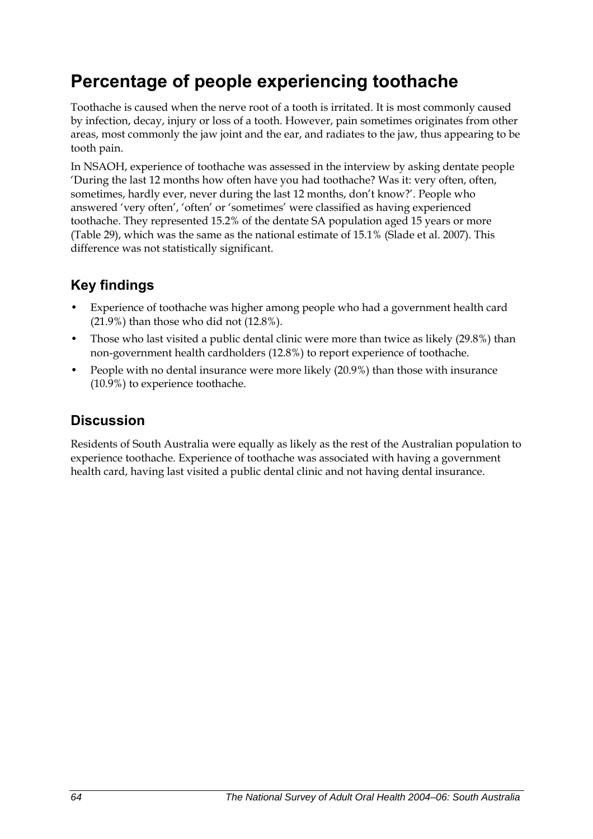## **Percentage of people experiencing toothache**

Toothache is caused when the nerve root of a tooth is irritated. It is most commonly caused by infection, decay, injury or loss of a tooth. However, pain sometimes originates from other areas, most commonly the jaw joint and the ear, and radiates to the jaw, thus appearing to be tooth pain.

In NSAOH, experience of toothache was assessed in the interview by asking dentate people 'During the last 12 months how often have you had toothache? Was it: very often, often, sometimes, hardly ever, never during the last 12 months, don't know?'. People who answered 'very often', 'often' or 'sometimes' were classified as having experienced toothache. They represented 15.2% of the dentate SA population aged 15 years or more ([Table 29](#page-72-0)), which was the same as the national estimate of 15.1% (Slade et al. 2007). This difference was not statistically significant.

## **Key findings**

- Experience of toothache was higher among people who had a government health card (21.9%) than those who did not (12.8%).
- Those who last visited a public dental clinic were more than twice as likely (29.8%) than non-government health cardholders (12.8%) to report experience of toothache.
- People with no dental insurance were more likely (20.9%) than those with insurance (10.9%) to experience toothache.

### **Discussion**

Residents of South Australia were equally as likely as the rest of the Australian population to experience toothache. Experience of toothache was associated with having a government health card, having last visited a public dental clinic and not having dental insurance.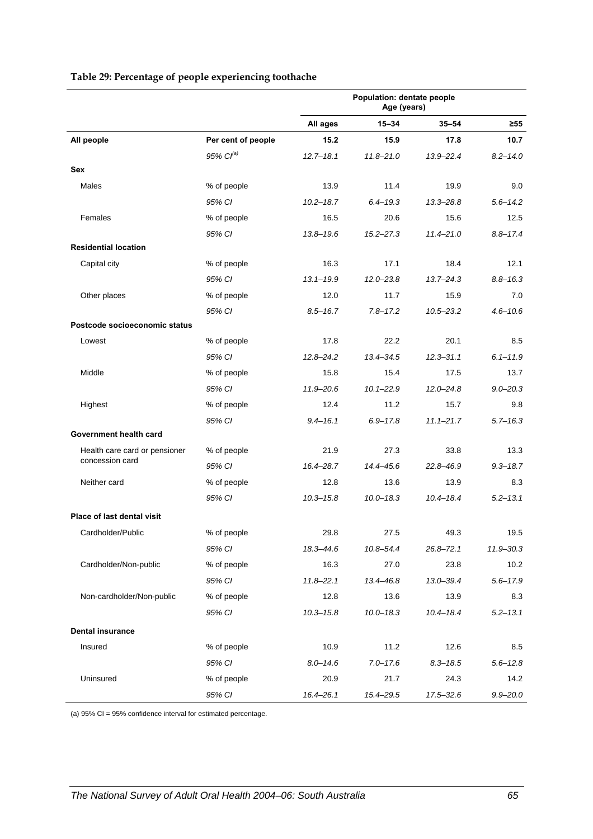<span id="page-72-0"></span>

| Table 29: Percentage of people experiencing toothache |  |  |
|-------------------------------------------------------|--|--|
|-------------------------------------------------------|--|--|

|                                   |                    | Population: dentate people<br>Age (years) |               |               |              |
|-----------------------------------|--------------------|-------------------------------------------|---------------|---------------|--------------|
|                                   |                    | All ages                                  | $15 - 34$     | $35 - 54$     | $\geq 55$    |
| All people                        | Per cent of people | 15.2                                      | 15.9          | 17.8          | 10.7         |
|                                   | $95\%$ $Cl^{(a)}$  | $12.7 - 18.1$                             | $11.8 - 21.0$ | 13.9-22.4     | $8.2 - 14.0$ |
| Sex                               |                    |                                           |               |               |              |
| Males                             | % of people        | 13.9                                      | 11.4          | 19.9          | 9.0          |
|                                   | 95% CI             | $10.2 - 18.7$                             | $6.4 - 19.3$  | $13.3 - 28.8$ | $5.6 - 14.2$ |
| Females                           | % of people        | 16.5                                      | 20.6          | 15.6          | 12.5         |
|                                   | 95% CI             | $13.8 - 19.6$                             | $15.2 - 27.3$ | $11.4 - 21.0$ | $8.8 - 17.4$ |
| <b>Residential location</b>       |                    |                                           |               |               |              |
| Capital city                      | % of people        | 16.3                                      | 17.1          | 18.4          | 12.1         |
|                                   | 95% CI             | $13.1 - 19.9$                             | $12.0 - 23.8$ | $13.7 - 24.3$ | $8.8 - 16.3$ |
| Other places                      | % of people        | 12.0                                      | 11.7          | 15.9          | 7.0          |
|                                   | 95% CI             | $8.5 - 16.7$                              | $7.8 - 17.2$  | $10.5 - 23.2$ | $4.6 - 10.6$ |
| Postcode socioeconomic status     |                    |                                           |               |               |              |
| Lowest                            | % of people        | 17.8                                      | 22.2          | 20.1          | 8.5          |
|                                   | 95% CI             | $12.8 - 24.2$                             | $13.4 - 34.5$ | $12.3 - 31.1$ | $6.1 - 11.9$ |
| Middle                            | % of people        | 15.8                                      | 15.4          | 17.5          | 13.7         |
|                                   | 95% CI             | $11.9 - 20.6$                             | $10.1 - 22.9$ | $12.0 - 24.8$ | $9.0 - 20.3$ |
| Highest                           | % of people        | 12.4                                      | 11.2          | 15.7          | 9.8          |
|                                   | 95% CI             | $9.4 - 16.1$                              | $6.9 - 17.8$  | $11.1 - 21.7$ | $5.7 - 16.3$ |
| Government health card            |                    |                                           |               |               |              |
| Health care card or pensioner     | % of people        | 21.9                                      | 27.3          | 33.8          | 13.3         |
| concession card                   | 95% CI             | 16.4-28.7                                 | 14.4-45.6     | 22.8-46.9     | $9.3 - 18.7$ |
| Neither card                      | % of people        | 12.8                                      | 13.6          | 13.9          | 8.3          |
|                                   | 95% CI             | $10.3 - 15.8$                             | $10.0 - 18.3$ | $10.4 - 18.4$ | $5.2 - 13.1$ |
| <b>Place of last dental visit</b> |                    |                                           |               |               |              |
| Cardholder/Public                 | % of people        | 29.8                                      | 27.5          | 49.3          | 19.5         |
|                                   | 95% CI             | 18.3-44.6                                 | 10.8-54.4     | $26.8 - 72.1$ | 11.9 - 30.3  |
| Cardholder/Non-public             | % of people        | 16.3                                      | 27.0          | 23.8          | 10.2         |
|                                   | 95% CI             | $11.8 - 22.1$                             | 13.4-46.8     | $13.0 - 39.4$ | $5.6 - 17.9$ |
| Non-cardholder/Non-public         | % of people        | 12.8                                      | 13.6          | 13.9          | 8.3          |
|                                   | 95% CI             | $10.3 - 15.8$                             | $10.0 - 18.3$ | $10.4 - 18.4$ | $5.2 - 13.1$ |
| <b>Dental insurance</b>           |                    |                                           |               |               |              |
| Insured                           | % of people        | 10.9                                      | 11.2          | 12.6          | 8.5          |
|                                   | 95% CI             | $8.0 - 14.6$                              | $7.0 - 17.6$  | $8.3 - 18.5$  | $5.6 - 12.8$ |
| Uninsured                         | % of people        | 20.9                                      | 21.7          | 24.3          | 14.2         |
|                                   | 95% CI             | $16.4 - 26.1$                             | 15.4-29.5     | $17.5 - 32.6$ | $9.9 - 20.0$ |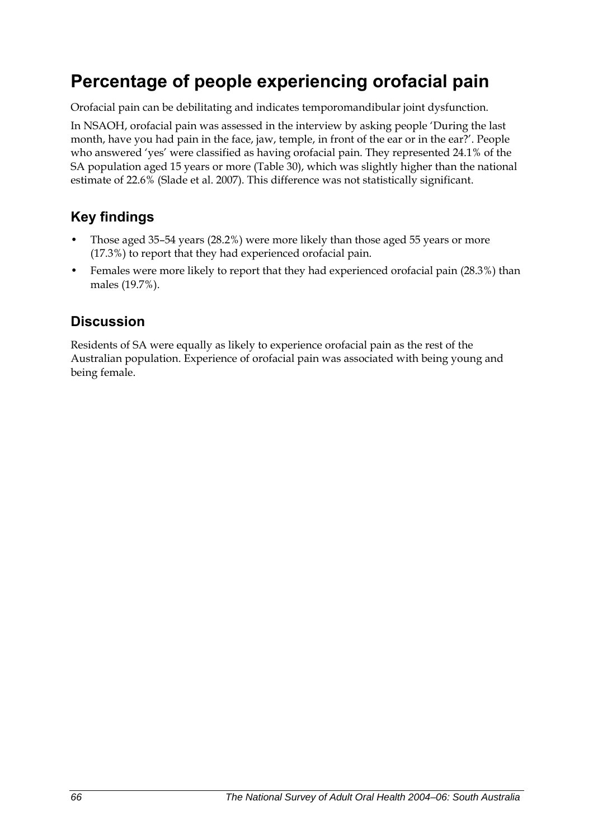## **Percentage of people experiencing orofacial pain**

Orofacial pain can be debilitating and indicates temporomandibular joint dysfunction.

In NSAOH, orofacial pain was assessed in the interview by asking people 'During the last month, have you had pain in the face, jaw, temple, in front of the ear or in the ear?'. People who answered 'yes' were classified as having orofacial pain. They represented 24.1% of the SA population aged 15 years or more [\(Table 30\)](#page-74-0), which was slightly higher than the national estimate of 22.6% (Slade et al. 2007). This difference was not statistically significant.

### **Key findings**

- Those aged 35–54 years (28.2%) were more likely than those aged 55 years or more (17.3%) to report that they had experienced orofacial pain.
- Females were more likely to report that they had experienced orofacial pain (28.3%) than males (19.7%).

### **Discussion**

Residents of SA were equally as likely to experience orofacial pain as the rest of the Australian population. Experience of orofacial pain was associated with being young and being female.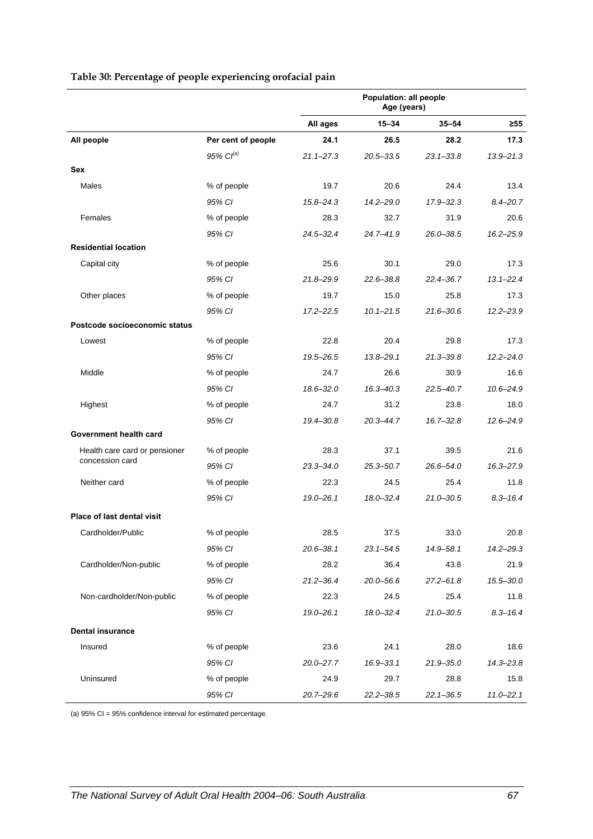|                                   |                    |               | Age (years)   |               |               |
|-----------------------------------|--------------------|---------------|---------------|---------------|---------------|
|                                   |                    | All ages      | 15-34         | $35 - 54$     | $\geq 55$     |
| All people                        | Per cent of people | 24.1          | 26.5          | 28.2          | 17.3          |
|                                   | 95% $Cl^{(a)}$     | $21.1 - 27.3$ | $20.5 - 33.5$ | $23.1 - 33.8$ | $13.9 - 21.3$ |
| Sex                               |                    |               |               |               |               |
| Males                             | % of people        | 19.7          | 20.6          | 24.4          | 13.4          |
|                                   | 95% CI             | $15.8 - 24.3$ | $14.2 - 29.0$ | 17.9-32.3     | $8.4 - 20.7$  |
| Females                           | % of people        | 28.3          | 32.7          | 31.9          | 20.6          |
|                                   | 95% CI             | $24.5 - 32.4$ | $24.7 - 41.9$ | $26.0 - 38.5$ | $16.2 - 25.9$ |
| <b>Residential location</b>       |                    |               |               |               |               |
| Capital city                      | % of people        | 25.6          | 30.1          | 29.0          | 17.3          |
|                                   | 95% CI             | 21.8-29.9     | $22.6 - 38.8$ | 22.4-36.7     | $13.1 - 22.4$ |
| Other places                      | % of people        | 19.7          | 15.0          | 25.8          | 17.3          |
|                                   | 95% CI             | $17.2 - 22.5$ | $10.1 - 21.5$ | $21.6 - 30.6$ | $12.2 - 23.9$ |
| Postcode socioeconomic status     |                    |               |               |               |               |
| Lowest                            | % of people        | 22.8          | 20.4          | 29.8          | 17.3          |
|                                   | 95% CI             | 19.5-26.5     | $13.8 - 29.1$ | 21.3–39.8     | $12.2 - 24.0$ |
| Middle                            | % of people        | 24.7          | 26.6          | 30.9          | 16.6          |
|                                   | 95% CI             | $18.6 - 32.0$ | $16.3 - 40.3$ | 22.5-40.7     | $10.6 - 24.9$ |
| Highest                           | % of people        | 24.7          | 31.2          | 23.8          | 18.0          |
|                                   | 95% CI             | 19.4-30.8     | $20.3 - 44.7$ | $16.7 - 32.8$ | $12.6 - 24.9$ |
| Government health card            |                    |               |               |               |               |
| Health care card or pensioner     | % of people        | 28.3          | 37.1          | 39.5          | 21.6          |
| concession card                   | 95% CI             | $23.3 - 34.0$ | $25.3 - 50.7$ | 26.6-54.0     | 16.3-27.9     |
| Neither card                      | % of people        | 22.3          | 24.5          | 25.4          | 11.8          |
|                                   | 95% CI             | $19.0 - 26.1$ | $18.0 - 32.4$ | $21.0 - 30.5$ | $8.3 - 16.4$  |
| <b>Place of last dental visit</b> |                    |               |               |               |               |
| Cardholder/Public                 | % of people        | 28.5          | 37.5          | 33.0          | 20.8          |
|                                   | 95% CI             | $20.6 - 38.1$ | $23.1 - 54.5$ | 14.9-58.1     | $14.2 - 29.3$ |
| Cardholder/Non-public             | % of people        | 28.2          | 36.4          | 43.8          | 21.9          |
|                                   | 95% CI             | $21.2 - 36.4$ | $20.0 - 56.6$ | $27.2 - 61.8$ | 15.5-30.0     |
| Non-cardholder/Non-public         | % of people        | 22.3          | 24.5          | 25.4          | 11.8          |
|                                   | 95% CI             | $19.0 - 26.1$ | $18.0 - 32.4$ | $21.0 - 30.5$ | $8.3 - 16.4$  |
| <b>Dental insurance</b>           |                    |               |               |               |               |
| Insured                           | % of people        | 23.6          | 24.1          | 28.0          | 18.6          |
|                                   | 95% CI             | $20.0 - 27.7$ | 16.9-33.1     | $21.9 - 35.0$ | $14.3 - 23.8$ |
| Uninsured                         | % of people        | 24.9          | 29.7          | 28.8          | 15.8          |

*95% CI 20.7–29.6 22.2–38.5 22.1–36.5 11.0–22.1*

**Population: all people** 

#### <span id="page-74-1"></span><span id="page-74-0"></span>**Table 30: Percentage of people experiencing orofacial pain**

l,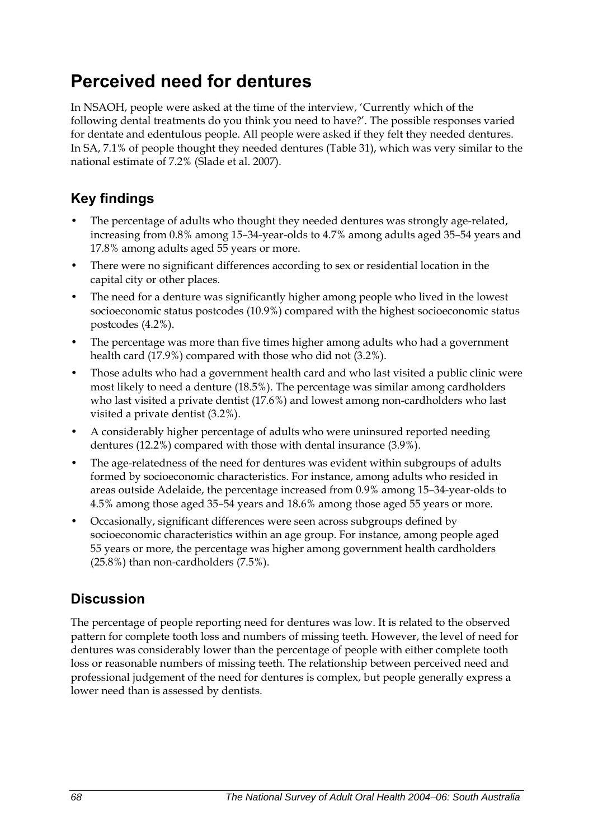## **Perceived need for dentures**

In NSAOH, people were asked at the time of the interview, 'Currently which of the following dental treatments do you think you need to have?'. The possible responses varied for dentate and edentulous people. All people were asked if they felt they needed dentures. In SA, 7.1% of people thought they needed dentures ([Table 31](#page-76-0)), which was very similar to the national estimate of 7.2% (Slade et al. 2007).

### **Key findings**

- The percentage of adults who thought they needed dentures was strongly age-related, increasing from 0.8% among 15–34-year-olds to 4.7% among adults aged 35–54 years and 17.8% among adults aged 55 years or more.
- There were no significant differences according to sex or residential location in the capital city or other places.
- The need for a denture was significantly higher among people who lived in the lowest socioeconomic status postcodes (10.9%) compared with the highest socioeconomic status postcodes (4.2%).
- The percentage was more than five times higher among adults who had a government health card (17.9%) compared with those who did not (3.2%).
- Those adults who had a government health card and who last visited a public clinic were most likely to need a denture (18.5%). The percentage was similar among cardholders who last visited a private dentist (17.6%) and lowest among non-cardholders who last visited a private dentist (3.2%).
- A considerably higher percentage of adults who were uninsured reported needing dentures (12.2%) compared with those with dental insurance (3.9%).
- The age-relatedness of the need for dentures was evident within subgroups of adults formed by socioeconomic characteristics. For instance, among adults who resided in areas outside Adelaide, the percentage increased from 0.9% among 15–34-year-olds to 4.5% among those aged 35–54 years and 18.6% among those aged 55 years or more.
- Occasionally, significant differences were seen across subgroups defined by socioeconomic characteristics within an age group. For instance, among people aged 55 years or more, the percentage was higher among government health cardholders (25.8%) than non-cardholders (7.5%).

## **Discussion**

The percentage of people reporting need for dentures was low. It is related to the observed pattern for complete tooth loss and numbers of missing teeth. However, the level of need for dentures was considerably lower than the percentage of people with either complete tooth loss or reasonable numbers of missing teeth. The relationship between perceived need and professional judgement of the need for dentures is complex, but people generally express a lower need than is assessed by dentists.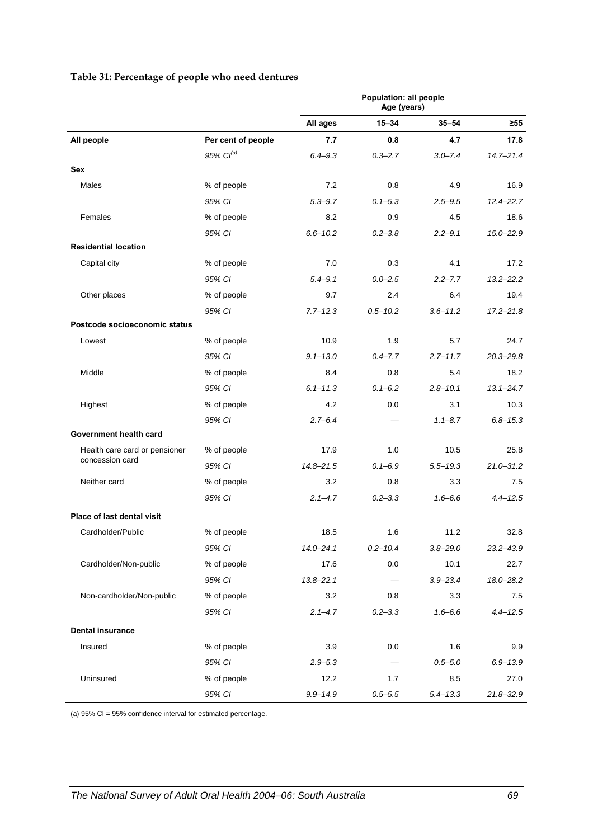<span id="page-76-0"></span>

|                                                  |                       | Population: all people<br>Age (years) |                   |              |               |
|--------------------------------------------------|-----------------------|---------------------------------------|-------------------|--------------|---------------|
|                                                  |                       | All ages                              | $15 - 34$         | $35 - 54$    | $\geq 55$     |
| All people                                       | Per cent of people    | 7.7                                   | 0.8               | 4.7          | 17.8          |
|                                                  | 95% Cl <sup>(a)</sup> | $6.4 - 9.3$                           | $0.3 - 2.7$       | $3.0 - 7.4$  | $14.7 - 21.4$ |
| Sex                                              |                       |                                       |                   |              |               |
| <b>Males</b>                                     | % of people           | 7.2                                   | 0.8               | 4.9          | 16.9          |
|                                                  | 95% CI                | $5.3 - 9.7$                           | $0.1 - 5.3$       | $2.5 - 9.5$  | $12.4 - 22.7$ |
| Females                                          | % of people           | 8.2                                   | 0.9               | 4.5          | 18.6          |
|                                                  | 95% CI                | $6.6 - 10.2$                          | $0.2 - 3.8$       | $2.2 - 9.1$  | $15.0 - 22.9$ |
| <b>Residential location</b>                      |                       |                                       |                   |              |               |
| Capital city                                     | % of people           | 7.0                                   | 0.3               | 4.1          | 17.2          |
|                                                  | 95% CI                | $5.4 - 9.1$                           | $0.0 - 2.5$       | $2.2 - 7.7$  | $13.2 - 22.2$ |
| Other places                                     | % of people           | 9.7                                   | 2.4               | 6.4          | 19.4          |
|                                                  | 95% CI                | $7.7 - 12.3$                          | $0.5 - 10.2$      | $3.6 - 11.2$ | $17.2 - 21.8$ |
| Postcode socioeconomic status                    |                       |                                       |                   |              |               |
| Lowest                                           | % of people           | 10.9                                  | 1.9               | 5.7          | 24.7          |
|                                                  | 95% CI                | $9.1 - 13.0$                          | $0.4 - 7.7$       | $2.7 - 11.7$ | $20.3 - 29.8$ |
| Middle                                           | % of people           | 8.4                                   | 0.8               | 5.4          | 18.2          |
|                                                  | 95% CI                | $6.1 - 11.3$                          | $0.1 - 6.2$       | $2.8 - 10.1$ | $13.1 - 24.7$ |
| Highest                                          | % of people           | 4.2                                   | 0.0               | 3.1          | 10.3          |
|                                                  | 95% CI                | $2.7 - 6.4$                           |                   | $1.1 - 8.7$  | $6.8 - 15.3$  |
| Government health card                           |                       |                                       |                   |              |               |
| Health care card or pensioner<br>concession card | % of people           | 17.9                                  | 1.0               | 10.5         | 25.8          |
|                                                  | 95% CI                | $14.8 - 21.5$                         | $0.1 - 6.9$       | $5.5 - 19.3$ | $21.0 - 31.2$ |
| Neither card                                     | % of people           | 3.2                                   | 0.8               | 3.3          | 7.5           |
|                                                  | 95% CI                | $2.1 - 4.7$                           | $0.2 - 3.3$       | $1.6 - 6.6$  | $4.4 - 12.5$  |
| Place of last dental visit                       |                       |                                       |                   |              |               |
| Cardholder/Public                                | % of people           | 18.5                                  | 1.6               | 11.2         | 32.8          |
|                                                  | 95% CI                | $14.0 - 24.1$                         | $0.2 - 10.4$      | $3.8 - 29.0$ | $23.2 - 43.9$ |
| Cardholder/Non-public                            | % of people           | 17.6                                  | 0.0               | 10.1         | 22.7          |
|                                                  | 95% CI                | $13.8 - 22.1$                         | $\qquad \qquad -$ | $3.9 - 23.4$ | 18.0-28.2     |
| Non-cardholder/Non-public                        | % of people           | 3.2                                   | 0.8               | 3.3          | 7.5           |
|                                                  | 95% CI                | $2.1 - 4.7$                           | $0.2 - 3.3$       | $1.6 - 6.6$  | $4.4 - 12.5$  |
| <b>Dental insurance</b>                          |                       |                                       |                   |              |               |
| Insured                                          | % of people           | 3.9                                   | 0.0               | 1.6          | 9.9           |
|                                                  | 95% CI                | $2.9 - 5.3$                           |                   | $0.5 - 5.0$  | $6.9 - 13.9$  |
| Uninsured                                        | % of people           | 12.2                                  | 1.7               | 8.5          | 27.0          |
|                                                  | 95% CI                | $9.9 - 14.9$                          | $0.5 - 5.5$       | $5.4 - 13.3$ | $21.8 - 32.9$ |

#### <span id="page-76-1"></span>**Table 31: Percentage of people who need dentures**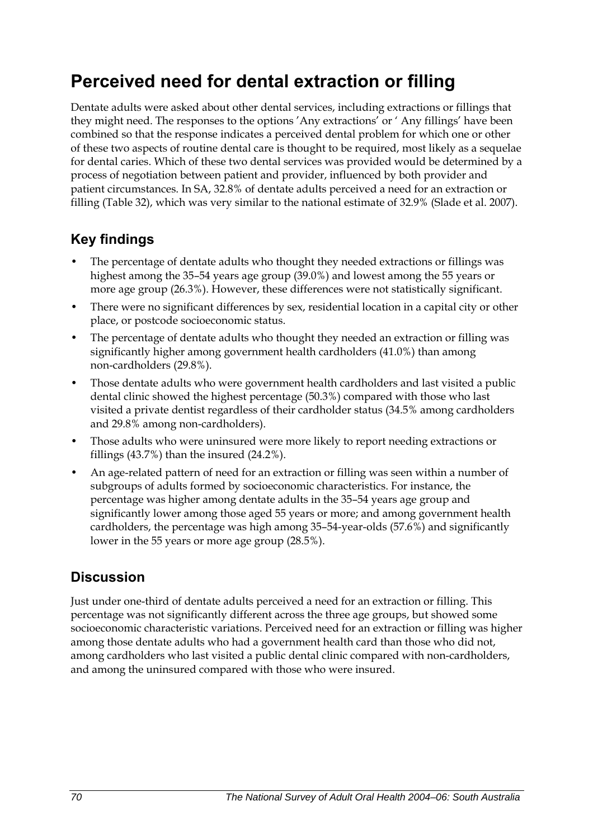## **Perceived need for dental extraction or filling**

Dentate adults were asked about other dental services, including extractions or fillings that they might need. The responses to the options 'Any extractions' or ' Any fillings' have been combined so that the response indicates a perceived dental problem for which one or other of these two aspects of routine dental care is thought to be required, most likely as a sequelae for dental caries. Which of these two dental services was provided would be determined by a process of negotiation between patient and provider, influenced by both provider and patient circumstances. In SA, 32.8% of dentate adults perceived a need for an extraction or filling [\(Table 32\)](#page-78-0), which was very similar to the national estimate of 32.9% (Slade et al. 2007).

## **Key findings**

- The percentage of dentate adults who thought they needed extractions or fillings was highest among the 35–54 years age group (39.0%) and lowest among the 55 years or more age group (26.3%). However, these differences were not statistically significant.
- There were no significant differences by sex, residential location in a capital city or other place, or postcode socioeconomic status.
- The percentage of dentate adults who thought they needed an extraction or filling was significantly higher among government health cardholders (41.0%) than among non-cardholders (29.8%).
- Those dentate adults who were government health cardholders and last visited a public dental clinic showed the highest percentage (50.3%) compared with those who last visited a private dentist regardless of their cardholder status (34.5% among cardholders and 29.8% among non-cardholders).
- Those adults who were uninsured were more likely to report needing extractions or fillings (43.7%) than the insured (24.2%).
- An age-related pattern of need for an extraction or filling was seen within a number of subgroups of adults formed by socioeconomic characteristics. For instance, the percentage was higher among dentate adults in the 35–54 years age group and significantly lower among those aged 55 years or more; and among government health cardholders, the percentage was high among 35–54-year-olds (57.6%) and significantly lower in the 55 years or more age group (28.5%).

## **Discussion**

Just under one-third of dentate adults perceived a need for an extraction or filling. This percentage was not significantly different across the three age groups, but showed some socioeconomic characteristic variations. Perceived need for an extraction or filling was higher among those dentate adults who had a government health card than those who did not, among cardholders who last visited a public dental clinic compared with non-cardholders, and among the uninsured compared with those who were insured.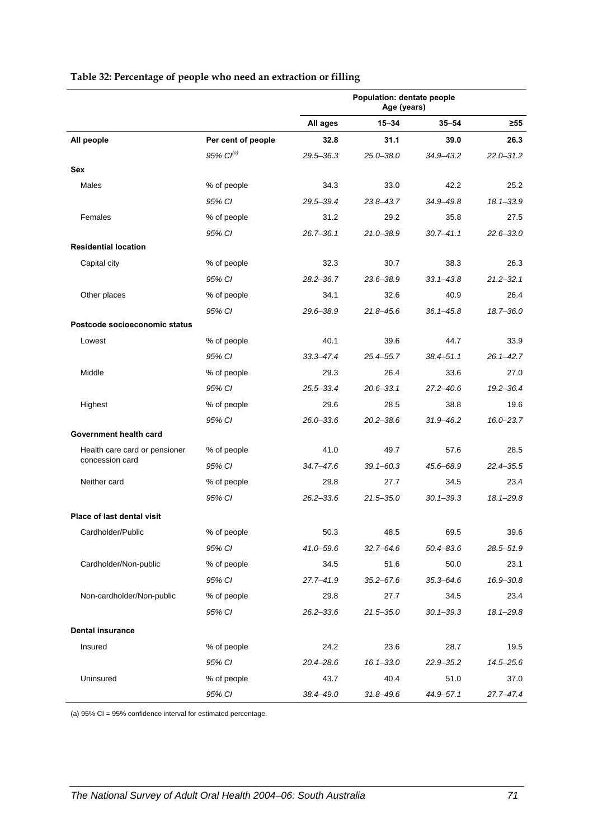<span id="page-78-0"></span>

|                                                  |                       | Population: dentate people<br>Age (years) |               |               |               |
|--------------------------------------------------|-----------------------|-------------------------------------------|---------------|---------------|---------------|
|                                                  |                       | All ages                                  | $15 - 34$     | $35 - 54$     | ≥55           |
| All people                                       | Per cent of people    | 32.8                                      | 31.1          | 39.0          | 26.3          |
|                                                  | 95% Cl <sup>(a)</sup> | $29.5 - 36.3$                             | $25.0 - 38.0$ | 34.9-43.2     | $22.0 - 31.2$ |
| Sex                                              |                       |                                           |               |               |               |
| <b>Males</b>                                     | % of people           | 34.3                                      | 33.0          | 42.2          | 25.2          |
|                                                  | 95% CI                | 29.5-39.4                                 | $23.8 - 43.7$ | 34.9-49.8     | $18.1 - 33.9$ |
| Females                                          | % of people           | 31.2                                      | 29.2          | 35.8          | 27.5          |
|                                                  | 95% CI                | $26.7 - 36.1$                             | $21.0 - 38.9$ | $30.7 - 41.1$ | $22.6 - 33.0$ |
| <b>Residential location</b>                      |                       |                                           |               |               |               |
| Capital city                                     | % of people           | 32.3                                      | 30.7          | 38.3          | 26.3          |
|                                                  | 95% CI                | $28.2 - 36.7$                             | $23.6 - 38.9$ | $33.1 - 43.8$ | $21.2 - 32.1$ |
| Other places                                     | % of people           | 34.1                                      | 32.6          | 40.9          | 26.4          |
|                                                  | 95% CI                | 29.6-38.9                                 | $21.8 - 45.6$ | $36.1 - 45.8$ | 18.7-36.0     |
| Postcode socioeconomic status                    |                       |                                           |               |               |               |
| Lowest                                           | % of people           | 40.1                                      | 39.6          | 44.7          | 33.9          |
|                                                  | 95% CI                | $33.3 - 47.4$                             | $25.4 - 55.7$ | $38.4 - 51.1$ | $26.1 - 42.7$ |
| Middle                                           | % of people           | 29.3                                      | 26.4          | 33.6          | 27.0          |
|                                                  | 95% CI                | $25.5 - 33.4$                             | $20.6 - 33.1$ | $27.2 - 40.6$ | $19.2 - 36.4$ |
| Highest                                          | % of people           | 29.6                                      | 28.5          | 38.8          | 19.6          |
|                                                  | 95% CI                | $26.0 - 33.6$                             | $20.2 - 38.6$ | $31.9 - 46.2$ | $16.0 - 23.7$ |
| Government health card                           |                       |                                           |               |               |               |
| Health care card or pensioner<br>concession card | % of people           | 41.0                                      | 49.7          | 57.6          | 28.5          |
|                                                  | 95% CI                | 34.7-47.6                                 | $39.1 - 60.3$ | 45.6-68.9     | 22.4-35.5     |
| Neither card                                     | % of people           | 29.8                                      | 27.7          | 34.5          | 23.4          |
|                                                  | 95% CI                | $26.2 - 33.6$                             | $21.5 - 35.0$ | $30.1 - 39.3$ | $18.1 - 29.8$ |
| <b>Place of last dental visit</b>                |                       |                                           |               |               |               |
| Cardholder/Public                                | % of people           | 50.3                                      | 48.5          | 69.5          | 39.6          |
|                                                  | 95% CI                | 41.0–59.6                                 | $32.7 - 64.6$ | 50.4–83.6     | 28.5-51.9     |
| Cardholder/Non-public                            | % of people           | 34.5                                      | 51.6          | 50.0          | 23.1          |
|                                                  | 95% CI                | $27.7 - 41.9$                             | $35.2 - 67.6$ | $35.3 - 64.6$ | 16.9-30.8     |
| Non-cardholder/Non-public                        | % of people           | 29.8                                      | 27.7          | 34.5          | 23.4          |
|                                                  | 95% CI                | $26.2 - 33.6$                             | $21.5 - 35.0$ | $30.1 - 39.3$ | $18.1 - 29.8$ |
| <b>Dental insurance</b>                          |                       |                                           |               |               |               |
| Insured                                          | % of people           | 24.2                                      | 23.6          | 28.7          | 19.5          |
|                                                  | 95% CI                | $20.4 - 28.6$                             | $16.1 - 33.0$ | $22.9 - 35.2$ | 14.5-25.6     |
| Uninsured                                        | % of people           | 43.7                                      | 40.4          | 51.0          | 37.0          |
|                                                  | 95% CI                | 38.4-49.0                                 | $31.8 - 49.6$ | 44.9-57.1     | 27.7-47.4     |

#### <span id="page-78-1"></span>**Table 32: Percentage of people who need an extraction or filling**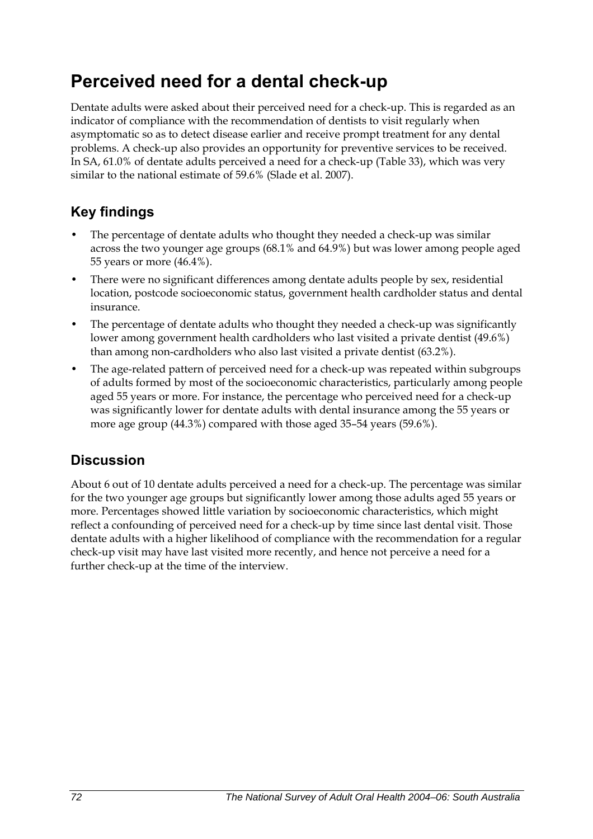## **Perceived need for a dental check-up**

Dentate adults were asked about their perceived need for a check-up. This is regarded as an indicator of compliance with the recommendation of dentists to visit regularly when asymptomatic so as to detect disease earlier and receive prompt treatment for any dental problems. A check-up also provides an opportunity for preventive services to be received. In SA, 61.0% of dentate adults perceived a need for a check-up ([Table 33](#page-80-0)), which was very similar to the national estimate of 59.6% (Slade et al. 2007).

## **Key findings**

- The percentage of dentate adults who thought they needed a check-up was similar across the two younger age groups (68.1% and 64.9%) but was lower among people aged 55 years or more (46.4%).
- There were no significant differences among dentate adults people by sex, residential location, postcode socioeconomic status, government health cardholder status and dental insurance.
- The percentage of dentate adults who thought they needed a check-up was significantly lower among government health cardholders who last visited a private dentist (49.6%) than among non-cardholders who also last visited a private dentist (63.2%).
- The age-related pattern of perceived need for a check-up was repeated within subgroups of adults formed by most of the socioeconomic characteristics, particularly among people aged 55 years or more. For instance, the percentage who perceived need for a check-up was significantly lower for dentate adults with dental insurance among the 55 years or more age group (44.3%) compared with those aged 35–54 years (59.6%).

### **Discussion**

About 6 out of 10 dentate adults perceived a need for a check-up. The percentage was similar for the two younger age groups but significantly lower among those adults aged 55 years or more. Percentages showed little variation by socioeconomic characteristics, which might reflect a confounding of perceived need for a check-up by time since last dental visit. Those dentate adults with a higher likelihood of compliance with the recommendation for a regular check-up visit may have last visited more recently, and hence not perceive a need for a further check-up at the time of the interview.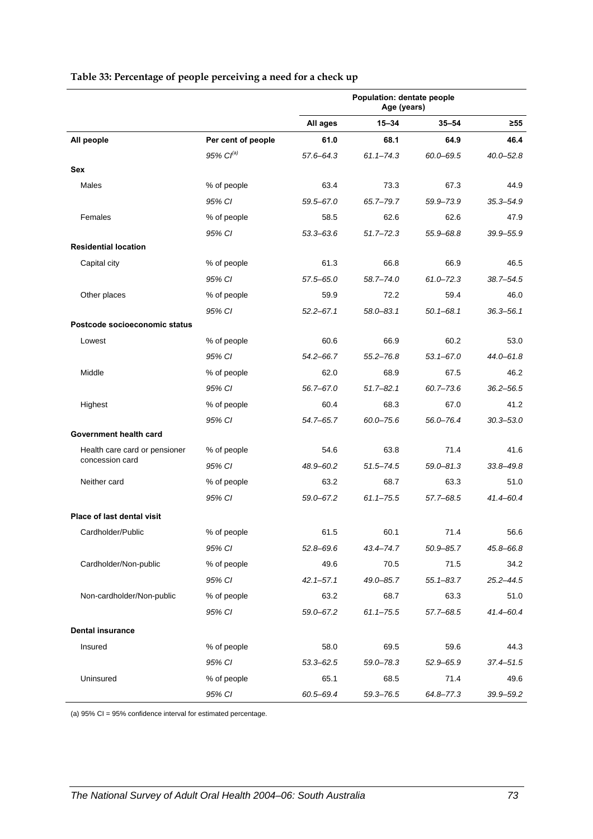<span id="page-80-0"></span>

|                                                  |                       | Population: dentate people<br>Age (years) |               |               |               |
|--------------------------------------------------|-----------------------|-------------------------------------------|---------------|---------------|---------------|
|                                                  |                       | All ages                                  | 15-34         | $35 - 54$     | ≥55           |
| All people                                       | Per cent of people    | 61.0                                      | 68.1          | 64.9          | 46.4          |
|                                                  | 95% Cl <sup>(a)</sup> | 57.6-64.3                                 | $61.1 - 74.3$ | $60.0 - 69.5$ | $40.0 - 52.8$ |
| Sex                                              |                       |                                           |               |               |               |
| Males                                            | % of people           | 63.4                                      | 73.3          | 67.3          | 44.9          |
|                                                  | 95% CI                | $59.5 - 67.0$                             | 65.7-79.7     | 59.9-73.9     | $35.3 - 54.9$ |
| Females                                          | % of people           | 58.5                                      | 62.6          | 62.6          | 47.9          |
|                                                  | 95% CI                | $53.3 - 63.6$                             | $51.7 - 72.3$ | 55.9-68.8     | 39.9-55.9     |
| <b>Residential location</b>                      |                       |                                           |               |               |               |
| Capital city                                     | % of people           | 61.3                                      | 66.8          | 66.9          | 46.5          |
|                                                  | 95% CI                | $57.5 - 65.0$                             | $58.7 - 74.0$ | $61.0 - 72.3$ | $38.7 - 54.5$ |
| Other places                                     | % of people           | 59.9                                      | 72.2          | 59.4          | 46.0          |
|                                                  | 95% CI                | $52.2 - 67.1$                             | $58.0 - 83.1$ | $50.1 - 68.1$ | $36.3 - 56.1$ |
| Postcode socioeconomic status                    |                       |                                           |               |               |               |
| Lowest                                           | % of people           | 60.6                                      | 66.9          | 60.2          | 53.0          |
|                                                  | 95% CI                | $54.2 - 66.7$                             | $55.2 - 76.8$ | $53.1 - 67.0$ | 44.0-61.8     |
| Middle                                           | % of people           | 62.0                                      | 68.9          | 67.5          | 46.2          |
|                                                  | 95% CI                | 56.7-67.0                                 | $51.7 - 82.1$ | $60.7 - 73.6$ | $36.2 - 56.5$ |
| Highest                                          | % of people           | 60.4                                      | 68.3          | 67.0          | 41.2          |
|                                                  | 95% CI                | 54.7-65.7                                 | $60.0 - 75.6$ | 56.0-76.4     | $30.3 - 53.0$ |
| Government health card                           |                       |                                           |               |               |               |
| Health care card or pensioner<br>concession card | % of people           | 54.6                                      | 63.8          | 71.4          | 41.6          |
|                                                  | 95% CI                | 48.9-60.2                                 | $51.5 - 74.5$ | $59.0 - 81.3$ | $33.8 - 49.8$ |
| Neither card                                     | % of people           | 63.2                                      | 68.7          | 63.3          | 51.0          |
|                                                  | 95% CI                | 59.0-67.2                                 | $61.1 - 75.5$ | 57.7-68.5     | 41.4-60.4     |
| Place of last dental visit                       |                       |                                           |               |               |               |
| Cardholder/Public                                | % of people           | 61.5                                      | 60.1          | 71.4          | 56.6          |
|                                                  | 95% CI                | $52.8 - 69.6$                             | 43.4–74.7     | 50.9 - 85.7   | 45.8-66.8     |
| Cardholder/Non-public                            | % of people           | 49.6                                      | 70.5          | 71.5          | 34.2          |
|                                                  | 95% CI                | $42.1 - 57.1$                             | 49.0-85.7     | $55.1 - 83.7$ | $25.2 - 44.5$ |
| Non-cardholder/Non-public                        | % of people           | 63.2                                      | 68.7          | 63.3          | 51.0          |
|                                                  | 95% CI                | 59.0-67.2                                 | $61.1 - 75.5$ | $57.7 - 68.5$ | 41.4-60.4     |
| <b>Dental insurance</b>                          |                       |                                           |               |               |               |
| Insured                                          | % of people           | 58.0                                      | 69.5          | 59.6          | 44.3          |
|                                                  | 95% CI                | $53.3 - 62.5$                             | 59.0-78.3     | 52.9-65.9     | $37.4 - 51.5$ |
| Uninsured                                        | % of people           | 65.1                                      | 68.5          | 71.4          | 49.6          |
|                                                  | 95% CI                | 60.5-69.4                                 | $59.3 - 76.5$ | 64.8-77.3     | 39.9-59.2     |

#### <span id="page-80-1"></span>**Table 33: Percentage of people perceiving a need for a check up**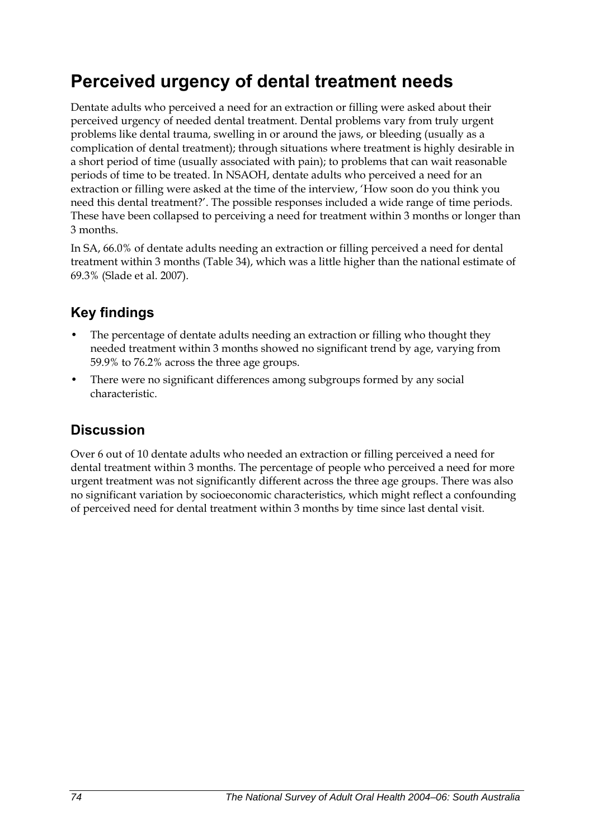## **Perceived urgency of dental treatment needs**

Dentate adults who perceived a need for an extraction or filling were asked about their perceived urgency of needed dental treatment. Dental problems vary from truly urgent problems like dental trauma, swelling in or around the jaws, or bleeding (usually as a complication of dental treatment); through situations where treatment is highly desirable in a short period of time (usually associated with pain); to problems that can wait reasonable periods of time to be treated. In NSAOH, dentate adults who perceived a need for an extraction or filling were asked at the time of the interview, 'How soon do you think you need this dental treatment?'. The possible responses included a wide range of time periods. These have been collapsed to perceiving a need for treatment within 3 months or longer than 3 months.

In SA, 66.0% of dentate adults needing an extraction or filling perceived a need for dental treatment within 3 months [\(Table 34\)](#page-82-0), which was a little higher than the national estimate of 69.3% (Slade et al. 2007).

## **Key findings**

- The percentage of dentate adults needing an extraction or filling who thought they needed treatment within 3 months showed no significant trend by age, varying from 59.9% to 76.2% across the three age groups.
- There were no significant differences among subgroups formed by any social characteristic.

### **Discussion**

Over 6 out of 10 dentate adults who needed an extraction or filling perceived a need for dental treatment within 3 months. The percentage of people who perceived a need for more urgent treatment was not significantly different across the three age groups. There was also no significant variation by socioeconomic characteristics, which might reflect a confounding of perceived need for dental treatment within 3 months by time since last dental visit.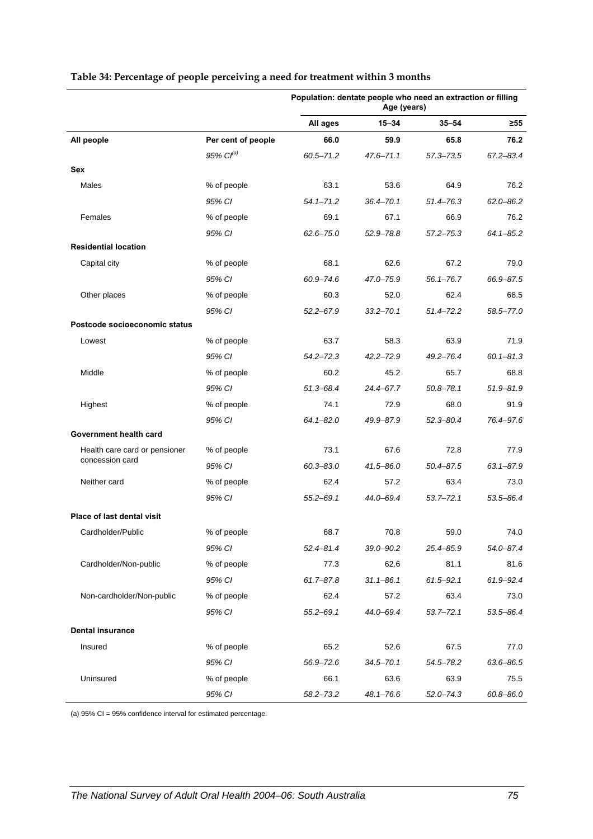|                                                  |                    | Population: dentate people who need an extraction or filling<br>Age (years) |               |               |               |
|--------------------------------------------------|--------------------|-----------------------------------------------------------------------------|---------------|---------------|---------------|
|                                                  |                    | All ages                                                                    | 15-34         | $35 - 54$     | $\geq 55$     |
| All people                                       | Per cent of people | 66.0                                                                        | 59.9          | 65.8          | 76.2          |
|                                                  | 95% $Cl^{(a)}$     | $60.5 - 71.2$                                                               | $47.6 - 71.1$ | $57.3 - 73.5$ | 67.2-83.4     |
| Sex                                              |                    |                                                                             |               |               |               |
| Males                                            | % of people        | 63.1                                                                        | 53.6          | 64.9          | 76.2          |
|                                                  | 95% CI             | $54.1 - 71.2$                                                               | 36.4-70.1     | $51.4 - 76.3$ | $62.0 - 86.2$ |
| Females                                          | % of people        | 69.1                                                                        | 67.1          | 66.9          | 76.2          |
|                                                  | 95% CI             | $62.6 - 75.0$                                                               | $52.9 - 78.8$ | $57.2 - 75.3$ | $64.1 - 85.2$ |
| <b>Residential location</b>                      |                    |                                                                             |               |               |               |
| Capital city                                     | % of people        | 68.1                                                                        | 62.6          | 67.2          | 79.0          |
|                                                  | 95% CI             | 60.9-74.6                                                                   | 47.0-75.9     | $56.1 - 76.7$ | 66.9-87.5     |
| Other places                                     | % of people        | 60.3                                                                        | 52.0          | 62.4          | 68.5          |
|                                                  | 95% CI             | $52.2 - 67.9$                                                               | $33.2 - 70.1$ | $51.4 - 72.2$ | 58.5-77.0     |
| Postcode socioeconomic status                    |                    |                                                                             |               |               |               |
| Lowest                                           | % of people        | 63.7                                                                        | 58.3          | 63.9          | 71.9          |
|                                                  | 95% CI             | $54.2 - 72.3$                                                               | $42.2 - 72.9$ | 49.2-76.4     | $60.1 - 81.3$ |
| Middle                                           | % of people        | 60.2                                                                        | 45.2          | 65.7          | 68.8          |
|                                                  | 95% CI             | $51.3 - 68.4$                                                               | 24.4-67.7     | $50.8 - 78.1$ | $51.9 - 81.9$ |
| Highest                                          | % of people        | 74.1                                                                        | 72.9          | 68.0          | 91.9          |
|                                                  | 95% CI             | $64.1 - 82.0$                                                               | 49.9–87.9     | $52.3 - 80.4$ | 76.4-97.6     |
| Government health card                           |                    |                                                                             |               |               |               |
| Health care card or pensioner<br>concession card | % of people        | 73.1                                                                        | 67.6          | 72.8          | 77.9          |
|                                                  | 95% CI             | $60.3 - 83.0$                                                               | 41.5-86.0     | $50.4 - 87.5$ | $63.1 - 87.9$ |
| Neither card                                     | % of people        | 62.4                                                                        | 57.2          | 63.4          | 73.0          |
|                                                  | 95% CI             | $55.2 - 69.1$                                                               | 44.0-69.4     | $53.7 - 72.1$ | 53.5-86.4     |
| <b>Place of last dental visit</b>                |                    |                                                                             |               |               |               |
| Cardholder/Public                                | % of people        | 68.7                                                                        | 70.8          | 59.0          | 74.0          |
|                                                  | 95% CI             | $52.4 - 81.4$                                                               | 39.0-90.2     | 25.4-85.9     | 54.0-87.4     |
| Cardholder/Non-public                            | % of people        | 77.3                                                                        | 62.6          | 81.1          | 81.6          |
|                                                  | 95% CI             | $61.7 - 87.8$                                                               | $31.1 - 86.1$ | $61.5 - 92.1$ | 61.9-92.4     |
| Non-cardholder/Non-public                        | % of people        | 62.4                                                                        | 57.2          | 63.4          | 73.0          |
|                                                  | 95% CI             | $55.2 - 69.1$                                                               | 44.0-69.4     | $53.7 - 72.1$ | 53.5-86.4     |
| <b>Dental insurance</b>                          |                    |                                                                             |               |               |               |
| Insured                                          | % of people        | 65.2                                                                        | 52.6          | 67.5          | 77.0          |
|                                                  | 95% CI             | 56.9-72.6                                                                   | $34.5 - 70.1$ | 54.5-78.2     | 63.6-86.5     |
| Uninsured                                        | % of people        | 66.1                                                                        | 63.6          | 63.9          | 75.5          |
|                                                  | 95% CI             | $58.2 - 73.2$                                                               | $48.1 - 76.6$ | $52.0 - 74.3$ | $60.8 - 86.0$ |

#### <span id="page-82-1"></span><span id="page-82-0"></span>**Table 34: Percentage of people perceiving a need for treatment within 3 months**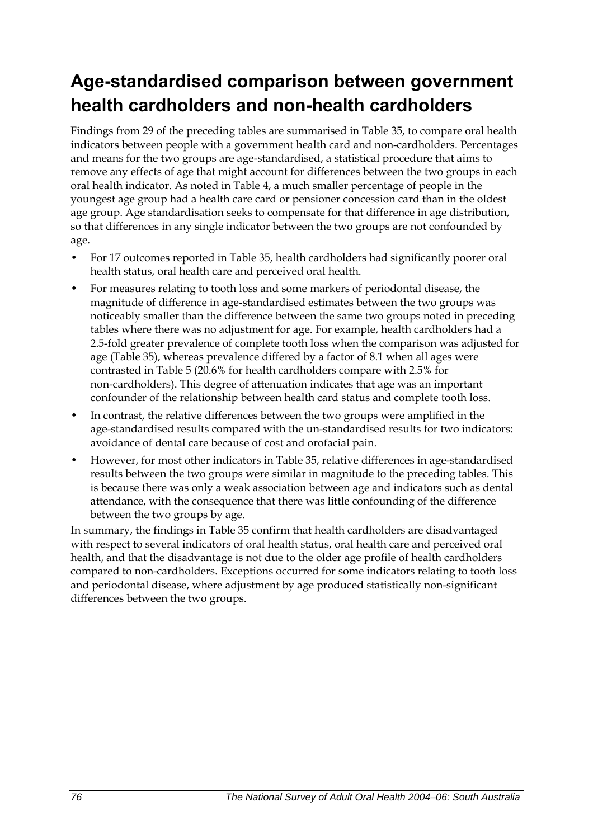## **Age-standardised comparison between government health cardholders and non-health cardholders**

Findings from 29 of the preceding tables are summarised in [Table 35,](#page-84-0) to compare oral health indicators between people with a government health card and non-cardholders. Percentages and means for the two groups are age-standardised, a statistical procedure that aims to remove any effects of age that might account for differences between the two groups in each oral health indicator. As noted in Table 4, a much smaller percentage of people in the youngest age group had a health care card or pensioner concession card than in the oldest age group. Age standardisation seeks to compensate for that difference in age distribution, so that differences in any single indicator between the two groups are not confounded by age.

- For 17 outcomes reported in [Table 35](#page-84-0), health cardholders had significantly poorer oral health status, oral health care and perceived oral health.
- For measures relating to tooth loss and some markers of periodontal disease, the magnitude of difference in age-standardised estimates between the two groups was noticeably smaller than the difference between the same two groups noted in preceding tables where there was no adjustment for age. For example, health cardholders had a 2.5-fold greater prevalence of complete tooth loss when the comparison was adjusted for age [\(Table 35\)](#page-84-0), whereas prevalence differed by a factor of 8.1 when all ages were contrasted in Table 5 (20.6% for health cardholders compare with 2.5% for non-cardholders). This degree of attenuation indicates that age was an important confounder of the relationship between health card status and complete tooth loss.
- In contrast, the relative differences between the two groups were amplified in the age-standardised results compared with the un-standardised results for two indicators: avoidance of dental care because of cost and orofacial pain.
- However, for most other indicators in [Table 35,](#page-84-0) relative differences in age-standardised results between the two groups were similar in magnitude to the preceding tables. This is because there was only a weak association between age and indicators such as dental attendance, with the consequence that there was little confounding of the difference between the two groups by age.

In summary, the findings in [Table 35](#page-84-0) confirm that health cardholders are disadvantaged with respect to several indicators of oral health status, oral health care and perceived oral health, and that the disadvantage is not due to the older age profile of health cardholders compared to non-cardholders. Exceptions occurred for some indicators relating to tooth loss and periodontal disease, where adjustment by age produced statistically non-significant differences between the two groups.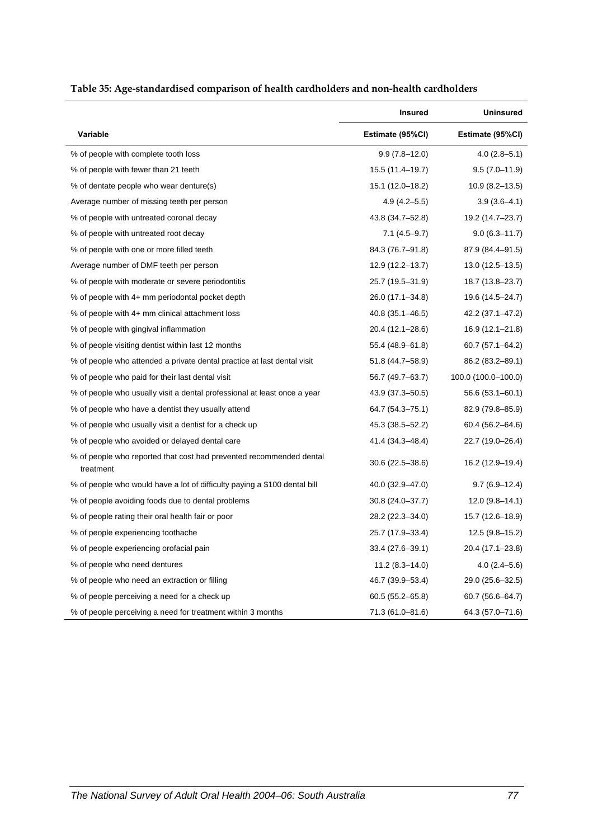<span id="page-84-0"></span>

|                                                                                  | <b>Insured</b>      | <b>Uninsured</b>    |
|----------------------------------------------------------------------------------|---------------------|---------------------|
| Variable                                                                         | Estimate (95%CI)    | Estimate (95%CI)    |
| % of people with complete tooth loss                                             | $9.9(7.8 - 12.0)$   | $4.0(2.8-5.1)$      |
| % of people with fewer than 21 teeth                                             | 15.5 (11.4-19.7)    | $9.5(7.0 - 11.9)$   |
| % of dentate people who wear denture(s)                                          | 15.1 (12.0–18.2)    | $10.9(8.2 - 13.5)$  |
| Average number of missing teeth per person                                       | $4.9(4.2 - 5.5)$    | $3.9(3.6-4.1)$      |
| % of people with untreated coronal decay                                         | 43.8 (34.7-52.8)    | 19.2 (14.7-23.7)    |
| % of people with untreated root decay                                            | $7.1(4.5-9.7)$      | $9.0(6.3 - 11.7)$   |
| % of people with one or more filled teeth                                        | 84.3 (76.7-91.8)    | 87.9 (84.4-91.5)    |
| Average number of DMF teeth per person                                           | 12.9 (12.2–13.7)    | $13.0(12.5-13.5)$   |
| % of people with moderate or severe periodontitis                                | 25.7 (19.5–31.9)    | 18.7 (13.8–23.7)    |
| % of people with 4+ mm periodontal pocket depth                                  | 26.0 (17.1–34.8)    | 19.6 (14.5–24.7)    |
| % of people with 4+ mm clinical attachment loss                                  | 40.8 (35.1-46.5)    | 42.2 (37.1-47.2)    |
| % of people with gingival inflammation                                           | 20.4 (12.1-28.6)    | 16.9 (12.1-21.8)    |
| % of people visiting dentist within last 12 months                               | 55.4 (48.9-61.8)    | 60.7 (57.1-64.2)    |
| % of people who attended a private dental practice at last dental visit          | 51.8 (44.7–58.9)    | 86.2 (83.2–89.1)    |
| % of people who paid for their last dental visit                                 | 56.7 (49.7–63.7)    | 100.0 (100.0-100.0) |
| % of people who usually visit a dental professional at least once a year         | 43.9 (37.3–50.5)    | 56.6 (53.1–60.1)    |
| % of people who have a dentist they usually attend                               | 64.7 (54.3–75.1)    | 82.9 (79.8–85.9)    |
| % of people who usually visit a dentist for a check up                           | 45.3 (38.5–52.2)    | 60.4 (56.2–64.6)    |
| % of people who avoided or delayed dental care                                   | 41.4 (34.3-48.4)    | 22.7 (19.0-26.4)    |
| % of people who reported that cost had prevented recommended dental<br>treatment | $30.6(22.5 - 38.6)$ | 16.2 (12.9-19.4)    |
| % of people who would have a lot of difficulty paying a \$100 dental bill        | 40.0 (32.9–47.0)    | $9.7(6.9-12.4)$     |
| % of people avoiding foods due to dental problems                                | 30.8 (24.0-37.7)    | $12.0(9.8-14.1)$    |
| % of people rating their oral health fair or poor                                | 28.2 (22.3-34.0)    | 15.7 (12.6–18.9)    |
| % of people experiencing toothache                                               | 25.7 (17.9–33.4)    | 12.5 (9.8–15.2)     |
| % of people experiencing orofacial pain                                          | 33.4 (27.6–39.1)    | 20.4 (17.1–23.8)    |
| % of people who need dentures                                                    | $11.2(8.3 - 14.0)$  | $4.0(2.4 - 5.6)$    |
| % of people who need an extraction or filling                                    | 46.7 (39.9–53.4)    | 29.0 (25.6–32.5)    |
| % of people perceiving a need for a check up                                     | 60.5 (55.2–65.8)    | $60.7(56.6-64.7)$   |
| % of people perceiving a need for treatment within 3 months                      | 71.3 (61.0-81.6)    | 64.3 (57.0-71.6)    |

#### <span id="page-84-1"></span>**Table 35: Age-standardised comparison of health cardholders and non-health cardholders**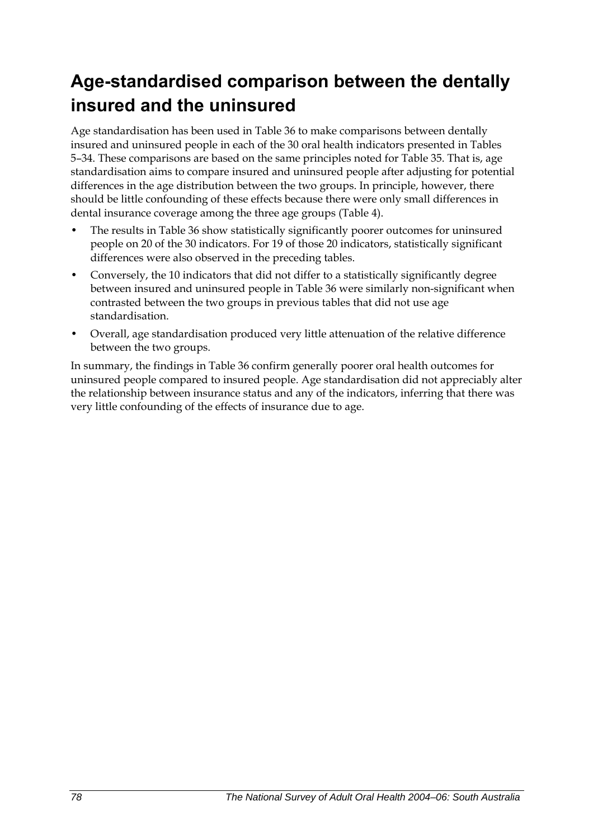## **Age-standardised comparison between the dentally insured and the uninsured**

Age standardisation has been used in [Table 36](#page-86-0) to make comparisons between dentally insured and uninsured people in each of the 30 oral health indicators presented in Tables 5–34. These comparisons are based on the same principles noted for [Table 35](#page-84-0). That is, age standardisation aims to compare insured and uninsured people after adjusting for potential differences in the age distribution between the two groups. In principle, however, there should be little confounding of these effects because there were only small differences in dental insurance coverage among the three age groups (Table 4).

- The results in [Table 36](#page-86-0) show statistically significantly poorer outcomes for uninsured people on 20 of the 30 indicators. For 19 of those 20 indicators, statistically significant differences were also observed in the preceding tables.
- Conversely, the 10 indicators that did not differ to a statistically significantly degree between insured and uninsured people in [Table 36](#page-86-0) were similarly non-significant when contrasted between the two groups in previous tables that did not use age standardisation.
- Overall, age standardisation produced very little attenuation of the relative difference between the two groups.

In summary, the findings in [Table 36](#page-86-0) confirm generally poorer oral health outcomes for uninsured people compared to insured people. Age standardisation did not appreciably alter the relationship between insurance status and any of the indicators, inferring that there was very little confounding of the effects of insurance due to age.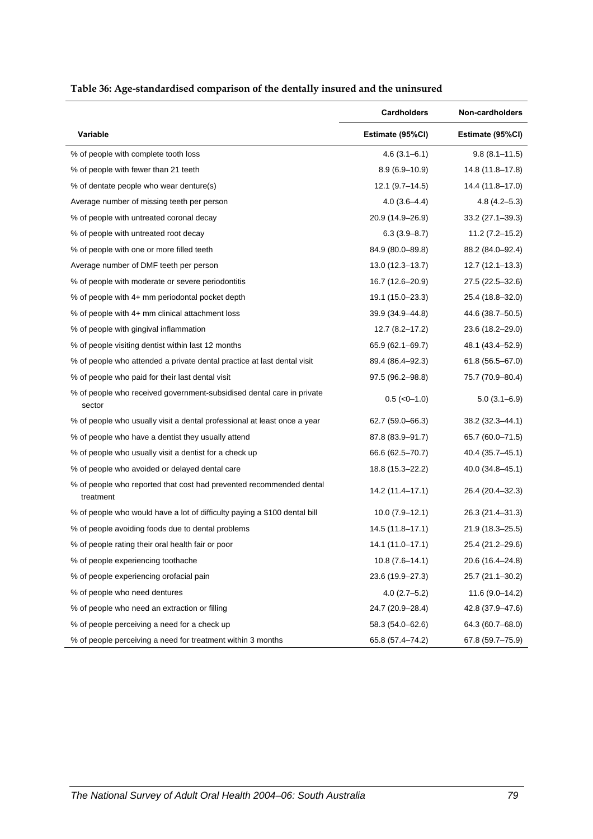<span id="page-86-0"></span>

|                                                                                  | Cardholders         | Non-cardholders     |
|----------------------------------------------------------------------------------|---------------------|---------------------|
| Variable                                                                         | Estimate (95%CI)    | Estimate (95%CI)    |
| % of people with complete tooth loss                                             | $4.6(3.1 - 6.1)$    | $9.8(8.1 - 11.5)$   |
| % of people with fewer than 21 teeth                                             | $8.9(6.9 - 10.9)$   | 14.8 (11.8-17.8)    |
| % of dentate people who wear denture(s)                                          | $12.1 (9.7 - 14.5)$ | 14.4 (11.8-17.0)    |
| Average number of missing teeth per person                                       | $4.0(3.6-4.4)$      | $4.8(4.2 - 5.3)$    |
| % of people with untreated coronal decay                                         | 20.9 (14.9-26.9)    | $33.2(27.1 - 39.3)$ |
| % of people with untreated root decay                                            | $6.3(3.9 - 8.7)$    | 11.2 (7.2–15.2)     |
| % of people with one or more filled teeth                                        | 84.9 (80.0-89.8)    | 88.2 (84.0-92.4)    |
| Average number of DMF teeth per person                                           | $13.0(12.3 - 13.7)$ | $12.7(12.1 - 13.3)$ |
| % of people with moderate or severe periodontitis                                | 16.7 (12.6-20.9)    | 27.5 (22.5–32.6)    |
| % of people with 4+ mm periodontal pocket depth                                  | 19.1 (15.0–23.3)    | 25.4 (18.8-32.0)    |
| % of people with 4+ mm clinical attachment loss                                  | 39.9 (34.9-44.8)    | 44.6 (38.7-50.5)    |
| % of people with gingival inflammation                                           | $12.7(8.2 - 17.2)$  | 23.6 (18.2-29.0)    |
| % of people visiting dentist within last 12 months                               | 65.9 (62.1–69.7)    | 48.1 (43.4–52.9)    |
| % of people who attended a private dental practice at last dental visit          | 89.4 (86.4-92.3)    | $61.8(56.5 - 67.0)$ |
| % of people who paid for their last dental visit                                 | 97.5 (96.2-98.8)    | 75.7 (70.9-80.4)    |
| % of people who received government-subsidised dental care in private<br>sector  | $0.5$ ( $<0-1.0$ )  | $5.0(3.1 - 6.9)$    |
| % of people who usually visit a dental professional at least once a year         | 62.7 (59.0-66.3)    | 38.2 (32.3-44.1)    |
| % of people who have a dentist they usually attend                               | 87.8 (83.9–91.7)    | 65.7 (60.0–71.5)    |
| % of people who usually visit a dentist for a check up                           | 66.6 (62.5-70.7)    | 40.4 (35.7–45.1)    |
| % of people who avoided or delayed dental care                                   | 18.8 (15.3-22.2)    | 40.0 (34.8-45.1)    |
| % of people who reported that cost had prevented recommended dental<br>treatment | 14.2 (11.4–17.1)    | 26.4 (20.4-32.3)    |
| % of people who would have a lot of difficulty paying a \$100 dental bill        | $10.0(7.9-12.1)$    | 26.3 (21.4-31.3)    |
| % of people avoiding foods due to dental problems                                | 14.5 (11.8-17.1)    | 21.9 (18.3-25.5)    |
| % of people rating their oral health fair or poor                                | 14.1 (11.0–17.1)    | 25.4 (21.2–29.6)    |
| % of people experiencing toothache                                               | $10.8(7.6-14.1)$    | 20.6 (16.4-24.8)    |
| % of people experiencing orofacial pain                                          | 23.6 (19.9-27.3)    | 25.7 (21.1-30.2)    |
| % of people who need dentures                                                    | $4.0(2.7-5.2)$      | $11.6(9.0 - 14.2)$  |
| % of people who need an extraction or filling                                    | 24.7 (20.9-28.4)    | 42.8 (37.9-47.6)    |
| % of people perceiving a need for a check up                                     | 58.3 (54.0-62.6)    | 64.3 (60.7-68.0)    |
| % of people perceiving a need for treatment within 3 months                      | 65.8 (57.4-74.2)    | 67.8 (59.7-75.9)    |

#### <span id="page-86-1"></span>**Table 36: Age-standardised comparison of the dentally insured and the uninsured**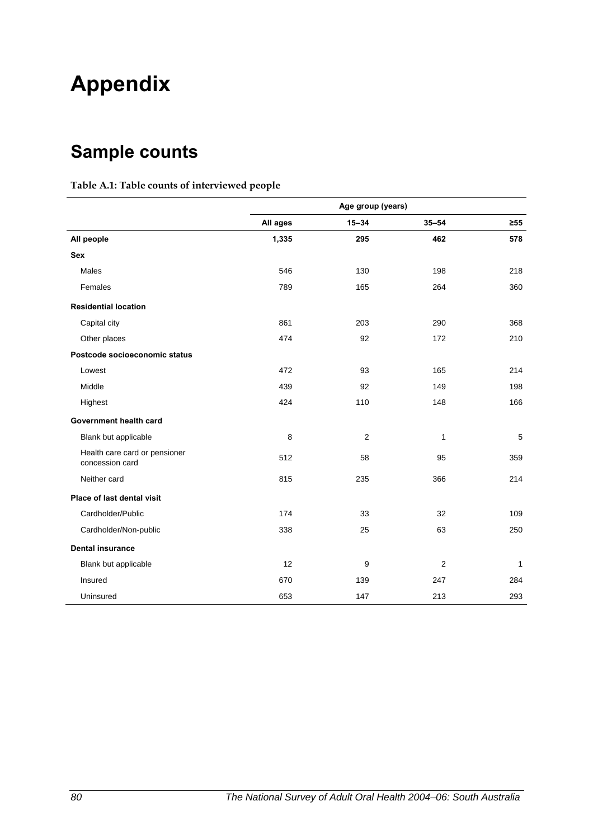# **Appendix**

## **Sample counts**

#### **Table A.1: Table counts of interviewed people**

|                                                  | Age group (years) |                |                |            |
|--------------------------------------------------|-------------------|----------------|----------------|------------|
|                                                  | All ages          | $15 - 34$      | $35 - 54$      | $\geq 55$  |
| All people                                       | 1,335             | 295            | 462            | 578        |
| <b>Sex</b>                                       |                   |                |                |            |
| Males                                            | 546               | 130            | 198            | 218        |
| Females                                          | 789               | 165            | 264            | 360        |
| <b>Residential location</b>                      |                   |                |                |            |
| Capital city                                     | 861               | 203            | 290            | 368        |
| Other places                                     | 474               | 92             | 172            | 210        |
| Postcode socioeconomic status                    |                   |                |                |            |
| Lowest                                           | 472               | 93             | 165            | 214        |
| Middle                                           | 439               | 92             | 149            | 198        |
| Highest                                          | 424               | 110            | 148            | 166        |
| Government health card                           |                   |                |                |            |
| Blank but applicable                             | 8                 | $\overline{2}$ | $\mathbf{1}$   | $\sqrt{5}$ |
| Health care card or pensioner<br>concession card | 512               | 58             | 95             | 359        |
| Neither card                                     | 815               | 235            | 366            | 214        |
| Place of last dental visit                       |                   |                |                |            |
| Cardholder/Public                                | 174               | 33             | 32             | 109        |
| Cardholder/Non-public                            | 338               | 25             | 63             | 250        |
| <b>Dental insurance</b>                          |                   |                |                |            |
| Blank but applicable                             | 12                | 9              | $\overline{2}$ | 1          |
| Insured                                          | 670               | 139            | 247            | 284        |
| Uninsured                                        | 653               | 147            | 213            | 293        |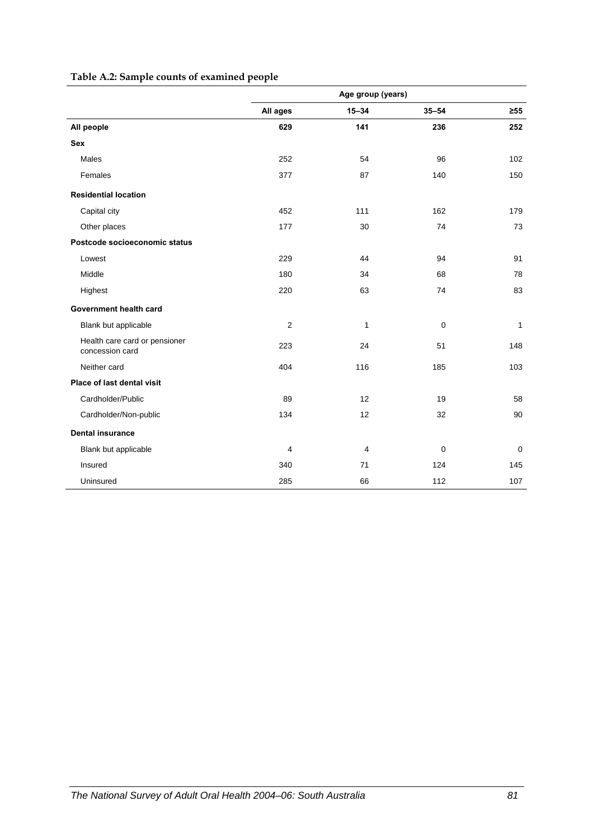| Table A.2: Sample counts of examined people |  |
|---------------------------------------------|--|
|---------------------------------------------|--|

|                                                  | Age group (years)       |           |           |             |
|--------------------------------------------------|-------------------------|-----------|-----------|-------------|
|                                                  | All ages                | $15 - 34$ | $35 - 54$ | $\geq 55$   |
| All people                                       | 629                     | 141       | 236       | 252         |
| <b>Sex</b>                                       |                         |           |           |             |
| Males                                            | 252                     | 54        | 96        | 102         |
| Females                                          | 377                     | 87        | 140       | 150         |
| <b>Residential location</b>                      |                         |           |           |             |
| Capital city                                     | 452                     | 111       | 162       | 179         |
| Other places                                     | 177                     | 30        | 74        | 73          |
| Postcode socioeconomic status                    |                         |           |           |             |
| Lowest                                           | 229                     | 44        | 94        | 91          |
| Middle                                           | 180                     | 34        | 68        | 78          |
| Highest                                          | 220                     | 63        | 74        | 83          |
| Government health card                           |                         |           |           |             |
| Blank but applicable                             | $\overline{2}$          | 1         | 0         | 1           |
| Health care card or pensioner<br>concession card | 223                     | 24        | 51        | 148         |
| Neither card                                     | 404                     | 116       | 185       | 103         |
| Place of last dental visit                       |                         |           |           |             |
| Cardholder/Public                                | 89                      | 12        | 19        | 58          |
| Cardholder/Non-public                            | 134                     | 12        | 32        | 90          |
| <b>Dental insurance</b>                          |                         |           |           |             |
| Blank but applicable                             | $\overline{\mathbf{4}}$ | 4         | 0         | $\mathbf 0$ |
| Insured                                          | 340                     | 71        | 124       | 145         |
| Uninsured                                        | 285                     | 66        | 112       | 107         |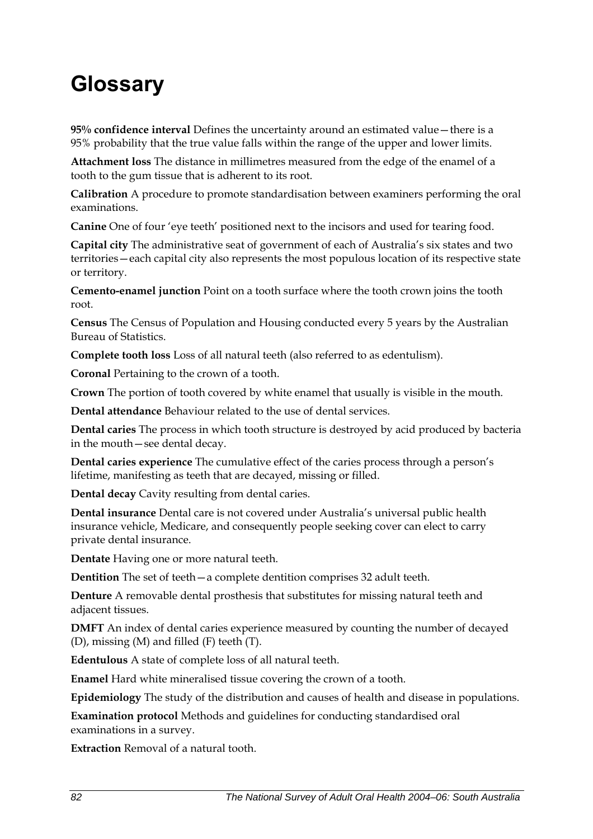# **Glossary**

**95% confidence interval** Defines the uncertainty around an estimated value—there is a 95% probability that the true value falls within the range of the upper and lower limits.

**Attachment loss** The distance in millimetres measured from the edge of the enamel of a tooth to the gum tissue that is adherent to its root.

**Calibration** A procedure to promote standardisation between examiners performing the oral examinations.

**Canine** One of four 'eye teeth' positioned next to the incisors and used for tearing food.

**Capital city** The administrative seat of government of each of Australia's six states and two territories—each capital city also represents the most populous location of its respective state or territory.

**Cemento-enamel junction** Point on a tooth surface where the tooth crown joins the tooth root.

**Census** The Census of Population and Housing conducted every 5 years by the Australian Bureau of Statistics.

**Complete tooth loss** Loss of all natural teeth (also referred to as edentulism).

**Coronal** Pertaining to the crown of a tooth.

**Crown** The portion of tooth covered by white enamel that usually is visible in the mouth.

**Dental attendance** Behaviour related to the use of dental services.

**Dental caries** The process in which tooth structure is destroyed by acid produced by bacteria in the mouth—see dental decay.

**Dental caries experience** The cumulative effect of the caries process through a person's lifetime, manifesting as teeth that are decayed, missing or filled.

**Dental decay** Cavity resulting from dental caries.

**Dental insurance** Dental care is not covered under Australia's universal public health insurance vehicle, Medicare, and consequently people seeking cover can elect to carry private dental insurance.

**Dentate** Having one or more natural teeth.

**Dentition** The set of teeth—a complete dentition comprises 32 adult teeth.

**Denture** A removable dental prosthesis that substitutes for missing natural teeth and adjacent tissues.

**DMFT** An index of dental caries experience measured by counting the number of decayed (D), missing (M) and filled (F) teeth (T).

**Edentulous** A state of complete loss of all natural teeth.

**Enamel** Hard white mineralised tissue covering the crown of a tooth.

**Epidemiology** The study of the distribution and causes of health and disease in populations.

**Examination protocol** Methods and guidelines for conducting standardised oral examinations in a survey.

**Extraction** Removal of a natural tooth.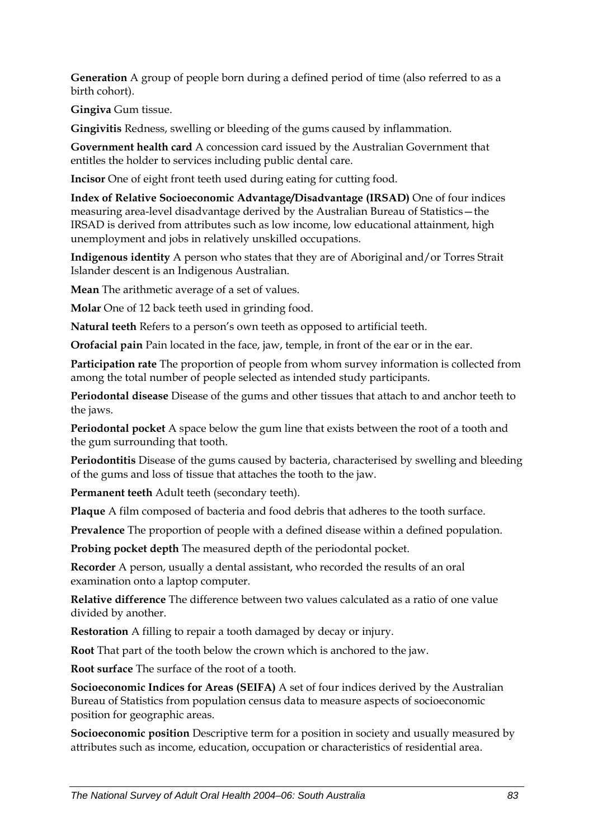**Generation** A group of people born during a defined period of time (also referred to as a birth cohort).

**Gingiva** Gum tissue.

**Gingivitis** Redness, swelling or bleeding of the gums caused by inflammation.

**Government health card** A concession card issued by the Australian Government that entitles the holder to services including public dental care.

**Incisor** One of eight front teeth used during eating for cutting food.

**Index of Relative Socioeconomic Advantage/Disadvantage (IRSAD)** One of four indices measuring area-level disadvantage derived by the Australian Bureau of Statistics—the IRSAD is derived from attributes such as low income, low educational attainment, high unemployment and jobs in relatively unskilled occupations.

**Indigenous identity** A person who states that they are of Aboriginal and/or Torres Strait Islander descent is an Indigenous Australian.

**Mean** The arithmetic average of a set of values.

**Molar** One of 12 back teeth used in grinding food.

**Natural teeth** Refers to a person's own teeth as opposed to artificial teeth.

**Orofacial pain** Pain located in the face, jaw, temple, in front of the ear or in the ear.

**Participation rate** The proportion of people from whom survey information is collected from among the total number of people selected as intended study participants.

**Periodontal disease** Disease of the gums and other tissues that attach to and anchor teeth to the jaws.

**Periodontal pocket** A space below the gum line that exists between the root of a tooth and the gum surrounding that tooth.

**Periodontitis** Disease of the gums caused by bacteria, characterised by swelling and bleeding of the gums and loss of tissue that attaches the tooth to the jaw.

**Permanent teeth** Adult teeth (secondary teeth).

**Plaque** A film composed of bacteria and food debris that adheres to the tooth surface.

**Prevalence** The proportion of people with a defined disease within a defined population.

**Probing pocket depth** The measured depth of the periodontal pocket.

**Recorder** A person, usually a dental assistant, who recorded the results of an oral examination onto a laptop computer.

**Relative difference** The difference between two values calculated as a ratio of one value divided by another.

**Restoration** A filling to repair a tooth damaged by decay or injury.

**Root** That part of the tooth below the crown which is anchored to the jaw.

**Root surface** The surface of the root of a tooth.

**Socioeconomic Indices for Areas (SEIFA)** A set of four indices derived by the Australian Bureau of Statistics from population census data to measure aspects of socioeconomic position for geographic areas.

**Socioeconomic position** Descriptive term for a position in society and usually measured by attributes such as income, education, occupation or characteristics of residential area.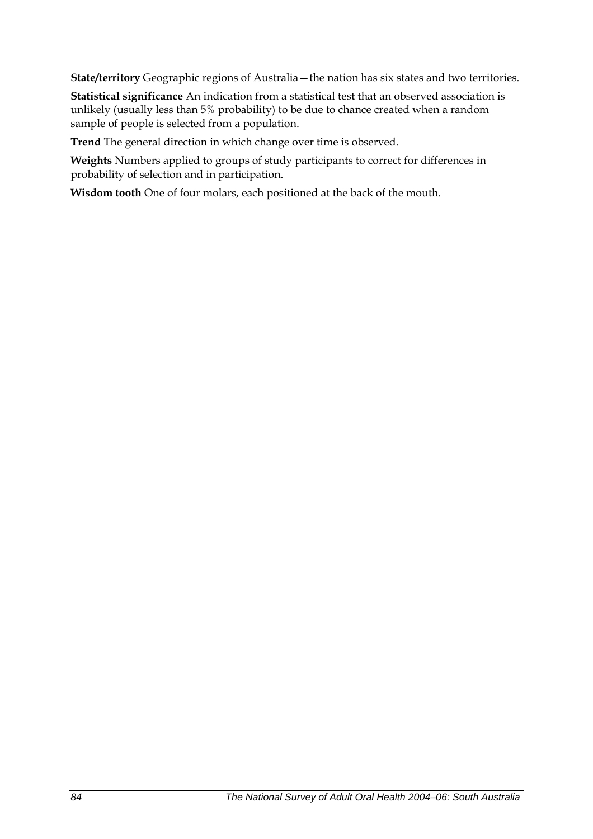**State/territory** Geographic regions of Australia—the nation has six states and two territories.

**Statistical significance** An indication from a statistical test that an observed association is unlikely (usually less than 5% probability) to be due to chance created when a random sample of people is selected from a population.

**Trend** The general direction in which change over time is observed.

**Weights** Numbers applied to groups of study participants to correct for differences in probability of selection and in participation.

**Wisdom tooth** One of four molars, each positioned at the back of the mouth.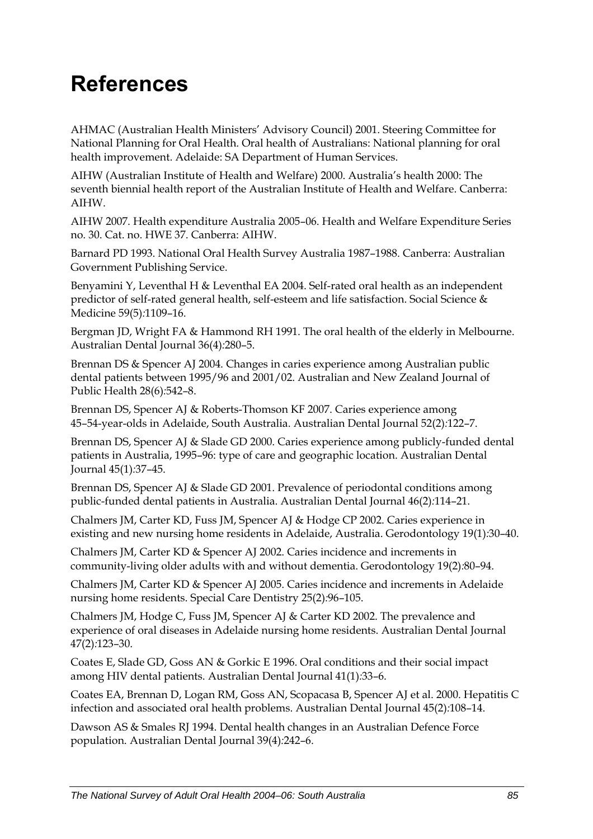# **References**

AHMAC (Australian Health Ministers' Advisory Council) 2001. Steering Committee for National Planning for Oral Health. Oral health of Australians: National planning for oral health improvement. Adelaide: SA Department of Human Services.

AIHW (Australian Institute of Health and Welfare) 2000. Australia's health 2000: The seventh biennial health report of the Australian Institute of Health and Welfare. Canberra: AIHW.

AIHW 2007. Health expenditure Australia 2005–06. Health and Welfare Expenditure Series no. 30. Cat. no. HWE 37. Canberra: AIHW.

Barnard PD 1993. National Oral Health Survey Australia 1987–1988. Canberra: Australian Government Publishing Service.

Benyamini Y, Leventhal H & Leventhal EA 2004. Self-rated oral health as an independent predictor of self-rated general health, self-esteem and life satisfaction. Social Science & Medicine 59(5)*:*1109–16.

Bergman JD, Wright FA & Hammond RH 1991. The oral health of the elderly in Melbourne. Australian Dental Journal 36(4)*:*280–5.

Brennan DS & Spencer AJ 2004. Changes in caries experience among Australian public dental patients between 1995/96 and 2001/02. Australian and New Zealand Journal of Public Health 28(6)*:*542–8.

Brennan DS, Spencer AJ & Roberts-Thomson KF 2007. Caries experience among 45–54-year-olds in Adelaide, South Australia. Australian Dental Journal 52(2)*:*122–7.

Brennan DS, Spencer AJ & Slade GD 2000. Caries experience among publicly-funded dental patients in Australia, 1995–96: type of care and geographic location. Australian Dental Journal 45(1)*:*37–45.

Brennan DS, Spencer AJ & Slade GD 2001. Prevalence of periodontal conditions among public-funded dental patients in Australia. Australian Dental Journal 46(2)*:*114–21.

Chalmers JM, Carter KD, Fuss JM, Spencer AJ & Hodge CP 2002. Caries experience in existing and new nursing home residents in Adelaide, Australia. Gerodontology 19(1)*:*30–40.

Chalmers JM, Carter KD & Spencer AJ 2002. Caries incidence and increments in community-living older adults with and without dementia. Gerodontology 19(2)*:*80–94.

Chalmers JM, Carter KD & Spencer AJ 2005. Caries incidence and increments in Adelaide nursing home residents. Special Care Dentistry 25(2)*:*96–105.

Chalmers JM, Hodge C, Fuss JM, Spencer AJ & Carter KD 2002. The prevalence and experience of oral diseases in Adelaide nursing home residents. Australian Dental Journal 47(2)*:*123–30.

Coates E, Slade GD, Goss AN & Gorkic E 1996. Oral conditions and their social impact among HIV dental patients. Australian Dental Journal 41(1)*:*33–6.

Coates EA, Brennan D, Logan RM, Goss AN, Scopacasa B, Spencer AJ et al. 2000. Hepatitis C infection and associated oral health problems. Australian Dental Journal 45(2)*:*108–14.

Dawson AS & Smales RJ 1994. Dental health changes in an Australian Defence Force population. Australian Dental Journal 39(4)*:*242–6.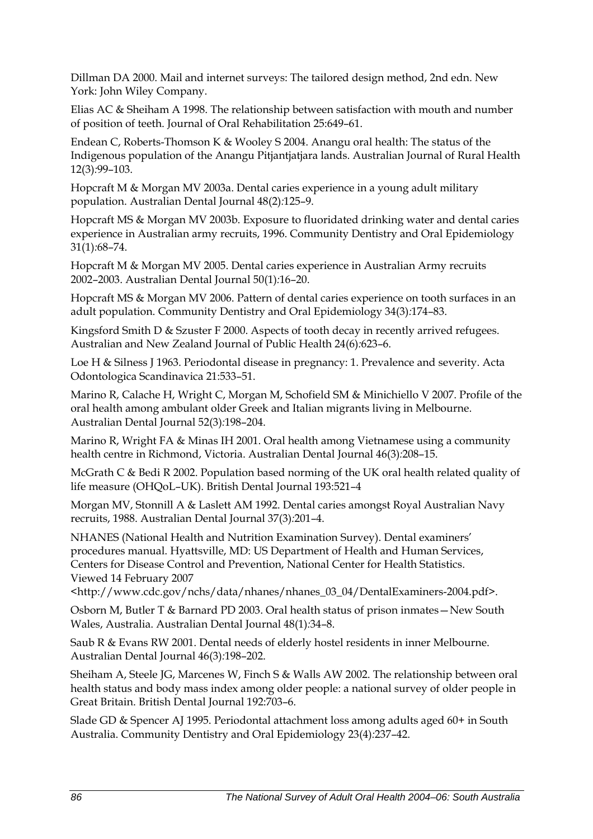Dillman DA 2000. Mail and internet surveys: The tailored design method, 2nd edn. New York: John Wiley Company.

Elias AC & Sheiham A 1998. The relationship between satisfaction with mouth and number of position of teeth. Journal of Oral Rehabilitation 25:649–61.

Endean C, Roberts-Thomson K & Wooley S 2004. Anangu oral health: The status of the Indigenous population of the Anangu Pitjantjatjara lands. Australian Journal of Rural Health 12(3)*:*99–103.

Hopcraft M & Morgan MV 2003a. Dental caries experience in a young adult military population. Australian Dental Journal 48(2)*:*125–9.

Hopcraft MS & Morgan MV 2003b. Exposure to fluoridated drinking water and dental caries experience in Australian army recruits, 1996. Community Dentistry and Oral Epidemiology 31(1)*:*68–74.

Hopcraft M & Morgan MV 2005. Dental caries experience in Australian Army recruits 2002–2003. Australian Dental Journal 50(1)*:*16–20.

Hopcraft MS & Morgan MV 2006. Pattern of dental caries experience on tooth surfaces in an adult population. Community Dentistry and Oral Epidemiology 34(3)*:*174–83.

Kingsford Smith D & Szuster F 2000. Aspects of tooth decay in recently arrived refugees. Australian and New Zealand Journal of Public Health 24(6)*:*623–6.

Loe H & Silness J 1963. Periodontal disease in pregnancy: 1. Prevalence and severity. Acta Odontologica Scandinavica 21:533–51.

Marino R, Calache H, Wright C, Morgan M, Schofield SM & Minichiello V 2007. Profile of the oral health among ambulant older Greek and Italian migrants living in Melbourne. Australian Dental Journal 52(3)*:*198–204.

Marino R, Wright FA & Minas IH 2001. Oral health among Vietnamese using a community health centre in Richmond, Victoria. Australian Dental Journal 46(3)*:*208–15.

McGrath C & Bedi R 2002. Population based norming of the UK oral health related quality of life measure (OHQoL–UK). British Dental Journal 193:521–4

Morgan MV, Stonnill A & Laslett AM 1992. Dental caries amongst Royal Australian Navy recruits, 1988. Australian Dental Journal 37(3)*:*201–4.

NHANES (National Health and Nutrition Examination Survey). Dental examiners' procedures manual. Hyattsville, MD: US Department of Health and Human Services, Centers for Disease Control and Prevention, National Center for Health Statistics. Viewed 14 February 2007

<http://www.cdc.gov/nchs/data/nhanes/nhanes\_03\_04/DentalExaminers-2004.pdf>.

Osborn M, Butler T & Barnard PD 2003. Oral health status of prison inmates—New South Wales, Australia. Australian Dental Journal 48(1)*:*34–8.

Saub R & Evans RW 2001. Dental needs of elderly hostel residents in inner Melbourne. Australian Dental Journal 46(3)*:*198–202.

Sheiham A, Steele JG, Marcenes W, Finch S & Walls AW 2002. The relationship between oral health status and body mass index among older people: a national survey of older people in Great Britain. British Dental Journal 192:703–6.

Slade GD & Spencer AJ 1995. Periodontal attachment loss among adults aged 60+ in South Australia. Community Dentistry and Oral Epidemiology 23(4)*:*237–42.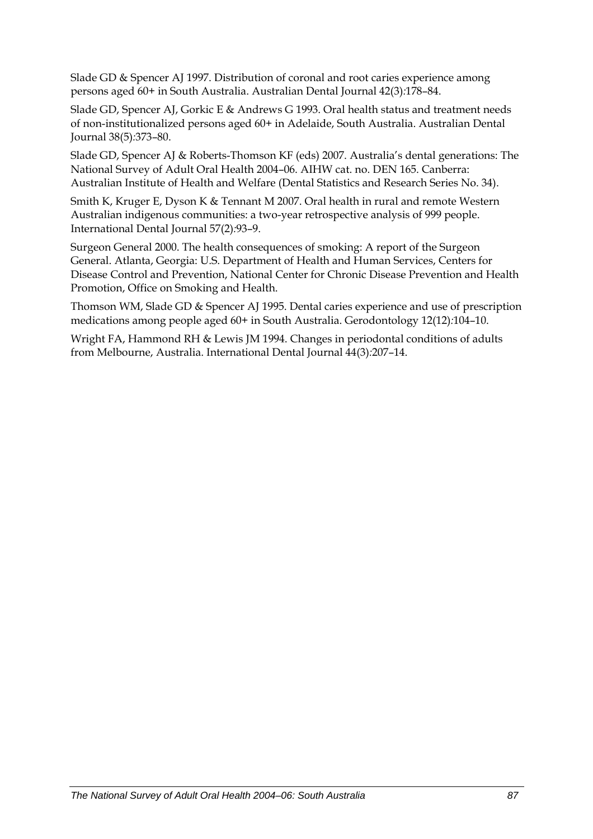Slade GD & Spencer AJ 1997. Distribution of coronal and root caries experience among persons aged 60+ in South Australia. Australian Dental Journal 42(3)*:*178–84.

Slade GD, Spencer AJ, Gorkic E & Andrews G 1993. Oral health status and treatment needs of non-institutionalized persons aged 60+ in Adelaide, South Australia. Australian Dental Journal 38(5)*:*373–80.

Slade GD, Spencer AJ & Roberts-Thomson KF (eds) 2007. Australia's dental generations: The National Survey of Adult Oral Health 2004–06. AIHW cat. no. DEN 165. Canberra: Australian Institute of Health and Welfare (Dental Statistics and Research Series No. 34).

Smith K, Kruger E, Dyson K & Tennant M 2007. Oral health in rural and remote Western Australian indigenous communities: a two-year retrospective analysis of 999 people. International Dental Journal 57(2)*:*93–9.

Surgeon General 2000. The health consequences of smoking: A report of the Surgeon General. Atlanta, Georgia: U.S. Department of Health and Human Services, Centers for Disease Control and Prevention, National Center for Chronic Disease Prevention and Health Promotion, Office on Smoking and Health.

Thomson WM, Slade GD & Spencer AJ 1995. Dental caries experience and use of prescription medications among people aged 60+ in South Australia. Gerodontology 12(12)*:*104–10.

Wright FA, Hammond RH & Lewis JM 1994. Changes in periodontal conditions of adults from Melbourne, Australia. International Dental Journal 44(3)*:*207–14.